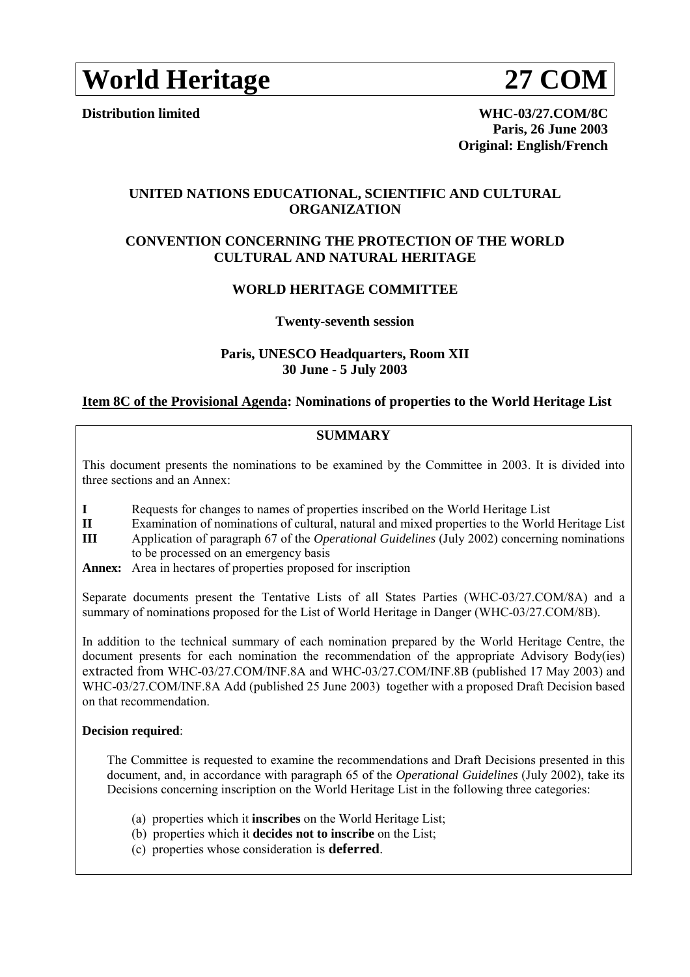# **World Heritage 27 COM**

**Distribution limited WHC-03/27.COM/8C Paris, 26 June 2003 Original: English/French**

# **UNITED NATIONS EDUCATIONAL, SCIENTIFIC AND CULTURAL ORGANIZATION**

# **CONVENTION CONCERNING THE PROTECTION OF THE WORLD CULTURAL AND NATURAL HERITAGE**

# **WORLD HERITAGE COMMITTEE**

# **Twenty-seventh session**

# **Paris, UNESCO Headquarters, Room XII 30 June - 5 July 2003**

# **Item 8C of the Provisional Agenda: Nominations of properties to the World Heritage List**

# **SUMMARY**

This document presents the nominations to be examined by the Committee in 2003. It is divided into three sections and an Annex:

- **I** Requests for changes to names of properties inscribed on the World Heritage List
- **II** Examination of nominations of cultural, natural and mixed properties to the World Heritage List
- **III** Application of paragraph 67 of the *Operational Guidelines* (July 2002) concerning nominations to be processed on an emergency basis
- **Annex:** Area in hectares of properties proposed for inscription

Separate documents present the Tentative Lists of all States Parties (WHC-03/27.COM/8A) and a summary of nominations proposed for the List of World Heritage in Danger (WHC-03/27.COM/8B).

In addition to the technical summary of each nomination prepared by the World Heritage Centre, the document presents for each nomination the recommendation of the appropriate Advisory Body(ies) extracted from WHC-03/27.COM/INF.8A and WHC-03/27.COM/INF.8B (published 17 May 2003) and WHC-03/27.COM/INF.8A Add (published 25 June 2003) together with a proposed Draft Decision based on that recommendation.

# **Decision required**:

 The Committee is requested to examine the recommendations and Draft Decisions presented in this document, and, in accordance with paragraph 65 of the *Operational Guidelines* (July 2002), take its Decisions concerning inscription on the World Heritage List in the following three categories:

- (a) properties which it **inscribes** on the World Heritage List;
- (b) properties which it **decides not to inscribe** on the List;
- (c) properties whose consideration is **deferred**.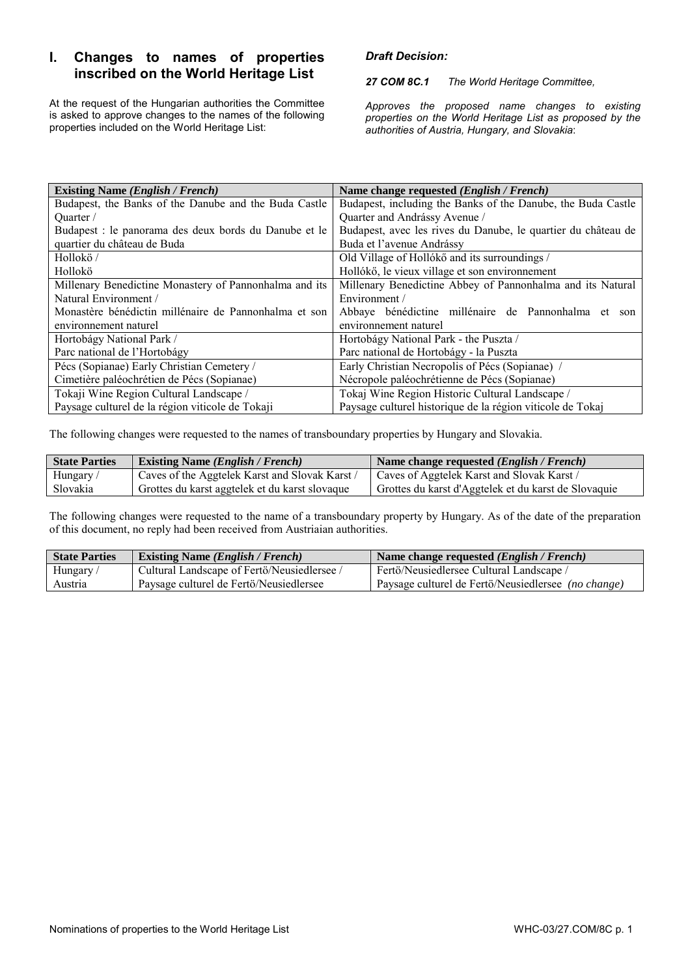# **I. Changes to names of properties inscribed on the World Heritage List**

At the request of the Hungarian authorities the Committee is asked to approve changes to the names of the following properties included on the World Heritage List:

# *Draft Decision:*

*27 COM 8C.1 The World Heritage Committee,* 

*Approves the proposed name changes to existing properties on the World Heritage List as proposed by the authorities of Austria, Hungary, and Slovakia*:

| <b>Existing Name (English / French)</b>                | Name change requested (English / French)                      |  |  |  |
|--------------------------------------------------------|---------------------------------------------------------------|--|--|--|
| Budapest, the Banks of the Danube and the Buda Castle  | Budapest, including the Banks of the Danube, the Buda Castle  |  |  |  |
| Ouarter /                                              | Quarter and Andrássy Avenue /                                 |  |  |  |
| Budapest : le panorama des deux bords du Danube et le  | Budapest, avec les rives du Danube, le quartier du château de |  |  |  |
| quartier du château de Buda                            | Buda et l'avenue Andrássy                                     |  |  |  |
| Hollokö/                                               | Old Village of Hollókő and its surroundings /                 |  |  |  |
| Hollokö                                                | Hollókő, le vieux village et son environnement                |  |  |  |
| Millenary Benedictine Monastery of Pannonhalma and its | Millenary Benedictine Abbey of Pannonhalma and its Natural    |  |  |  |
| Natural Environment /                                  | Environment /                                                 |  |  |  |
| Monastère bénédictin millénaire de Pannonhalma et son  | Abbaye bénédictine millénaire de Pannonhalma et son           |  |  |  |
| environnement naturel                                  | environnement naturel                                         |  |  |  |
| Hortobágy National Park /                              | Hortobágy National Park - the Puszta /                        |  |  |  |
| Parc national de l'Hortobágy                           | Parc national de Hortobágy - la Puszta                        |  |  |  |
| Pécs (Sopianae) Early Christian Cemetery /             | Early Christian Necropolis of Pécs (Sopianae) /               |  |  |  |
| Cimetière paléochrétien de Pécs (Sopianae)             | Nécropole paléochrétienne de Pécs (Sopianae)                  |  |  |  |
| Tokaji Wine Region Cultural Landscape /                | Tokaj Wine Region Historic Cultural Landscape /               |  |  |  |
| Paysage culturel de la région viticole de Tokaji       | Paysage culturel historique de la région viticole de Tokaj    |  |  |  |

The following changes were requested to the names of transboundary properties by Hungary and Slovakia.

| <b>State Parties</b> | <b>Existing Name (English / French)</b>        | Name change requested <i>(English / French)</i>      |
|----------------------|------------------------------------------------|------------------------------------------------------|
| Hungary/             | Caves of the Aggtelek Karst and Slovak Karst   | Caves of Aggtelek Karst and Slovak Karst /           |
| Slovakia             | Grottes du karst aggtelek et du karst slovaque | Grottes du karst d'Aggtelek et du karst de Slovaquie |

The following changes were requested to the name of a transboundary property by Hungary. As of the date of the preparation of this document, no reply had been received from Austriaian authorities.

| <b>State Parties</b> | <b>Existing Name (English / French)</b>     | Name change requested <i>(English / French)</i>     |
|----------------------|---------------------------------------------|-----------------------------------------------------|
| Hungary/             | Cultural Landscape of Fertö/Neusiedlersee / | Fertö/Neusiedlersee Cultural Landscape /            |
| Austria              | Paysage culturel de Fertö/Neusiedlersee     | Paysage culturel de Fertö/Neusiedlersee (no change) |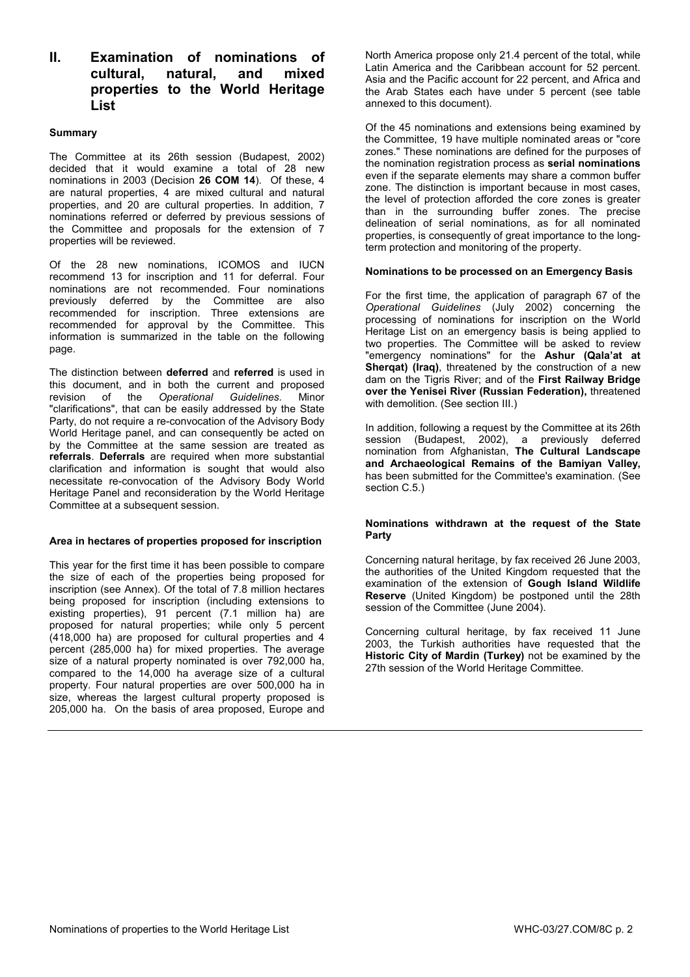# **II. Examination of nominations of cultural, natural, and mixed properties to the World Heritage List**

### **Summary**

The Committee at its 26th session (Budapest, 2002) decided that it would examine a total of 28 new nominations in 2003 (Decision **26 COM 14**). Of these, 4 are natural properties, 4 are mixed cultural and natural properties, and 20 are cultural properties. In addition, 7 nominations referred or deferred by previous sessions of the Committee and proposals for the extension of 7 properties will be reviewed.

Of the 28 new nominations, ICOMOS and IUCN recommend 13 for inscription and 11 for deferral. Four nominations are not recommended. Four nominations previously deferred by the Committee are also recommended for inscription. Three extensions are recommended for approval by the Committee. This information is summarized in the table on the following page.

The distinction between **deferred** and **referred** is used in this document, and in both the current and proposed revision of the *Operational Guidelines.* Minor "clarifications", that can be easily addressed by the State Party, do not require a re-convocation of the Advisory Body World Heritage panel, and can consequently be acted on by the Committee at the same session are treated as **referrals**. **Deferrals** are required when more substantial clarification and information is sought that would also necessitate re-convocation of the Advisory Body World Heritage Panel and reconsideration by the World Heritage Committee at a subsequent session.

# **Area in hectares of properties proposed for inscription**

This year for the first time it has been possible to compare the size of each of the properties being proposed for inscription (see Annex). Of the total of 7.8 million hectares being proposed for inscription (including extensions to existing properties), 91 percent (7.1 million ha) are proposed for natural properties; while only 5 percent (418,000 ha) are proposed for cultural properties and 4 percent (285,000 ha) for mixed properties. The average size of a natural property nominated is over 792,000 ha, compared to the 14,000 ha average size of a cultural property. Four natural properties are over 500,000 ha in size, whereas the largest cultural property proposed is 205,000 ha. On the basis of area proposed, Europe and

North America propose only 21.4 percent of the total, while Latin America and the Caribbean account for 52 percent. Asia and the Pacific account for 22 percent, and Africa and the Arab States each have under 5 percent (see table annexed to this document).

Of the 45 nominations and extensions being examined by the Committee, 19 have multiple nominated areas or "core zones." These nominations are defined for the purposes of the nomination registration process as **serial nominations** even if the separate elements may share a common buffer zone. The distinction is important because in most cases, the level of protection afforded the core zones is greater than in the surrounding buffer zones. The precise delineation of serial nominations, as for all nominated properties, is consequently of great importance to the longterm protection and monitoring of the property.

#### **Nominations to be processed on an Emergency Basis**

For the first time, the application of paragraph 67 of the *Operational Guidelines* (July 2002) concerning the processing of nominations for inscription on the World Heritage List on an emergency basis is being applied to two properties. The Committee will be asked to review "emergency nominations" for the **Ashur (Qala'at at Sherqat) (Iraq)**, threatened by the construction of a new dam on the Tigris River; and of the **First Railway Bridge over the Yenisei River (Russian Federation),** threatened with demolition. (See section III.)

In addition, following a request by the Committee at its 26th session (Budapest, 2002), a previously deferred nomination from Afghanistan, **The Cultural Landscape and Archaeological Remains of the Bamiyan Valley,** has been submitted for the Committee's examination. (See section C.5.)

#### **Nominations withdrawn at the request of the State Party**

Concerning natural heritage, by fax received 26 June 2003, the authorities of the United Kingdom requested that the examination of the extension of **Gough Island Wildlife Reserve** (United Kingdom) be postponed until the 28th session of the Committee (June 2004).

Concerning cultural heritage, by fax received 11 June 2003, the Turkish authorities have requested that the **Historic City of Mardin (Turkey)** not be examined by the 27th session of the World Heritage Committee.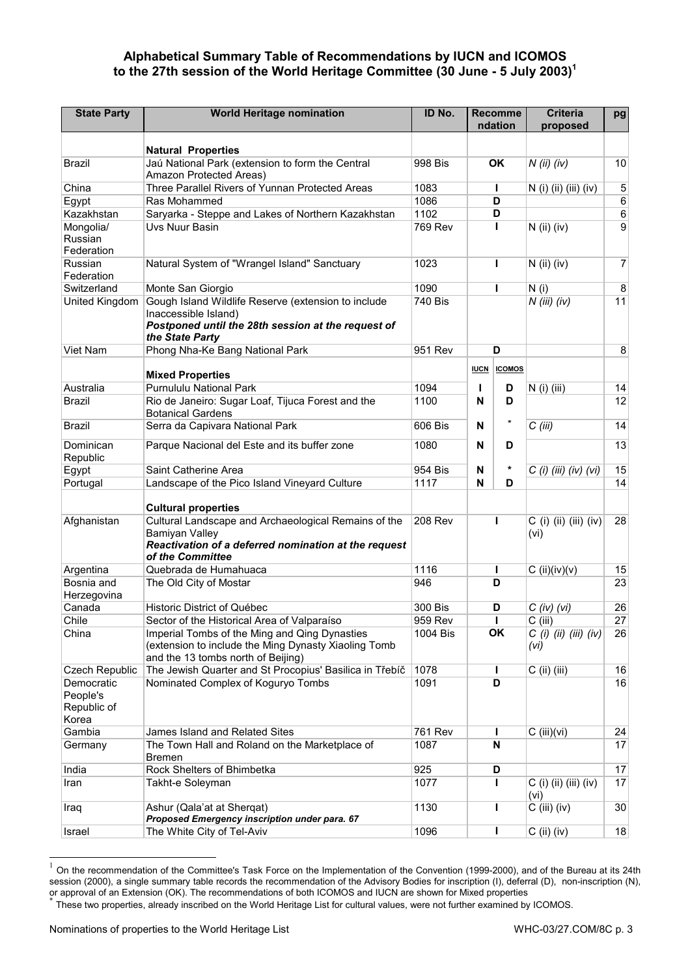# **Alphabetical Summary Table of Recommendations by IUCN and ICOMOS to the 27th session of the World Heritage Committee (30 June - 5 July 2003)1**

| <b>State Party</b>                             | <b>World Heritage nomination</b>                                                                                                                          | ID No.         |             | <b>Recomme</b><br>ndation | <b>Criteria</b><br>proposed     | pg               |
|------------------------------------------------|-----------------------------------------------------------------------------------------------------------------------------------------------------------|----------------|-------------|---------------------------|---------------------------------|------------------|
|                                                |                                                                                                                                                           |                |             |                           |                                 |                  |
| <b>Brazil</b>                                  | <b>Natural Properties</b><br>Jaú National Park (extension to form the Central                                                                             | 998 Bis        |             | <b>OK</b>                 | $N$ (ii) (iv)                   | 10               |
|                                                | Amazon Protected Areas)                                                                                                                                   |                |             |                           |                                 |                  |
| China                                          | Three Parallel Rivers of Yunnan Protected Areas                                                                                                           | 1083           |             | ı                         | N (i) (ii) (iii) (iv)           | 5                |
| Egypt                                          | Ras Mohammed                                                                                                                                              | 1086           |             | D                         |                                 | $\,6\,$          |
| Kazakhstan                                     | Saryarka - Steppe and Lakes of Northern Kazakhstan                                                                                                        | 1102           |             | D                         |                                 | $\,6$            |
| Mongolia/<br>Russian<br>Federation             | Uvs Nuur Basin                                                                                                                                            | 769 Rev        |             | Т                         | $N$ (ii) (iv)                   | $\boldsymbol{9}$ |
| Russian<br>Federation                          | Natural System of "Wrangel Island" Sanctuary                                                                                                              | 1023           |             | ı                         | $N$ (ii) (iv)                   | 7                |
| Switzerland                                    | Monte San Giorgio                                                                                                                                         | 1090           |             | ı                         | N(i)                            | 8                |
| United Kingdom                                 | Gough Island Wildlife Reserve (extension to include<br>Inaccessible Island)<br>Postponed until the 28th session at the request of<br>the State Party      | 740 Bis        |             |                           | $N$ (iii) (iv)                  | 11               |
| Viet Nam                                       | Phong Nha-Ke Bang National Park                                                                                                                           | 951 Rev        |             | D                         |                                 | 8                |
|                                                | <b>Mixed Properties</b>                                                                                                                                   |                | <b>IUCN</b> | <b>ICOMOS</b>             |                                 |                  |
| Australia                                      | Purnululu National Park                                                                                                                                   | 1094           | L           | D                         | $N$ (i) (iii)                   | 14               |
| <b>Brazil</b>                                  | Rio de Janeiro: Sugar Loaf, Tijuca Forest and the<br><b>Botanical Gardens</b>                                                                             | 1100           | N           | D                         |                                 | 12               |
| <b>Brazil</b>                                  | Serra da Capivara National Park                                                                                                                           | 606 Bis        | N           | *                         | $C$ (iii)                       | 14               |
| Dominican<br>Republic                          | Parque Nacional del Este and its buffer zone                                                                                                              | 1080           | N           | D                         |                                 | 13               |
| Egypt                                          | Saint Catherine Area                                                                                                                                      | 954 Bis        | N           |                           | $C$ (i) (iii) (iv) (vi)         | 15               |
| Portugal                                       | Landscape of the Pico Island Vineyard Culture                                                                                                             | 1117           | N           | D                         |                                 | 14               |
|                                                | <b>Cultural properties</b>                                                                                                                                |                |             |                           |                                 |                  |
| Afghanistan                                    | Cultural Landscape and Archaeological Remains of the<br><b>Bamiyan Valley</b><br>Reactivation of a deferred nomination at the request<br>of the Committee | <b>208 Rev</b> |             | ı                         | $C$ (i) (ii) (iii) (iv)<br>(vi) | 28               |
| Argentina                                      | Quebrada de Humahuaca                                                                                                                                     | 1116           |             | I                         | $C$ (ii)(iv)(v)                 | 15               |
| Bosnia and<br>Herzegovina                      | The Old City of Mostar                                                                                                                                    | 946            |             | D                         |                                 | 23               |
| Canada                                         | Historic District of Québec                                                                                                                               | 300 Bis        |             | D                         | $C$ (iv) (vi)                   | 26               |
| Chile                                          | Sector of the Historical Area of Valparaíso                                                                                                               | 959 Rev        |             | ı                         | $C$ (iii)                       | 27               |
| China                                          | Imperial Tombs of the Ming and Qing Dynasties<br>(extension to include the Ming Dynasty Xiaoling Tomb<br>and the 13 tombs north of Beijing)               | 1004 Bis       | OK<br>(vi)  |                           | $C$ (i) (ii) (iii) (iv)         | 26               |
| <b>Czech Republic</b>                          | The Jewish Quarter and St Procopius' Basilica in Třebíč                                                                                                   | 1078           |             | L                         | $C$ (ii) (iii)                  | 16               |
| Democratic<br>People's<br>Republic of<br>Korea | Nominated Complex of Koguryo Tombs                                                                                                                        | 1091           |             | D                         |                                 | 16               |
| Gambia                                         | James Island and Related Sites                                                                                                                            | 761 Rev        |             | L                         | $C$ (iii)(vi)                   | 24               |
| Germany                                        | The Town Hall and Roland on the Marketplace of<br><b>Bremen</b>                                                                                           | 1087           |             | N                         |                                 | 17               |
| India                                          | Rock Shelters of Bhimbetka                                                                                                                                | 925            |             | D                         |                                 | 17               |
| Iran                                           | Takht-e Soleyman                                                                                                                                          | 1077           |             | $\mathbf{I}$              | $C$ (i) (ii) (iii) (iv)<br>(vi) | 17               |
| Iraq                                           | Ashur (Qala'at at Shergat)<br>Proposed Emergency inscription under para. 67                                                                               | 1130           |             | ı                         | $C$ (iii) (iv)                  | 30               |
| Israel                                         | The White City of Tel-Aviv                                                                                                                                | 1096           |             | L                         | $C$ (ii) (iv)                   | 18               |

 $\mathbf{1}$ <sup>1</sup> On the recommendation of the Committee's Task Force on the Implementation of the Convention (1999-2000), and of the Bureau at its 24th session (2000), a single summary table records the recommendation of the Advisory Bodies for inscription (I), deferral (D), non-inscription (N), or approval of an Extension (OK). The recommendations of both ICOMOS and IUCN are shown for Mixed properties<br>or approval of an Extension (OK). The recommendations of both ICOMOS and IUCN are shown for Mixed properties<br>\* Th

These two properties, already inscribed on the World Heritage List for cultural values, were not further examined by ICOMOS.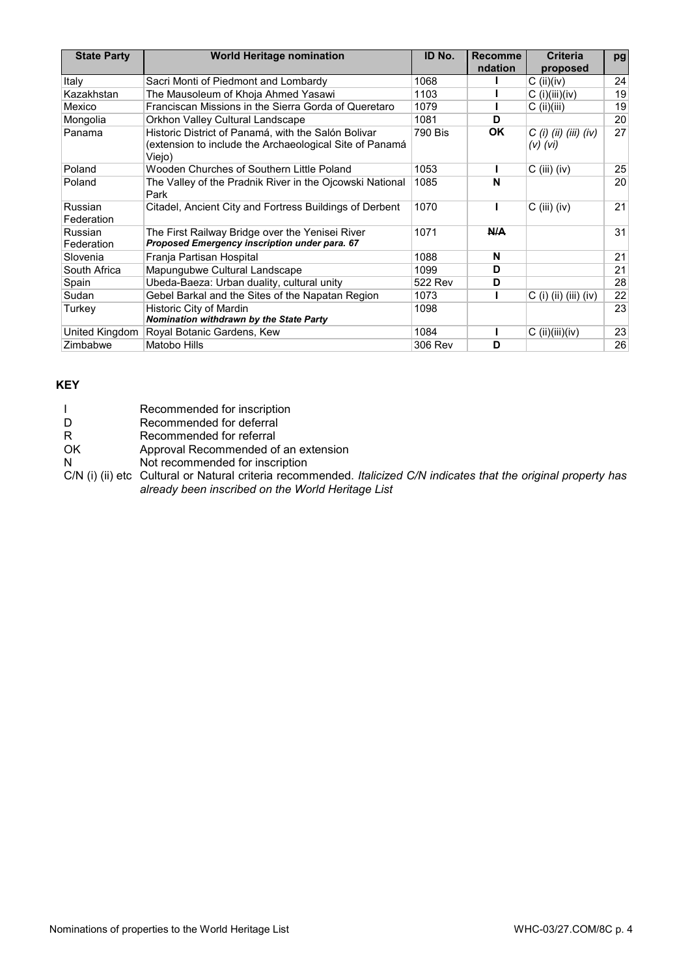| <b>State Party</b>    | <b>World Heritage nomination</b>                                                                                         | ID No.  | <b>Recomme</b><br>ndation | <b>Criteria</b>                         | pg |
|-----------------------|--------------------------------------------------------------------------------------------------------------------------|---------|---------------------------|-----------------------------------------|----|
| Italy                 | Sacri Monti of Piedmont and Lombardy                                                                                     | 1068    |                           | proposed                                | 24 |
|                       |                                                                                                                          |         |                           | $C$ (ii)(iv)                            |    |
| Kazakhstan            | The Mausoleum of Khoja Ahmed Yasawi                                                                                      | 1103    |                           | $C$ (i)(iii)(iv)                        | 19 |
| Mexico                | Franciscan Missions in the Sierra Gorda of Queretaro                                                                     | 1079    |                           | $C$ (ii)(iii)                           | 19 |
| Mongolia              | Orkhon Valley Cultural Landscape                                                                                         | 1081    | D                         |                                         | 20 |
| Panama                | Historic District of Panamá, with the Salón Bolivar<br>(extension to include the Archaeological Site of Panamá<br>Viejo) | 790 Bis | <b>OK</b>                 | $C$ (i) (ii) (iii) (iv)<br>$(V)$ $(Vi)$ | 27 |
| Poland                | Wooden Churches of Southern Little Poland                                                                                | 1053    |                           | $C$ (iii) (iv)                          | 25 |
| Poland                | The Valley of the Pradnik River in the Ojcowski National<br>Park                                                         | 1085    | N                         |                                         | 20 |
| Russian<br>Federation | Citadel, Ancient City and Fortress Buildings of Derbent                                                                  | 1070    |                           | $C$ (iii) (iv)                          | 21 |
| Russian<br>Federation | The First Railway Bridge over the Yenisei River<br>Proposed Emergency inscription under para. 67                         | 1071    | N/A                       |                                         | 31 |
| Slovenia              | Franja Partisan Hospital                                                                                                 | 1088    | N                         |                                         | 21 |
| South Africa          | Mapungubwe Cultural Landscape                                                                                            | 1099    | D                         |                                         | 21 |
| Spain                 | Ubeda-Baeza: Urban duality, cultural unity                                                                               | 522 Rev | D                         |                                         | 28 |
| Sudan                 | Gebel Barkal and the Sites of the Napatan Region                                                                         | 1073    |                           | $C$ (i) (ii) (iii) (iv)                 | 22 |
| Turkey                | Historic City of Mardin<br>Nomination withdrawn by the State Party                                                       | 1098    |                           |                                         | 23 |
| United Kingdom        | Royal Botanic Gardens, Kew                                                                                               | 1084    |                           | $C$ (ii)(iii)(iv)                       | 23 |
| Zimbabwe              | Matobo Hills                                                                                                             | 306 Rev | D                         |                                         | 26 |

# **KEY**

|    | Recommended for inscription          |
|----|--------------------------------------|
| D  | Recommended for deferral             |
| R  | Recommended for referral             |
| OK | Approval Recommended of an extension |
| N  | Not recommended for inscription      |
|    |                                      |

C/N (i) (ii) etc Cultural or Natural criteria recommended. *Italicized C/N indicates that the original property has already been inscribed on the World Heritage List*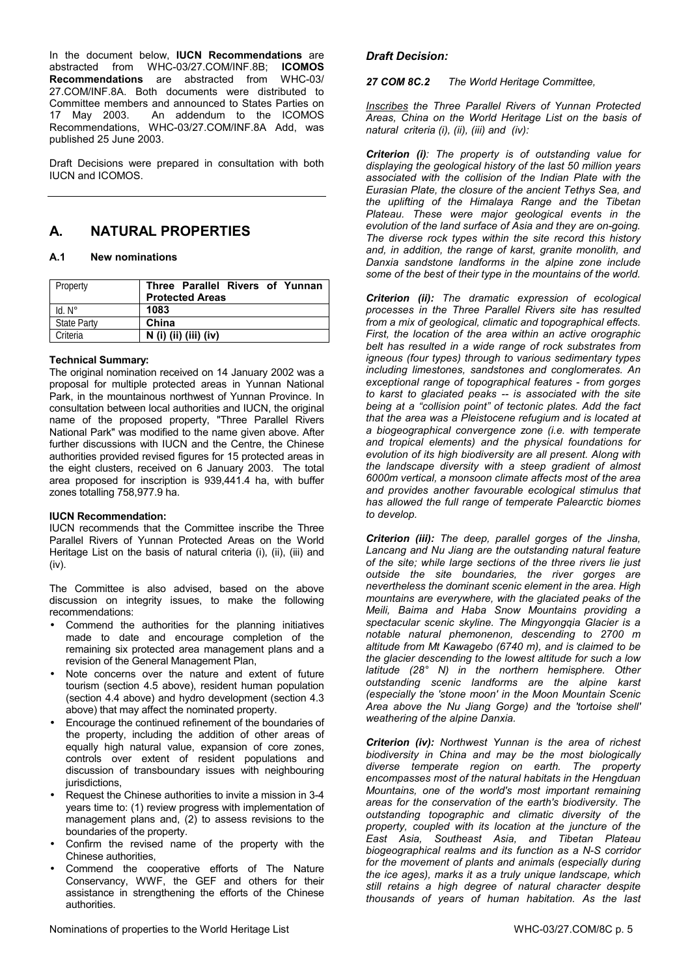In the document below, **IUCN Recommendations** are abstracted from WHC-03/27.COM/INF.8B; **ICOMOS Recommendations** are abstracted from WHC-03/ 27.COM/INF.8A. Both documents were distributed to Committee members and announced to States Parties on 17 May 2003. An addendum to the ICOMOS Recommendations, WHC-03/27.COM/INF.8A Add, was published 25 June 2003.

Draft Decisions were prepared in consultation with both IUCN and ICOMOS.

# **A. NATURAL PROPERTIES**

### **A.1 New nominations**

| Property           | Three Parallel Rivers of Yunnan<br><b>Protected Areas</b> |
|--------------------|-----------------------------------------------------------|
| $Id. N^\circ$      | 1083                                                      |
| <b>State Party</b> | China                                                     |
| Criteria           | $N$ (i) (ii) (iii) (iv)                                   |

#### **Technical Summary:**

The original nomination received on 14 January 2002 was a proposal for multiple protected areas in Yunnan National Park, in the mountainous northwest of Yunnan Province. In consultation between local authorities and IUCN, the original name of the proposed property, "Three Parallel Rivers National Park" was modified to the name given above. After further discussions with IUCN and the Centre, the Chinese authorities provided revised figures for 15 protected areas in the eight clusters, received on 6 January 2003. The total area proposed for inscription is 939,441.4 ha, with buffer zones totalling 758,977.9 ha.

# **IUCN Recommendation:**

IUCN recommends that the Committee inscribe the Three Parallel Rivers of Yunnan Protected Areas on the World Heritage List on the basis of natural criteria (i), (ii), (iii) and (iv).

The Committee is also advised, based on the above discussion on integrity issues, to make the following recommendations:

- Commend the authorities for the planning initiatives made to date and encourage completion of the remaining six protected area management plans and a revision of the General Management Plan,
- Note concerns over the nature and extent of future tourism (section 4.5 above), resident human population (section 4.4 above) and hydro development (section 4.3 above) that may affect the nominated property.
- Encourage the continued refinement of the boundaries of the property, including the addition of other areas of equally high natural value, expansion of core zones, controls over extent of resident populations and discussion of transboundary issues with neighbouring jurisdictions.
- Request the Chinese authorities to invite a mission in 3-4 years time to: (1) review progress with implementation of management plans and, (2) to assess revisions to the boundaries of the property.
- Confirm the revised name of the property with the Chinese authorities,
- Commend the cooperative efforts of The Nature Conservancy, WWF, the GEF and others for their assistance in strengthening the efforts of the Chinese authorities.

# *Draft Decision:*

*27 COM 8C.2 The World Heritage Committee,* 

*Inscribes the Three Parallel Rivers of Yunnan Protected Areas, China on the World Heritage List on the basis of natural criteria (i), (ii), (iii) and (iv):* 

*Criterion (i): The property is of outstanding value for displaying the geological history of the last 50 million years associated with the collision of the Indian Plate with the Eurasian Plate, the closure of the ancient Tethys Sea, and the uplifting of the Himalaya Range and the Tibetan Plateau. These were major geological events in the evolution of the land surface of Asia and they are on-going. The diverse rock types within the site record this history and, in addition, the range of karst, granite monolith, and Danxia sandstone landforms in the alpine zone include some of the best of their type in the mountains of the world.* 

*Criterion (ii): The dramatic expression of ecological processes in the Three Parallel Rivers site has resulted from a mix of geological, climatic and topographical effects. First, the location of the area within an active orographic belt has resulted in a wide range of rock substrates from igneous (four types) through to various sedimentary types including limestones, sandstones and conglomerates. An exceptional range of topographical features - from gorges to karst to glaciated peaks -- is associated with the site being at a "collision point" of tectonic plates. Add the fact that the area was a Pleistocene refugium and is located at a biogeographical convergence zone (i.e. with temperate and tropical elements) and the physical foundations for evolution of its high biodiversity are all present. Along with the landscape diversity with a steep gradient of almost 6000m vertical, a monsoon climate affects most of the area and provides another favourable ecological stimulus that has allowed the full range of temperate Palearctic biomes to develop.* 

*Criterion (iii): The deep, parallel gorges of the Jinsha, Lancang and Nu Jiang are the outstanding natural feature of the site; while large sections of the three rivers lie just outside the site boundaries, the river gorges are nevertheless the dominant scenic element in the area. High mountains are everywhere, with the glaciated peaks of the Meili, Baima and Haba Snow Mountains providing a spectacular scenic skyline. The Mingyongqia Glacier is a notable natural phemonenon, descending to 2700 m altitude from Mt Kawagebo (6740 m), and is claimed to be the glacier descending to the lowest altitude for such a low latitude (28° N) in the northern hemisphere. Other outstanding scenic landforms are the alpine karst (especially the 'stone moon' in the Moon Mountain Scenic Area above the Nu Jiang Gorge) and the 'tortoise shell' weathering of the alpine Danxia.* 

*Criterion (iv): Northwest Yunnan is the area of richest biodiversity in China and may be the most biologically diverse temperate region on earth. The property encompasses most of the natural habitats in the Hengduan Mountains, one of the world's most important remaining areas for the conservation of the earth's biodiversity. The outstanding topographic and climatic diversity of the property, coupled with its location at the juncture of the East Asia, Southeast Asia, and Tibetan Plateau biogeographical realms and its function as a N-S corridor for the movement of plants and animals (especially during the ice ages), marks it as a truly unique landscape, which still retains a high degree of natural character despite thousands of years of human habitation. As the last*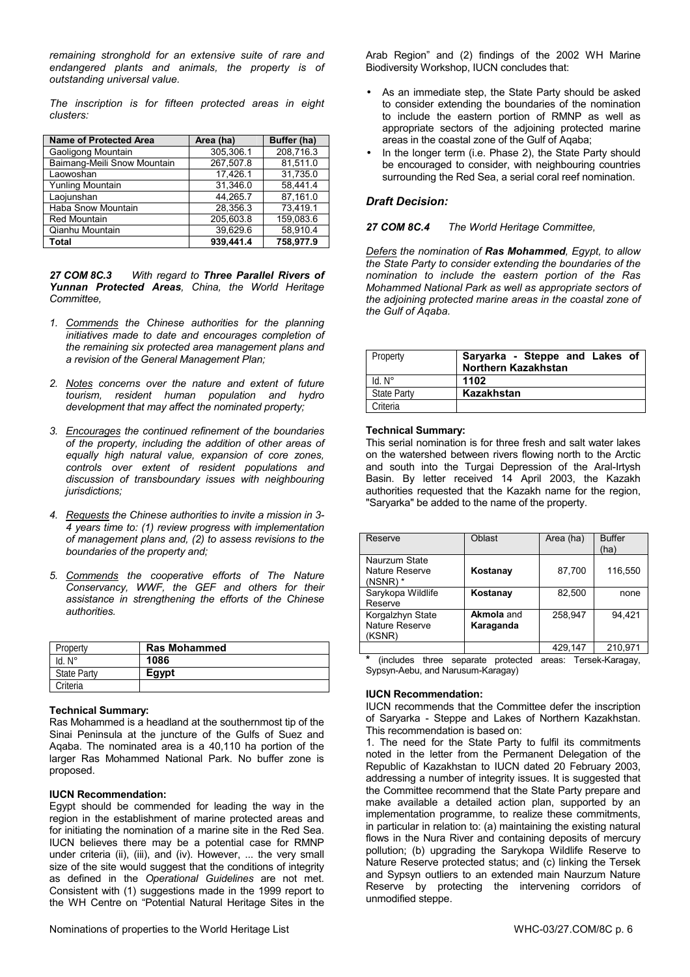*remaining stronghold for an extensive suite of rare and endangered plants and animals, the property is of outstanding universal value.* 

*The inscription is for fifteen protected areas in eight clusters:* 

| <b>Name of Protected Area</b> | Area (ha) | Buffer (ha) |
|-------------------------------|-----------|-------------|
| Gaoligong Mountain            | 305,306.1 | 208,716.3   |
| Baimang-Meili Snow Mountain   | 267,507.8 | 81.511.0    |
| Laowoshan                     | 17,426.1  | 31,735.0    |
| Yunling Mountain              | 31.346.0  | 58,441.4    |
| Laojunshan                    | 44.265.7  | 87,161.0    |
| Haba Snow Mountain            | 28.356.3  | 73.419.1    |
| <b>Red Mountain</b>           | 205,603.8 | 159.083.6   |
| Qianhu Mountain               | 39.629.6  | 58,910.4    |
| <b>Total</b>                  | 939.441.4 | 758,977.9   |

*27 COM 8C.3 With regard to Three Parallel Rivers of Yunnan Protected Areas, China, the World Heritage Committee,* 

- *1. Commends the Chinese authorities for the planning initiatives made to date and encourages completion of the remaining six protected area management plans and a revision of the General Management Plan;*
- *2. Notes concerns over the nature and extent of future tourism, resident human population and hydro development that may affect the nominated property;*
- *3. Encourages the continued refinement of the boundaries of the property, including the addition of other areas of equally high natural value, expansion of core zones, controls over extent of resident populations and discussion of transboundary issues with neighbouring jurisdictions;*
- *4. Requests the Chinese authorities to invite a mission in 3- 4 years time to: (1) review progress with implementation of management plans and, (2) to assess revisions to the boundaries of the property and;*
- *5. Commends the cooperative efforts of The Nature Conservancy, WWF, the GEF and others for their assistance in strengthening the efforts of the Chinese authorities.*

| Property           | <b>Ras Mohammed</b> |
|--------------------|---------------------|
| . N°               | 1086                |
| <b>State Party</b> | Eavpt               |
| Criteria           |                     |

#### **Technical Summary:**

Ras Mohammed is a headland at the southernmost tip of the Sinai Peninsula at the juncture of the Gulfs of Suez and Aqaba. The nominated area is a 40,110 ha portion of the larger Ras Mohammed National Park. No buffer zone is proposed.

#### **IUCN Recommendation:**

Egypt should be commended for leading the way in the region in the establishment of marine protected areas and for initiating the nomination of a marine site in the Red Sea. IUCN believes there may be a potential case for RMNP under criteria (ii), (iii), and (iv). However, ... the very small size of the site would suggest that the conditions of integrity as defined in the *Operational Guidelines* are not met. Consistent with (1) suggestions made in the 1999 report to the WH Centre on "Potential Natural Heritage Sites in the Arab Region" and (2) findings of the 2002 WH Marine Biodiversity Workshop, IUCN concludes that:

- As an immediate step, the State Party should be asked to consider extending the boundaries of the nomination to include the eastern portion of RMNP as well as appropriate sectors of the adjoining protected marine areas in the coastal zone of the Gulf of Aqaba;
- In the longer term (i.e. Phase 2), the State Party should be encouraged to consider, with neighbouring countries surrounding the Red Sea, a serial coral reef nomination.

### *Draft Decision:*

#### *27 COM 8C.4 The World Heritage Committee,*

*Defers the nomination of Ras Mohammed, Egypt, to allow the State Party to consider extending the boundaries of the nomination to include the eastern portion of the Ras Mohammed National Park as well as appropriate sectors of the adjoining protected marine areas in the coastal zone of the Gulf of Aqaba.* 

| Property           | Saryarka - Steppe and Lakes of<br>Northern Kazakhstan |
|--------------------|-------------------------------------------------------|
| $Id. N^\circ$      | 1102                                                  |
| <b>State Party</b> | Kazakhstan                                            |
| Criteria           |                                                       |

#### **Technical Summary:**

This serial nomination is for three fresh and salt water lakes on the watershed between rivers flowing north to the Arctic and south into the Turgai Depression of the Aral-Irtysh Basin. By letter received 14 April 2003, the Kazakh authorities requested that the Kazakh name for the region, "Saryarka" be added to the name of the property.

| Reserve                                       | Oblast                         | Area (ha) | <b>Buffer</b><br>(ha) |
|-----------------------------------------------|--------------------------------|-----------|-----------------------|
| Naurzum State<br>Nature Reserve<br>$(NSNR)$ * | Kostanay                       | 87,700    | 116.550               |
| Sarykopa Wildlife<br>Reserve                  | Kostanay                       | 82.500    | none                  |
| Korgalzhyn State<br>Nature Reserve<br>(KSNR)  | <b>Akmola and</b><br>Karaganda | 258.947   | 94.421                |
|                                               |                                | 429.147   | 210,971               |

**\*** (includes three separate protected areas: Tersek-Karagay, Sypsyn-Aebu, and Narusum-Karagay)

#### **IUCN Recommendation:**

IUCN recommends that the Committee defer the inscription of Saryarka - Steppe and Lakes of Northern Kazakhstan. This recommendation is based on:

1. The need for the State Party to fulfil its commitments noted in the letter from the Permanent Delegation of the Republic of Kazakhstan to IUCN dated 20 February 2003, addressing a number of integrity issues. It is suggested that the Committee recommend that the State Party prepare and make available a detailed action plan, supported by an implementation programme, to realize these commitments, in particular in relation to: (a) maintaining the existing natural flows in the Nura River and containing deposits of mercury pollution; (b) upgrading the Sarykopa Wildlife Reserve to Nature Reserve protected status; and (c) linking the Tersek and Sypsyn outliers to an extended main Naurzum Nature Reserve by protecting the intervening corridors of unmodified steppe.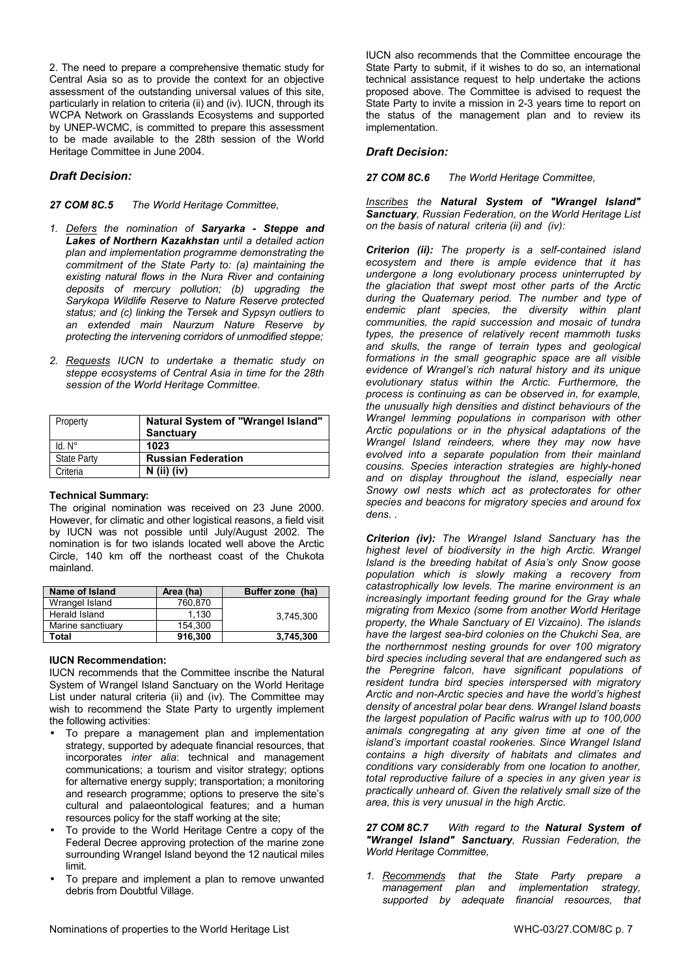2. The need to prepare a comprehensive thematic study for Central Asia so as to provide the context for an objective assessment of the outstanding universal values of this site, particularly in relation to criteria (ii) and (iv). IUCN, through its WCPA Network on Grasslands Ecosystems and supported by UNEP-WCMC, is committed to prepare this assessment to be made available to the 28th session of the World Heritage Committee in June 2004.

# *Draft Decision:*

#### *27 COM 8C.5 The World Heritage Committee,*

- *1. Defers the nomination of Saryarka Steppe and Lakes of Northern Kazakhstan until a detailed action plan and implementation programme demonstrating the commitment of the State Party to: (a) maintaining the existing natural flows in the Nura River and containing deposits of mercury pollution; (b) upgrading the Sarykopa Wildlife Reserve to Nature Reserve protected status; and (c) linking the Tersek and Sypsyn outliers to an extended main Naurzum Nature Reserve by protecting the intervening corridors of unmodified steppe;*
- *2. Requests IUCN to undertake a thematic study on steppe ecosystems of Central Asia in time for the 28th session of the World Heritage Committee.*

| Property           | Natural System of "Wrangel Island"<br><b>Sanctuary</b> |
|--------------------|--------------------------------------------------------|
| $Id. N^\circ$      | 1023                                                   |
| <b>State Party</b> | <b>Russian Federation</b>                              |
| Criteria           | $N$ (ii) (iv)                                          |

#### **Technical Summary:**

The original nomination was received on 23 June 2000. However, for climatic and other logistical reasons, a field visit by IUCN was not possible until July/August 2002. The nomination is for two islands located well above the Arctic Circle, 140 km off the northeast coast of the Chukota mainland.

| Name of Island    | Area (ha) | Buffer zone (ha) |
|-------------------|-----------|------------------|
| Wrangel Island    | 760.870   |                  |
| Herald Island     | 1.130     | 3.745.300        |
| Marine sanctiuary | 154.300   |                  |
| Total             | 916.300   | 3.745.300        |

#### **IUCN Recommendation:**

IUCN recommends that the Committee inscribe the Natural System of Wrangel Island Sanctuary on the World Heritage List under natural criteria (ii) and (iv). The Committee may wish to recommend the State Party to urgently implement the following activities:

- To prepare a management plan and implementation strategy, supported by adequate financial resources, that incorporates *inter alia*: technical and management communications; a tourism and visitor strategy; options for alternative energy supply; transportation; a monitoring and research programme; options to preserve the site's cultural and palaeontological features; and a human resources policy for the staff working at the site;
- To provide to the World Heritage Centre a copy of the Federal Decree approving protection of the marine zone surrounding Wrangel Island beyond the 12 nautical miles limit.
- To prepare and implement a plan to remove unwanted debris from Doubtful Village.

IUCN also recommends that the Committee encourage the State Party to submit, if it wishes to do so, an international technical assistance request to help undertake the actions proposed above. The Committee is advised to request the State Party to invite a mission in 2-3 years time to report on the status of the management plan and to review its implementation.

# *Draft Decision:*

*27 COM 8C.6 The World Heritage Committee,* 

*Inscribes the Natural System of "Wrangel Island" Sanctuary, Russian Federation, on the World Heritage List on the basis of natural criteria (ii) and (iv):* 

*Criterion (ii): The property is a self-contained island ecosystem and there is ample evidence that it has undergone a long evolutionary process uninterrupted by the glaciation that swept most other parts of the Arctic during the Quaternary period. The number and type of endemic plant species, the diversity within plant communities, the rapid succession and mosaic of tundra types, the presence of relatively recent mammoth tusks and skulls, the range of terrain types and geological formations in the small geographic space are all visible evidence of Wrangel's rich natural history and its unique evolutionary status within the Arctic. Furthermore, the process is continuing as can be observed in, for example, the unusually high densities and distinct behaviours of the Wrangel lemming populations in comparison with other Arctic populations or in the physical adaptations of the Wrangel Island reindeers, where they may now have evolved into a separate population from their mainland cousins. Species interaction strategies are highly-honed and on display throughout the island, especially near Snowy owl nests which act as protectorates for other species and beacons for migratory species and around fox dens. .* 

*Criterion (iv): The Wrangel Island Sanctuary has the highest level of biodiversity in the high Arctic. Wrangel Island is the breeding habitat of Asia's only Snow goose population which is slowly making a recovery from catastrophically low levels. The marine environment is an increasingly important feeding ground for the Gray whale migrating from Mexico (some from another World Heritage property, the Whale Sanctuary of El Vizcaino). The islands have the largest sea-bird colonies on the Chukchi Sea, are the northernmost nesting grounds for over 100 migratory bird species including several that are endangered such as the Peregrine falcon, have significant populations of resident tundra bird species interspersed with migratory Arctic and non-Arctic species and have the world's highest density of ancestral polar bear dens. Wrangel Island boasts the largest population of Pacific walrus with up to 100,000 animals congregating at any given time at one of the island's important coastal rookeries. Since Wrangel Island contains a high diversity of habitats and climates and conditions vary considerably from one location to another, total reproductive failure of a species in any given year is practically unheard of. Given the relatively small size of the area, this is very unusual in the high Arctic.* 

#### *27 COM 8C.7 With regard to the Natural System of "Wrangel Island" Sanctuary, Russian Federation, the World Heritage Committee,*

*1. Recommends that the State Party prepare a management plan and implementation strategy, supported by adequate financial resources, that*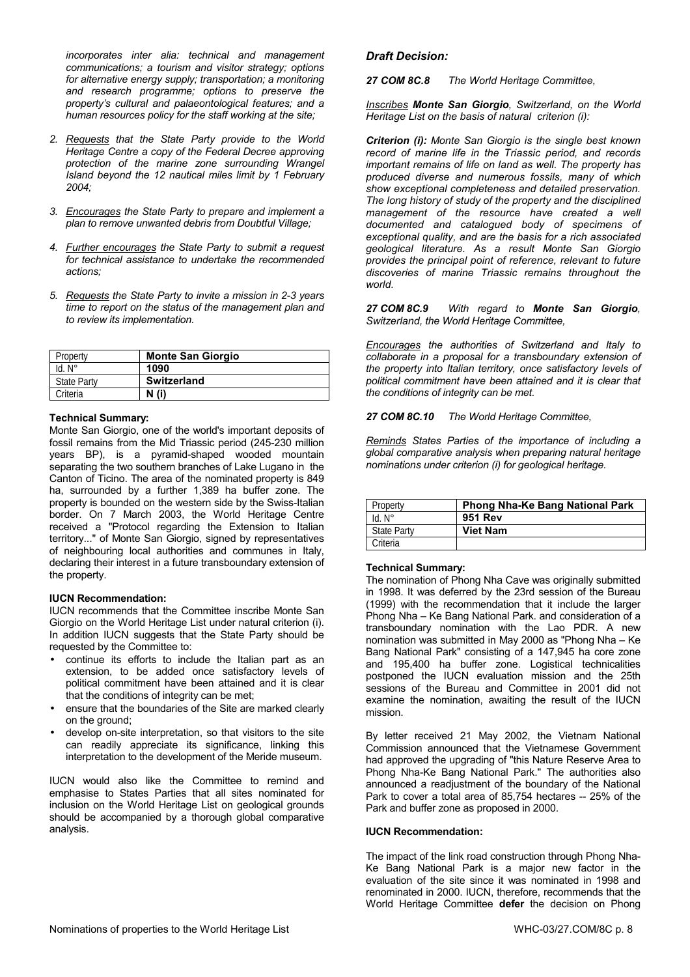*incorporates inter alia: technical and management communications; a tourism and visitor strategy; options for alternative energy supply; transportation; a monitoring and research programme; options to preserve the property's cultural and palaeontological features; and a human resources policy for the staff working at the site;* 

- *2. Requests that the State Party provide to the World Heritage Centre a copy of the Federal Decree approving protection of the marine zone surrounding Wrangel Island beyond the 12 nautical miles limit by 1 February 2004;*
- *3. Encourages the State Party to prepare and implement a plan to remove unwanted debris from Doubtful Village;*
- *4. Further encourages the State Party to submit a request for technical assistance to undertake the recommended actions;*
- *5. Requests the State Party to invite a mission in 2-3 years time to report on the status of the management plan and to review its implementation.*

| Property           | <b>Monte San Giorgio</b> |
|--------------------|--------------------------|
| $Id. N^\circ$      | 1090                     |
| <b>State Party</b> | <b>Switzerland</b>       |
| Criteria           | N (i)                    |

#### **Technical Summary:**

Monte San Giorgio, one of the world's important deposits of fossil remains from the Mid Triassic period (245-230 million years BP), is a pyramid-shaped wooded mountain separating the two southern branches of Lake Lugano in the Canton of Ticino. The area of the nominated property is 849 ha, surrounded by a further 1,389 ha buffer zone. The property is bounded on the western side by the Swiss-Italian border. On 7 March 2003, the World Heritage Centre received a "Protocol regarding the Extension to Italian territory..." of Monte San Giorgio, signed by representatives of neighbouring local authorities and communes in Italy, declaring their interest in a future transboundary extension of the property.

#### **IUCN Recommendation:**

IUCN recommends that the Committee inscribe Monte San Giorgio on the World Heritage List under natural criterion (i). In addition IUCN suggests that the State Party should be requested by the Committee to:

- continue its efforts to include the Italian part as an extension, to be added once satisfactory levels of political commitment have been attained and it is clear that the conditions of integrity can be met;
- ensure that the boundaries of the Site are marked clearly on the ground;
- develop on-site interpretation, so that visitors to the site can readily appreciate its significance, linking this interpretation to the development of the Meride museum.

IUCN would also like the Committee to remind and emphasise to States Parties that all sites nominated for inclusion on the World Heritage List on geological grounds should be accompanied by a thorough global comparative analysis.

#### *Draft Decision:*

*27 COM 8C.8 The World Heritage Committee,* 

*Inscribes Monte San Giorgio, Switzerland, on the World Heritage List on the basis of natural criterion (i):* 

*Criterion (i): Monte San Giorgio is the single best known record of marine life in the Triassic period, and records important remains of life on land as well. The property has produced diverse and numerous fossils, many of which show exceptional completeness and detailed preservation. The long history of study of the property and the disciplined management of the resource have created a well documented and catalogued body of specimens of exceptional quality, and are the basis for a rich associated geological literature. As a result Monte San Giorgio provides the principal point of reference, relevant to future discoveries of marine Triassic remains throughout the world.* 

#### *27 COM 8C.9 With regard to Monte San Giorgio, Switzerland, the World Heritage Committee,*

*Encourages the authorities of Switzerland and Italy to collaborate in a proposal for a transboundary extension of the property into Italian territory, once satisfactory levels of political commitment have been attained and it is clear that the conditions of integrity can be met.* 

*27 COM 8C.10 The World Heritage Committee,* 

*Reminds States Parties of the importance of including a global comparative analysis when preparing natural heritage nominations under criterion (i) for geological heritage.* 

| Property           | <b>Phong Nha-Ke Bang National Park</b> |
|--------------------|----------------------------------------|
| $Id. N^\circ$      | <b>951 Rev</b>                         |
| <b>State Party</b> | <b>Viet Nam</b>                        |
| Criteria           |                                        |

#### **Technical Summary:**

The nomination of Phong Nha Cave was originally submitted in 1998. It was deferred by the 23rd session of the Bureau (1999) with the recommendation that it include the larger Phong Nha – Ke Bang National Park. and consideration of a transboundary nomination with the Lao PDR. A new nomination was submitted in May 2000 as "Phong Nha – Ke Bang National Park" consisting of a 147,945 ha core zone and 195,400 ha buffer zone. Logistical technicalities postponed the IUCN evaluation mission and the 25th sessions of the Bureau and Committee in 2001 did not examine the nomination, awaiting the result of the IUCN mission.

By letter received 21 May 2002, the Vietnam National Commission announced that the Vietnamese Government had approved the upgrading of "this Nature Reserve Area to Phong Nha-Ke Bang National Park." The authorities also announced a readjustment of the boundary of the National Park to cover a total area of 85,754 hectares -- 25% of the Park and buffer zone as proposed in 2000.

#### **IUCN Recommendation:**

The impact of the link road construction through Phong Nha-Ke Bang National Park is a major new factor in the evaluation of the site since it was nominated in 1998 and renominated in 2000. IUCN, therefore, recommends that the World Heritage Committee **defer** the decision on Phong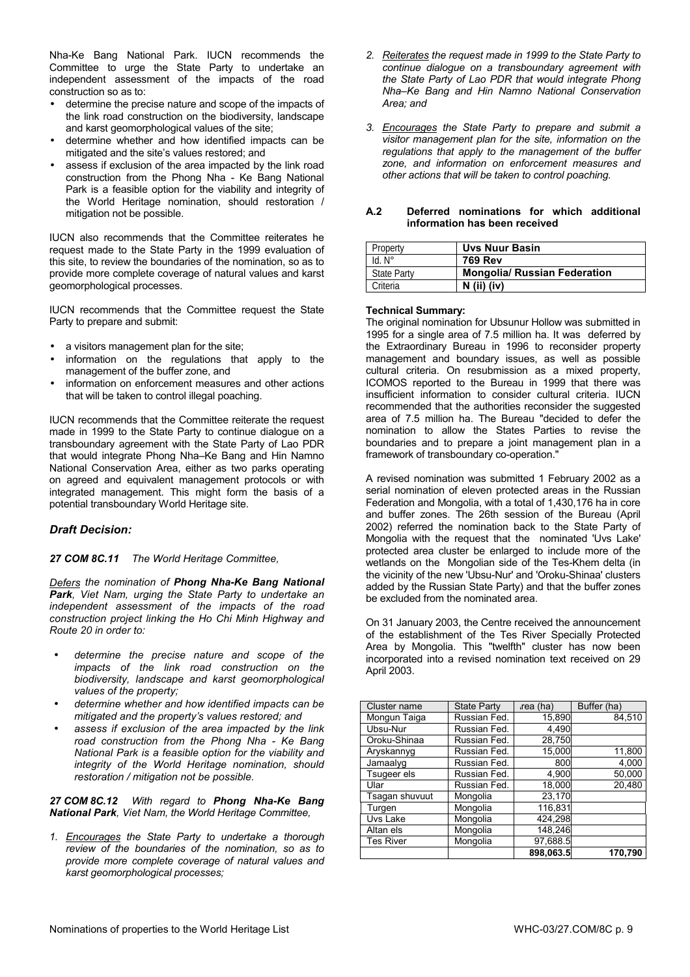Nha-Ke Bang National Park. IUCN recommends the Committee to urge the State Party to undertake an independent assessment of the impacts of the road construction so as to:

- determine the precise nature and scope of the impacts of the link road construction on the biodiversity, landscape and karst geomorphological values of the site;
- determine whether and how identified impacts can be mitigated and the site's values restored; and
- assess if exclusion of the area impacted by the link road construction from the Phong Nha - Ke Bang National Park is a feasible option for the viability and integrity of the World Heritage nomination, should restoration / mitigation not be possible.

IUCN also recommends that the Committee reiterates he request made to the State Party in the 1999 evaluation of this site, to review the boundaries of the nomination, so as to provide more complete coverage of natural values and karst geomorphological processes.

IUCN recommends that the Committee request the State Party to prepare and submit:

- a visitors management plan for the site;
- information on the regulations that apply to the management of the buffer zone, and
- information on enforcement measures and other actions that will be taken to control illegal poaching.

IUCN recommends that the Committee reiterate the request made in 1999 to the State Party to continue dialogue on a transboundary agreement with the State Party of Lao PDR that would integrate Phong Nha–Ke Bang and Hin Namno National Conservation Area, either as two parks operating on agreed and equivalent management protocols or with integrated management. This might form the basis of a potential transboundary World Heritage site.

# *Draft Decision:*

*27 COM 8C.11 The World Heritage Committee,* 

*Defers the nomination of Phong Nha-Ke Bang National Park, Viet Nam, urging the State Party to undertake an independent assessment of the impacts of the road construction project linking the Ho Chi Minh Highway and Route 20 in order to:* 

- *determine the precise nature and scope of the impacts of the link road construction on the biodiversity, landscape and karst geomorphological values of the property;*
- *determine whether and how identified impacts can be mitigated and the property's values restored; and*
- *assess if exclusion of the area impacted by the link road construction from the Phong Nha - Ke Bang National Park is a feasible option for the viability and integrity of the World Heritage nomination, should restoration / mitigation not be possible.*

*27 COM 8C.12 With regard to Phong Nha-Ke Bang National Park, Viet Nam, the World Heritage Committee,* 

*1. Encourages the State Party to undertake a thorough review of the boundaries of the nomination, so as to provide more complete coverage of natural values and karst geomorphological processes;* 

- *2. Reiterates the request made in 1999 to the State Party to continue dialogue on a transboundary agreement with the State Party of Lao PDR that would integrate Phong Nha–Ke Bang and Hin Namno National Conservation Area; and*
- *3. Encourages the State Party to prepare and submit a visitor management plan for the site, information on the regulations that apply to the management of the buffer zone, and information on enforcement measures and other actions that will be taken to control poaching.*

#### **A.2 Deferred nominations for which additional information has been received**

| Property           | <b>Uvs Nuur Basin</b>               |
|--------------------|-------------------------------------|
| $Id. N^\circ$      | <b>769 Rev</b>                      |
| <b>State Party</b> | <b>Mongolia/ Russian Federation</b> |
| Criteria           | $N$ (ii) (iv)                       |

#### **Technical Summary:**

The original nomination for Ubsunur Hollow was submitted in 1995 for a single area of 7.5 million ha. It was deferred by the Extraordinary Bureau in 1996 to reconsider property management and boundary issues, as well as possible cultural criteria. On resubmission as a mixed property, ICOMOS reported to the Bureau in 1999 that there was insufficient information to consider cultural criteria. IUCN recommended that the authorities reconsider the suggested area of 7.5 million ha. The Bureau "decided to defer the nomination to allow the States Parties to revise the boundaries and to prepare a joint management plan in a framework of transboundary co-operation."

A revised nomination was submitted 1 February 2002 as a serial nomination of eleven protected areas in the Russian Federation and Mongolia, with a total of 1,430,176 ha in core and buffer zones. The 26th session of the Bureau (April 2002) referred the nomination back to the State Party of Mongolia with the request that the nominated 'Uvs Lake' protected area cluster be enlarged to include more of the wetlands on the Mongolian side of the Tes-Khem delta (in the vicinity of the new 'Ubsu-Nur' and 'Oroku-Shinaa' clusters added by the Russian State Party) and that the buffer zones be excluded from the nominated area.

On 31 January 2003, the Centre received the announcement of the establishment of the Tes River Specially Protected Area by Mongolia. This "twelfth" cluster has now been incorporated into a revised nomination text received on 29 April 2003.

| Cluster name     | <b>State Party</b> | rea (ha)  | Buffer (ha) |
|------------------|--------------------|-----------|-------------|
| Mongun Taiga     | Russian Fed.       | 15,890    | 84,510      |
| Ubsu-Nur         | Russian Fed.       | 4,490     |             |
| Oroku-Shinaa     | Russian Fed.       | 28,750    |             |
| Aryskannyg       | Russian Fed.       | 15,000    | 11,800      |
| Jamaalyg         | Russian Fed.       | 800       | 4,000       |
| Tsugeer els      | Russian Fed.       | 4,900     | 50,000      |
| Ular             | Russian Fed.       | 18,000    | 20,480      |
| Tsagan shuvuut   | Mongolia           | 23,170    |             |
| Turgen           | Mongolia           | 116,831   |             |
| Uvs Lake         | Mongolia           | 424,298   |             |
| Altan els        | Mongolia           | 148,246   |             |
| <b>Tes River</b> | Mongolia           | 97,688.5  |             |
|                  |                    | 898.063.5 | 170,790     |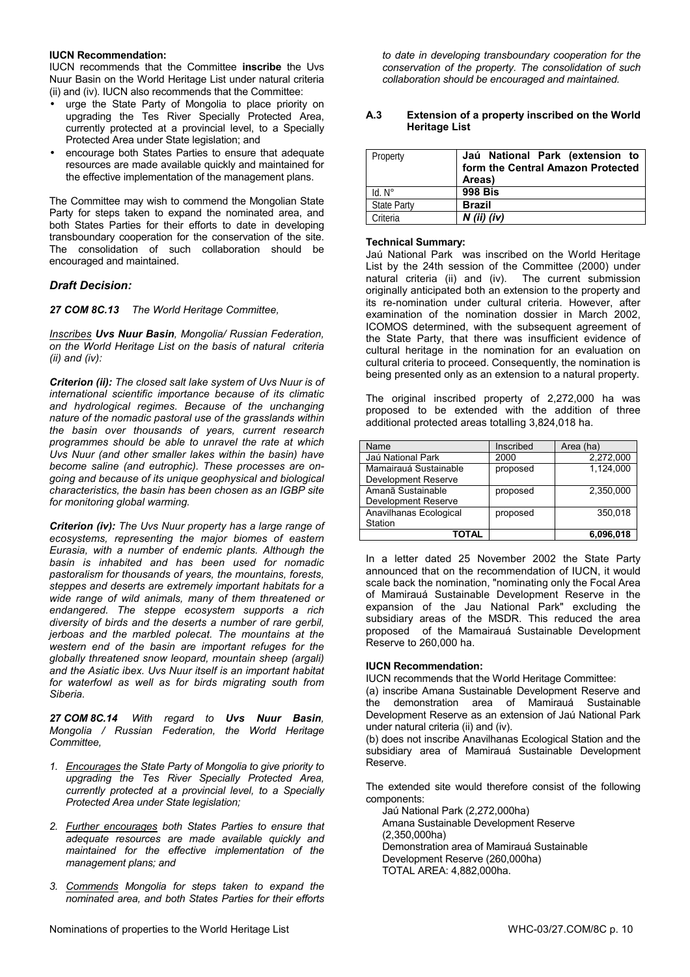#### **IUCN Recommendation:**

IUCN recommends that the Committee **inscribe** the Uvs Nuur Basin on the World Heritage List under natural criteria (ii) and (iv). IUCN also recommends that the Committee:

- urge the State Party of Mongolia to place priority on upgrading the Tes River Specially Protected Area, currently protected at a provincial level, to a Specially Protected Area under State legislation; and
- encourage both States Parties to ensure that adequate resources are made available quickly and maintained for the effective implementation of the management plans.

The Committee may wish to commend the Mongolian State Party for steps taken to expand the nominated area, and both States Parties for their efforts to date in developing transboundary cooperation for the conservation of the site. The consolidation of such collaboration should be encouraged and maintained.

### *Draft Decision:*

*27 COM 8C.13 The World Heritage Committee,* 

*Inscribes Uvs Nuur Basin, Mongolia/ Russian Federation, on the World Heritage List on the basis of natural criteria (ii) and (iv):* 

*Criterion (ii): The closed salt lake system of Uvs Nuur is of international scientific importance because of its climatic and hydrological regimes. Because of the unchanging nature of the nomadic pastoral use of the grasslands within the basin over thousands of years, current research programmes should be able to unravel the rate at which Uvs Nuur (and other smaller lakes within the basin) have become saline (and eutrophic). These processes are ongoing and because of its unique geophysical and biological characteristics, the basin has been chosen as an IGBP site for monitoring global warming.* 

*Criterion (iv): The Uvs Nuur property has a large range of ecosystems, representing the major biomes of eastern Eurasia, with a number of endemic plants. Although the basin is inhabited and has been used for nomadic pastoralism for thousands of years, the mountains, forests, steppes and deserts are extremely important habitats for a wide range of wild animals, many of them threatened or endangered. The steppe ecosystem supports a rich diversity of birds and the deserts a number of rare gerbil, jerboas and the marbled polecat. The mountains at the western end of the basin are important refuges for the globally threatened snow leopard, mountain sheep (argali) and the Asiatic ibex. Uvs Nuur itself is an important habitat for waterfowl as well as for birds migrating south from Siberia.* 

*27 COM 8C.14 With regard to Uvs Nuur Basin, Mongolia / Russian Federation, the World Heritage Committee,* 

- *1. Encourages the State Party of Mongolia to give priority to upgrading the Tes River Specially Protected Area, currently protected at a provincial level, to a Specially Protected Area under State legislation;*
- *2. Further encourages both States Parties to ensure that adequate resources are made available quickly and maintained for the effective implementation of the management plans; and*
- *3. Commends Mongolia for steps taken to expand the nominated area, and both States Parties for their efforts*

*to date in developing transboundary cooperation for the conservation of the property. The consolidation of such collaboration should be encouraged and maintained.* 

#### **A.3 Extension of a property inscribed on the World Heritage List**

| Property           | Jaú National Park (extension to<br>form the Central Amazon Protected<br>Areas) |
|--------------------|--------------------------------------------------------------------------------|
| $Id. N^\circ$      | <b>998 Bis</b>                                                                 |
| <b>State Party</b> | <b>Brazil</b>                                                                  |
| Criteria           | $N$ (ii) (iv)                                                                  |

#### **Technical Summary:**

Jaú National Park was inscribed on the World Heritage List by the 24th session of the Committee (2000) under natural criteria (ii) and (iv). The current submission originally anticipated both an extension to the property and its re-nomination under cultural criteria. However, after examination of the nomination dossier in March 2002, ICOMOS determined, with the subsequent agreement of the State Party, that there was insufficient evidence of cultural heritage in the nomination for an evaluation on cultural criteria to proceed. Consequently, the nomination is being presented only as an extension to a natural property.

The original inscribed property of 2,272,000 ha was proposed to be extended with the addition of three additional protected areas totalling 3,824,018 ha.

| Name                   | Inscribed | Area (ha) |
|------------------------|-----------|-----------|
| Jaú National Park      | 2000      | 2,272,000 |
| Mamairauá Sustainable  | proposed  | 1.124.000 |
| Development Reserve    |           |           |
| Amanã Sustainable      | proposed  | 2.350.000 |
| Development Reserve    |           |           |
| Anavilhanas Ecological | proposed  | 350.018   |
| Station                |           |           |
| <b>TOTAL</b>           |           | 6,096,018 |

In a letter dated 25 November 2002 the State Party announced that on the recommendation of IUCN, it would scale back the nomination, "nominating only the Focal Area of Mamirauá Sustainable Development Reserve in the expansion of the Jau National Park" excluding the subsidiary areas of the MSDR. This reduced the area proposed of the Mamairauá Sustainable Development Reserve to 260,000 ha.

#### **IUCN Recommendation:**

IUCN recommends that the World Heritage Committee:

(a) inscribe Amana Sustainable Development Reserve and the demonstration area of Mamirauá Sustainable Development Reserve as an extension of Jaú National Park under natural criteria (ii) and (iv).

(b) does not inscribe Anavilhanas Ecological Station and the subsidiary area of Mamirauá Sustainable Development Reserve.

The extended site would therefore consist of the following components:

Jaú National Park (2,272,000ha) Amana Sustainable Development Reserve (2,350,000ha) Demonstration area of Mamirauá Sustainable Development Reserve (260,000ha) TOTAL AREA: 4,882,000ha.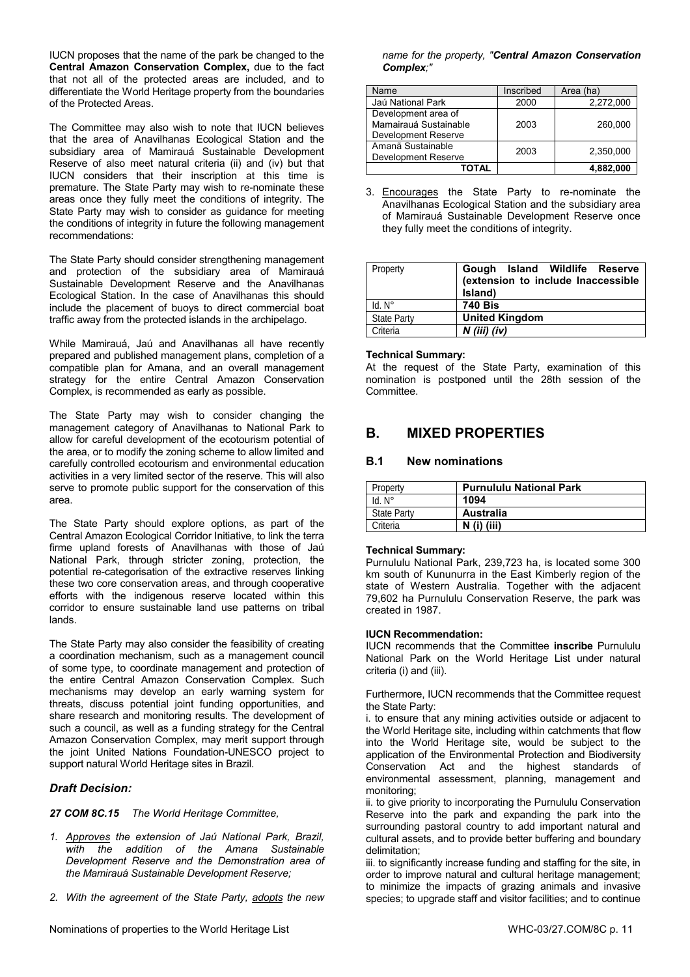IUCN proposes that the name of the park be changed to the **Central Amazon Conservation Complex,** due to the fact that not all of the protected areas are included, and to differentiate the World Heritage property from the boundaries of the Protected Areas.

The Committee may also wish to note that IUCN believes that the area of Anavilhanas Ecological Station and the subsidiary area of Mamirauá Sustainable Development Reserve of also meet natural criteria (ii) and (iv) but that IUCN considers that their inscription at this time is premature. The State Party may wish to re-nominate these areas once they fully meet the conditions of integrity. The State Party may wish to consider as guidance for meeting the conditions of integrity in future the following management recommendations:

The State Party should consider strengthening management and protection of the subsidiary area of Mamirauá Sustainable Development Reserve and the Anavilhanas Ecological Station. In the case of Anavilhanas this should include the placement of buoys to direct commercial boat traffic away from the protected islands in the archipelago.

While Mamirauá, Jaú and Anavilhanas all have recently prepared and published management plans, completion of a compatible plan for Amana, and an overall management strategy for the entire Central Amazon Conservation Complex, is recommended as early as possible.

The State Party may wish to consider changing the management category of Anavilhanas to National Park to allow for careful development of the ecotourism potential of the area, or to modify the zoning scheme to allow limited and carefully controlled ecotourism and environmental education activities in a very limited sector of the reserve. This will also serve to promote public support for the conservation of this area.

The State Party should explore options, as part of the Central Amazon Ecological Corridor Initiative, to link the terra firme upland forests of Anavilhanas with those of Jaú National Park, through stricter zoning, protection, the potential re-categorisation of the extractive reserves linking these two core conservation areas, and through cooperative efforts with the indigenous reserve located within this corridor to ensure sustainable land use patterns on tribal lands.

The State Party may also consider the feasibility of creating a coordination mechanism, such as a management council of some type, to coordinate management and protection of the entire Central Amazon Conservation Complex. Such mechanisms may develop an early warning system for threats, discuss potential joint funding opportunities, and share research and monitoring results. The development of such a council, as well as a funding strategy for the Central Amazon Conservation Complex, may merit support through the joint United Nations Foundation-UNESCO project to support natural World Heritage sites in Brazil.

# *Draft Decision:*

*27 COM 8C.15 The World Heritage Committee,* 

- *1. Approves the extension of Jaú National Park, Brazil, with the addition of the Amana Sustainable Development Reserve and the Demonstration area of the Mamirauá Sustainable Development Reserve;*
- *2. With the agreement of the State Party, adopts the new*

*name for the property, "Central Amazon Conservation Complex;"* 

| Name                                                                | Inscribed | Area (ha) |
|---------------------------------------------------------------------|-----------|-----------|
| Jaú National Park                                                   | 2000      | 2,272,000 |
| Development area of<br>Mamairauá Sustainable<br>Development Reserve | 2003      | 260,000   |
| Amanã Sustainable<br>Development Reserve                            | 2003      | 2,350,000 |
| TOTAL                                                               |           | 4.882.000 |

3. Encourages the State Party to re-nominate the Anavilhanas Ecological Station and the subsidiary area of Mamirauá Sustainable Development Reserve once they fully meet the conditions of integrity.

| Property           | Gough Island Wildlife Reserve<br>(extension to include Inaccessible<br>Island) |
|--------------------|--------------------------------------------------------------------------------|
| $Id. N^\circ$      | <b>740 Bis</b>                                                                 |
| <b>State Party</b> | <b>United Kingdom</b>                                                          |
| Criteria           | $N$ (iii) (iv)                                                                 |

### **Technical Summary:**

At the request of the State Party, examination of this nomination is postponed until the 28th session of the Committee.

# **B. MIXED PROPERTIES**

# **B.1 New nominations**

| Property           | <b>Purnululu National Park</b> |
|--------------------|--------------------------------|
| Id. N°             | 1094                           |
| <b>State Party</b> | Australia                      |
| Criteria           | $N$ (i) (iii)                  |

#### **Technical Summary:**

Purnululu National Park, 239,723 ha, is located some 300 km south of Kununurra in the East Kimberly region of the state of Western Australia. Together with the adjacent 79,602 ha Purnululu Conservation Reserve, the park was created in 1987.

#### **IUCN Recommendation:**

IUCN recommends that the Committee **inscribe** Purnululu National Park on the World Heritage List under natural criteria (i) and (iii).

Furthermore, IUCN recommends that the Committee request the State Party:

i. to ensure that any mining activities outside or adjacent to the World Heritage site, including within catchments that flow into the World Heritage site, would be subject to the application of the Environmental Protection and Biodiversity Conservation Act and the highest standards of environmental assessment, planning, management and monitoring;

ii. to give priority to incorporating the Purnululu Conservation Reserve into the park and expanding the park into the surrounding pastoral country to add important natural and cultural assets, and to provide better buffering and boundary delimitation;

iii. to significantly increase funding and staffing for the site, in order to improve natural and cultural heritage management; to minimize the impacts of grazing animals and invasive species; to upgrade staff and visitor facilities; and to continue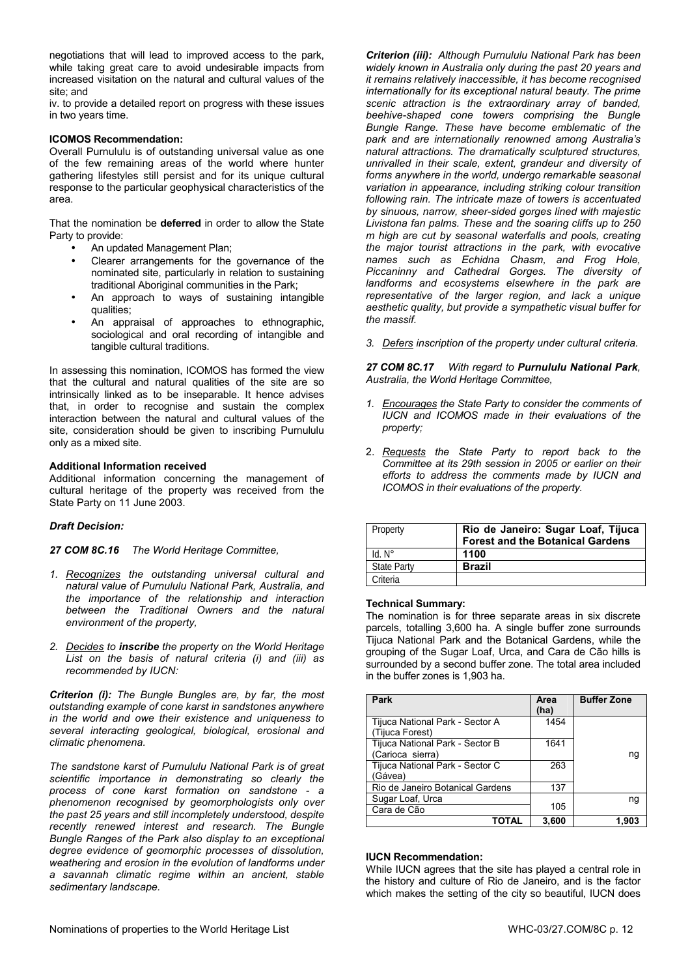negotiations that will lead to improved access to the park, while taking great care to avoid undesirable impacts from increased visitation on the natural and cultural values of the site; and

iv. to provide a detailed report on progress with these issues in two years time.

#### **ICOMOS Recommendation:**

Overall Purnululu is of outstanding universal value as one of the few remaining areas of the world where hunter gathering lifestyles still persist and for its unique cultural response to the particular geophysical characteristics of the area.

That the nomination be **deferred** in order to allow the State Party to provide:

- An updated Management Plan;
- Clearer arrangements for the governance of the nominated site, particularly in relation to sustaining traditional Aboriginal communities in the Park;
- An approach to ways of sustaining intangible qualities;
- An appraisal of approaches to ethnographic, sociological and oral recording of intangible and tangible cultural traditions.

In assessing this nomination, ICOMOS has formed the view that the cultural and natural qualities of the site are so intrinsically linked as to be inseparable. It hence advises that, in order to recognise and sustain the complex interaction between the natural and cultural values of the site, consideration should be given to inscribing Purnululu only as a mixed site.

#### **Additional Information received**

Additional information concerning the management of cultural heritage of the property was received from the State Party on 11 June 2003.

# *Draft Decision:*

*27 COM 8C.16 The World Heritage Committee,* 

- *1. Recognizes the outstanding universal cultural and natural value of Purnululu National Park, Australia, and the importance of the relationship and interaction between the Traditional Owners and the natural environment of the property,*
- *2. Decides to inscribe the property on the World Heritage List on the basis of natural criteria (i) and (iii) as recommended by IUCN:*

*Criterion (i): The Bungle Bungles are, by far, the most outstanding example of cone karst in sandstones anywhere in the world and owe their existence and uniqueness to several interacting geological, biological, erosional and climatic phenomena.* 

*The sandstone karst of Purnululu National Park is of great scientific importance in demonstrating so clearly the process of cone karst formation on sandstone - a phenomenon recognised by geomorphologists only over the past 25 years and still incompletely understood, despite recently renewed interest and research. The Bungle Bungle Ranges of the Park also display to an exceptional degree evidence of geomorphic processes of dissolution, weathering and erosion in the evolution of landforms under a savannah climatic regime within an ancient, stable sedimentary landscape.* 

*Criterion (iii): Although Purnululu National Park has been widely known in Australia only during the past 20 years and it remains relatively inaccessible, it has become recognised internationally for its exceptional natural beauty. The prime scenic attraction is the extraordinary array of banded, beehive-shaped cone towers comprising the Bungle Bungle Range. These have become emblematic of the park and are internationally renowned among Australia's natural attractions. The dramatically sculptured structures, unrivalled in their scale, extent, grandeur and diversity of forms anywhere in the world, undergo remarkable seasonal variation in appearance, including striking colour transition following rain. The intricate maze of towers is accentuated by sinuous, narrow, sheer-sided gorges lined with majestic Livistona fan palms. These and the soaring cliffs up to 250 m high are cut by seasonal waterfalls and pools, creating the major tourist attractions in the park, with evocative names such as Echidna Chasm, and Frog Hole, Piccaninny and Cathedral Gorges. The diversity of landforms and ecosystems elsewhere in the park are representative of the larger region, and lack a unique aesthetic quality, but provide a sympathetic visual buffer for the massif.* 

*3. Defers inscription of the property under cultural criteria.* 

*27 COM 8C.17 With regard to Purnululu National Park, Australia, the World Heritage Committee,* 

- *1. Encourages the State Party to consider the comments of IUCN and ICOMOS made in their evaluations of the property;*
- 2. *Requests the State Party to report back to the Committee at its 29th session in 2005 or earlier on their efforts to address the comments made by IUCN and ICOMOS in their evaluations of the property.*

| Property           | Rio de Janeiro: Sugar Loaf, Tijuca<br><b>Forest and the Botanical Gardens</b> |
|--------------------|-------------------------------------------------------------------------------|
| $Id. N^\circ$      | 1100                                                                          |
| <b>State Party</b> | <b>Brazil</b>                                                                 |
| Criteria           |                                                                               |

#### **Technical Summary:**

The nomination is for three separate areas in six discrete parcels, totalling 3,600 ha. A single buffer zone surrounds Tijuca National Park and the Botanical Gardens, while the grouping of the Sugar Loaf, Urca, and Cara de Cão hills is surrounded by a second buffer zone. The total area included in the buffer zones is 1,903 ha.

| Park                                                | Area<br>(ha) | <b>Buffer Zone</b> |
|-----------------------------------------------------|--------------|--------------------|
| Tijuca National Park - Sector A<br>(Tijuca Forest)  | 1454         |                    |
| Tijuca National Park - Sector B<br>(Carioca sierra) | 1641         | nq                 |
| Tijuca National Park - Sector C<br>(Gávea)          | 263          |                    |
| Rio de Janeiro Botanical Gardens                    | 137          |                    |
| Sugar Loaf, Urca                                    |              | ng                 |
| Cara de Cão                                         | 105          |                    |
|                                                     | 3.600        | 1.903              |

#### **IUCN Recommendation:**

While IUCN agrees that the site has played a central role in the history and culture of Rio de Janeiro, and is the factor which makes the setting of the city so beautiful, IUCN does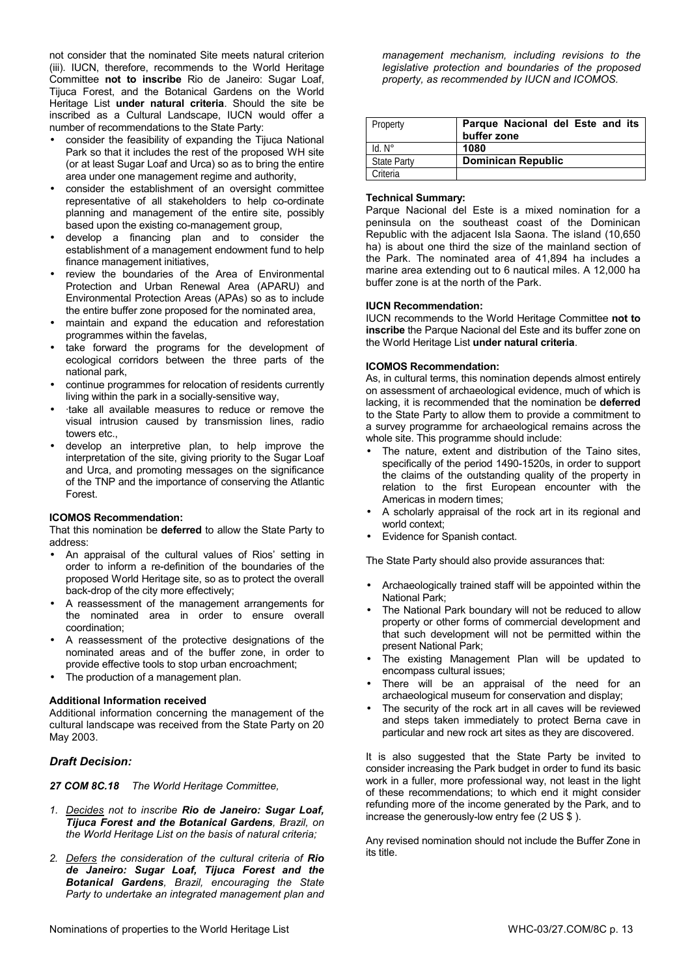not consider that the nominated Site meets natural criterion (iii). IUCN, therefore, recommends to the World Heritage Committee **not to inscribe** Rio de Janeiro: Sugar Loaf, Tijuca Forest, and the Botanical Gardens on the World Heritage List **under natural criteria**. Should the site be inscribed as a Cultural Landscape, IUCN would offer a number of recommendations to the State Party:

- consider the feasibility of expanding the Tijuca National Park so that it includes the rest of the proposed WH site (or at least Sugar Loaf and Urca) so as to bring the entire area under one management regime and authority,
- consider the establishment of an oversight committee representative of all stakeholders to help co-ordinate planning and management of the entire site, possibly based upon the existing co-management group,
- develop a financing plan and to consider the establishment of a management endowment fund to help finance management initiatives,
- review the boundaries of the Area of Environmental Protection and Urban Renewal Area (APARU) and Environmental Protection Areas (APAs) so as to include the entire buffer zone proposed for the nominated area,
- maintain and expand the education and reforestation programmes within the favelas,
- take forward the programs for the development of ecological corridors between the three parts of the national park,
- continue programmes for relocation of residents currently living within the park in a socially-sensitive way,
- ·take all available measures to reduce or remove the visual intrusion caused by transmission lines, radio towers etc.,
- develop an interpretive plan, to help improve the interpretation of the site, giving priority to the Sugar Loaf and Urca, and promoting messages on the significance of the TNP and the importance of conserving the Atlantic Forest.

#### **ICOMOS Recommendation:**

That this nomination be **deferred** to allow the State Party to address:

- An appraisal of the cultural values of Rios' setting in order to inform a re-definition of the boundaries of the proposed World Heritage site, so as to protect the overall back-drop of the city more effectively;
- A reassessment of the management arrangements for the nominated area in order to ensure overall coordination;
- A reassessment of the protective designations of the nominated areas and of the buffer zone, in order to provide effective tools to stop urban encroachment;
- The production of a management plan.

# **Additional Information received**

Additional information concerning the management of the cultural landscape was received from the State Party on 20 May 2003.

# *Draft Decision:*

*27 COM 8C.18 The World Heritage Committee,* 

- *1. Decides not to inscribe Rio de Janeiro: Sugar Loaf, Tijuca Forest and the Botanical Gardens, Brazil, on the World Heritage List on the basis of natural criteria;*
- *2. Defers the consideration of the cultural criteria of Rio de Janeiro: Sugar Loaf, Tijuca Forest and the Botanical Gardens, Brazil, encouraging the State Party to undertake an integrated management plan and*

*management mechanism, including revisions to the legislative protection and boundaries of the proposed property, as recommended by IUCN and ICOMOS.* 

| Property           | Parque Nacional del Este and its<br>buffer zone |
|--------------------|-------------------------------------------------|
| $Id. N^\circ$      | 1080                                            |
| <b>State Party</b> | <b>Dominican Republic</b>                       |
| Criteria           |                                                 |

### **Technical Summary:**

Parque Nacional del Este is a mixed nomination for a peninsula on the southeast coast of the Dominican Republic with the adjacent Isla Saona. The island (10,650 ha) is about one third the size of the mainland section of the Park. The nominated area of 41,894 ha includes a marine area extending out to 6 nautical miles. A 12,000 ha buffer zone is at the north of the Park.

### **IUCN Recommendation:**

IUCN recommends to the World Heritage Committee **not to inscribe** the Parque Nacional del Este and its buffer zone on the World Heritage List **under natural criteria**.

### **ICOMOS Recommendation:**

As, in cultural terms, this nomination depends almost entirely on assessment of archaeological evidence, much of which is lacking, it is recommended that the nomination be **deferred** to the State Party to allow them to provide a commitment to a survey programme for archaeological remains across the whole site. This programme should include:

- The nature, extent and distribution of the Taino sites, specifically of the period 1490-1520s, in order to support the claims of the outstanding quality of the property in relation to the first European encounter with the Americas in modern times;
- A scholarly appraisal of the rock art in its regional and world context;
- Evidence for Spanish contact.

The State Party should also provide assurances that:

- Archaeologically trained staff will be appointed within the National Park;
- The National Park boundary will not be reduced to allow property or other forms of commercial development and that such development will not be permitted within the present National Park;
- The existing Management Plan will be updated to encompass cultural issues;
- There will be an appraisal of the need for an archaeological museum for conservation and display;
- The security of the rock art in all caves will be reviewed and steps taken immediately to protect Berna cave in particular and new rock art sites as they are discovered.

It is also suggested that the State Party be invited to consider increasing the Park budget in order to fund its basic work in a fuller, more professional way, not least in the light of these recommendations; to which end it might consider refunding more of the income generated by the Park, and to increase the generously-low entry fee (2 US \$ ).

Any revised nomination should not include the Buffer Zone in its title.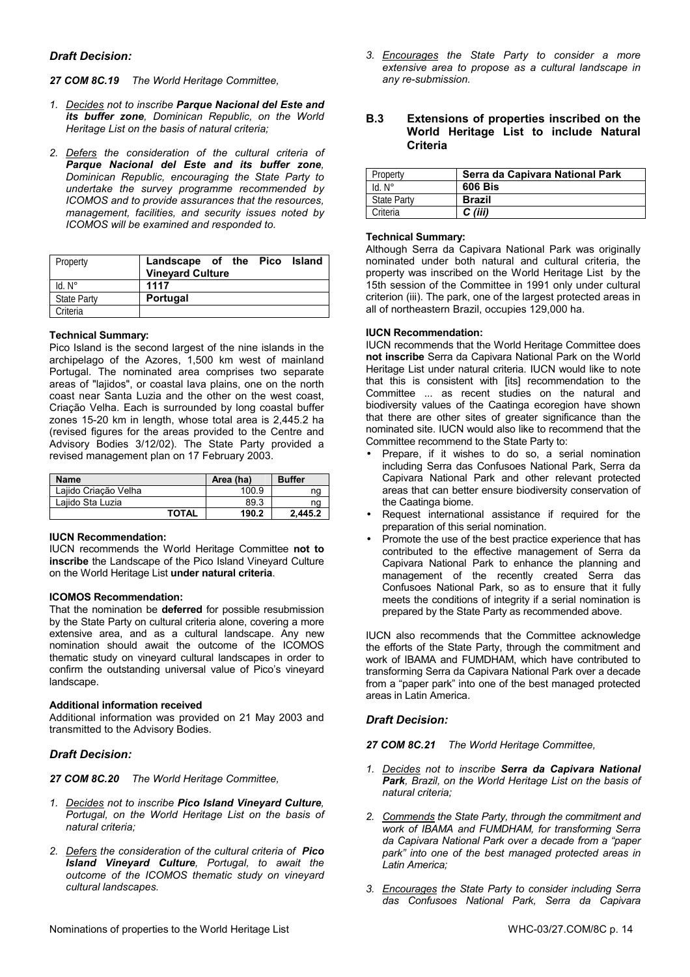# *Draft Decision:*

- *27 COM 8C.19 The World Heritage Committee,*
- *1. Decides not to inscribe Parque Nacional del Este and its buffer zone, Dominican Republic, on the World Heritage List on the basis of natural criteria;*
- *2. Defers the consideration of the cultural criteria of Parque Nacional del Este and its buffer zone, Dominican Republic, encouraging the State Party to undertake the survey programme recommended by ICOMOS and to provide assurances that the resources, management, facilities, and security issues noted by ICOMOS will be examined and responded to.*

| Property           | Landscape of the Pico Island |
|--------------------|------------------------------|
|                    | <b>Vineyard Culture</b>      |
| $Id. N^\circ$      | 1117                         |
| <b>State Party</b> | Portugal                     |
| Criteria           |                              |

### **Technical Summary:**

Pico Island is the second largest of the nine islands in the archipelago of the Azores, 1,500 km west of mainland Portugal. The nominated area comprises two separate areas of "lajidos", or coastal lava plains, one on the north coast near Santa Luzia and the other on the west coast, Criação Velha. Each is surrounded by long coastal buffer zones 15-20 km in length, whose total area is 2,445.2 ha (revised figures for the areas provided to the Centre and Advisory Bodies 3/12/02). The State Party provided a revised management plan on 17 February 2003.

| <b>Name</b>          |       | Area (ha) | <b>Buffer</b> |
|----------------------|-------|-----------|---------------|
| Laiido Criacão Velha |       | 100.9     | ng            |
| Laiido Sta Luzia     |       | 89.3      | ng            |
|                      | TOTAL | 190.2     | 2.445.2       |

# **IUCN Recommendation:**

IUCN recommends the World Heritage Committee **not to inscribe** the Landscape of the Pico Island Vineyard Culture on the World Heritage List **under natural criteria**.

# **ICOMOS Recommendation:**

That the nomination be **deferred** for possible resubmission by the State Party on cultural criteria alone, covering a more extensive area, and as a cultural landscape. Any new nomination should await the outcome of the ICOMOS thematic study on vineyard cultural landscapes in order to confirm the outstanding universal value of Pico's vineyard landscape.

# **Additional information received**

Additional information was provided on 21 May 2003 and transmitted to the Advisory Bodies.

# *Draft Decision:*

*27 COM 8C.20 The World Heritage Committee,* 

- *1. Decides not to inscribe Pico Island Vineyard Culture, Portugal, on the World Heritage List on the basis of natural criteria;*
- *2. Defers the consideration of the cultural criteria of Pico Island Vineyard Culture, Portugal, to await the outcome of the ICOMOS thematic study on vineyard cultural landscapes.*
- Nominations of properties to the World Heritage List WHC-03/27.COM/8C p. 14

*3. Encourages the State Party to consider a more extensive area to propose as a cultural landscape in any re-submission.* 

# **B.3 Extensions of properties inscribed on the World Heritage List to include Natural Criteria**

| Property           | Serra da Capivara National Park |
|--------------------|---------------------------------|
| $Id. N^\circ$      | 606 Bis                         |
| <b>State Party</b> | <b>Brazil</b>                   |
| Criteria           | C (iii)                         |

### **Technical Summary:**

Although Serra da Capivara National Park was originally nominated under both natural and cultural criteria, the property was inscribed on the World Heritage List by the 15th session of the Committee in 1991 only under cultural criterion (iii). The park, one of the largest protected areas in all of northeastern Brazil, occupies 129,000 ha.

# **IUCN Recommendation:**

IUCN recommends that the World Heritage Committee does **not inscribe** Serra da Capivara National Park on the World Heritage List under natural criteria. IUCN would like to note that this is consistent with fitsl recommendation to the Committee ... as recent studies on the natural and biodiversity values of the Caatinga ecoregion have shown that there are other sites of greater significance than the nominated site. IUCN would also like to recommend that the Committee recommend to the State Party to:

- Prepare, if it wishes to do so, a serial nomination including Serra das Confusoes National Park, Serra da Capivara National Park and other relevant protected areas that can better ensure biodiversity conservation of the Caatinga biome.
- Request international assistance if required for the preparation of this serial nomination.
- Promote the use of the best practice experience that has contributed to the effective management of Serra da Capivara National Park to enhance the planning and management of the recently created Serra das Confusoes National Park, so as to ensure that it fully meets the conditions of integrity if a serial nomination is prepared by the State Party as recommended above.

IUCN also recommends that the Committee acknowledge the efforts of the State Party, through the commitment and work of IBAMA and FUMDHAM, which have contributed to transforming Serra da Capivara National Park over a decade from a "paper park" into one of the best managed protected areas in Latin America.

# *Draft Decision:*

*27 COM 8C.21 The World Heritage Committee,* 

- *1. Decides not to inscribe Serra da Capivara National Park, Brazil, on the World Heritage List on the basis of natural criteria;*
- *2. Commends the State Party, through the commitment and work of IBAMA and FUMDHAM, for transforming Serra da Capivara National Park over a decade from a "paper park" into one of the best managed protected areas in Latin America;*
- *3. Encourages the State Party to consider including Serra das Confusoes National Park, Serra da Capivara*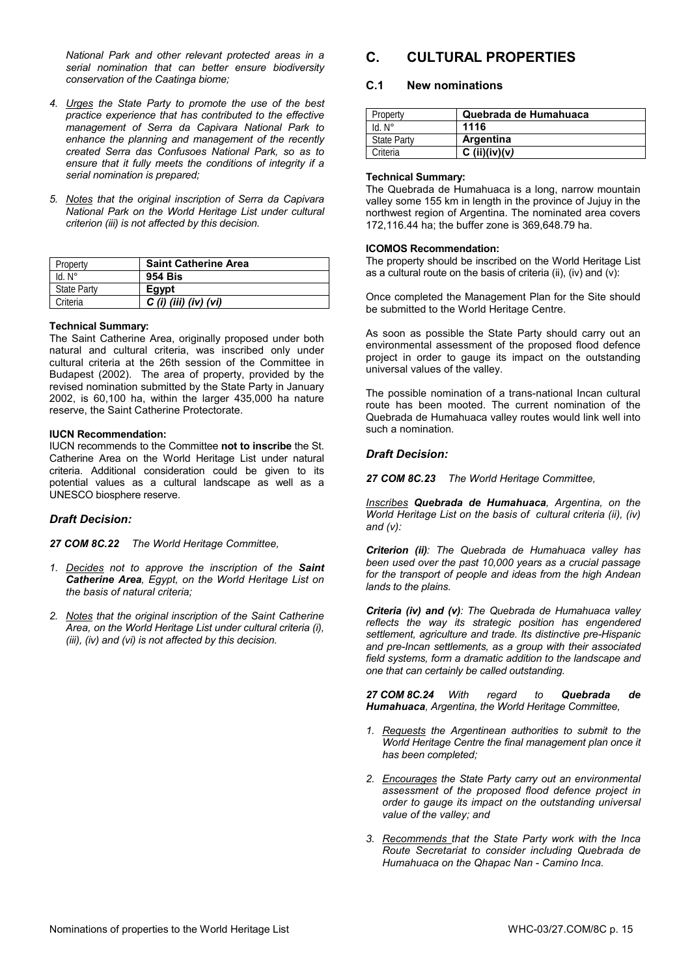*National Park and other relevant protected areas in a serial nomination that can better ensure biodiversity conservation of the Caatinga biome;* 

- *4. Urges the State Party to promote the use of the best practice experience that has contributed to the effective management of Serra da Capivara National Park to enhance the planning and management of the recently created Serra das Confusoes National Park, so as to ensure that it fully meets the conditions of integrity if a serial nomination is prepared;*
- *5. Notes that the original inscription of Serra da Capivara National Park on the World Heritage List under cultural criterion (iii) is not affected by this decision.*

| Property           | <b>Saint Catherine Area</b> |
|--------------------|-----------------------------|
| $Id. N^\circ$      | <b>954 Bis</b>              |
| <b>State Party</b> | Egypt                       |
| Criteria           | $C$ (i) (iii) (iv) (vi)     |

#### **Technical Summary:**

The Saint Catherine Area, originally proposed under both natural and cultural criteria, was inscribed only under cultural criteria at the 26th session of the Committee in Budapest (2002). The area of property, provided by the revised nomination submitted by the State Party in January 2002, is 60,100 ha, within the larger 435,000 ha nature reserve, the Saint Catherine Protectorate.

### **IUCN Recommendation:**

IUCN recommends to the Committee **not to inscribe** the St. Catherine Area on the World Heritage List under natural criteria. Additional consideration could be given to its potential values as a cultural landscape as well as a UNESCO biosphere reserve.

# *Draft Decision:*

*27 COM 8C.22 The World Heritage Committee,* 

- *1. Decides not to approve the inscription of the Saint Catherine Area, Egypt, on the World Heritage List on the basis of natural criteria;*
- *2. Notes that the original inscription of the Saint Catherine Area, on the World Heritage List under cultural criteria (i), (iii), (iv) and (vi) is not affected by this decision.*

# **C. CULTURAL PROPERTIES**

# **C.1 New nominations**

| Property           | Quebrada de Humahuaca |
|--------------------|-----------------------|
| $Id. N^\circ$      | 1116                  |
| <b>State Party</b> | Argentina             |
| Criteria           | C (ii)(iv)(v)         |

#### **Technical Summary:**

The Quebrada de Humahuaca is a long, narrow mountain valley some 155 km in length in the province of Jujuy in the northwest region of Argentina. The nominated area covers 172,116.44 ha; the buffer zone is 369,648.79 ha.

#### **ICOMOS Recommendation:**

The property should be inscribed on the World Heritage List as a cultural route on the basis of criteria (ii), (iv) and (v):

Once completed the Management Plan for the Site should be submitted to the World Heritage Centre.

As soon as possible the State Party should carry out an environmental assessment of the proposed flood defence project in order to gauge its impact on the outstanding universal values of the valley.

The possible nomination of a trans-national Incan cultural route has been mooted. The current nomination of the Quebrada de Humahuaca valley routes would link well into such a nomination.

### *Draft Decision:*

*27 COM 8C.23 The World Heritage Committee,* 

*Inscribes Quebrada de Humahuaca, Argentina, on the World Heritage List on the basis of cultural criteria (ii), (iv) and (v):* 

*Criterion (ii): The Quebrada de Humahuaca valley has been used over the past 10,000 years as a crucial passage for the transport of people and ideas from the high Andean lands to the plains.* 

*Criteria (iv) and (v): The Quebrada de Humahuaca valley reflects the way its strategic position has engendered settlement, agriculture and trade. Its distinctive pre-Hispanic and pre-Incan settlements, as a group with their associated field systems, form a dramatic addition to the landscape and one that can certainly be called outstanding.* 

*27 COM 8C.24 With regard to Quebrada de Humahuaca, Argentina, the World Heritage Committee,* 

- *1. Requests the Argentinean authorities to submit to the World Heritage Centre the final management plan once it has been completed;*
- *2. Encourages the State Party carry out an environmental assessment of the proposed flood defence project in order to gauge its impact on the outstanding universal value of the valley; and*
- *3. Recommends that the State Party work with the Inca Route Secretariat to consider including Quebrada de Humahuaca on the Qhapac Nan - Camino Inca.*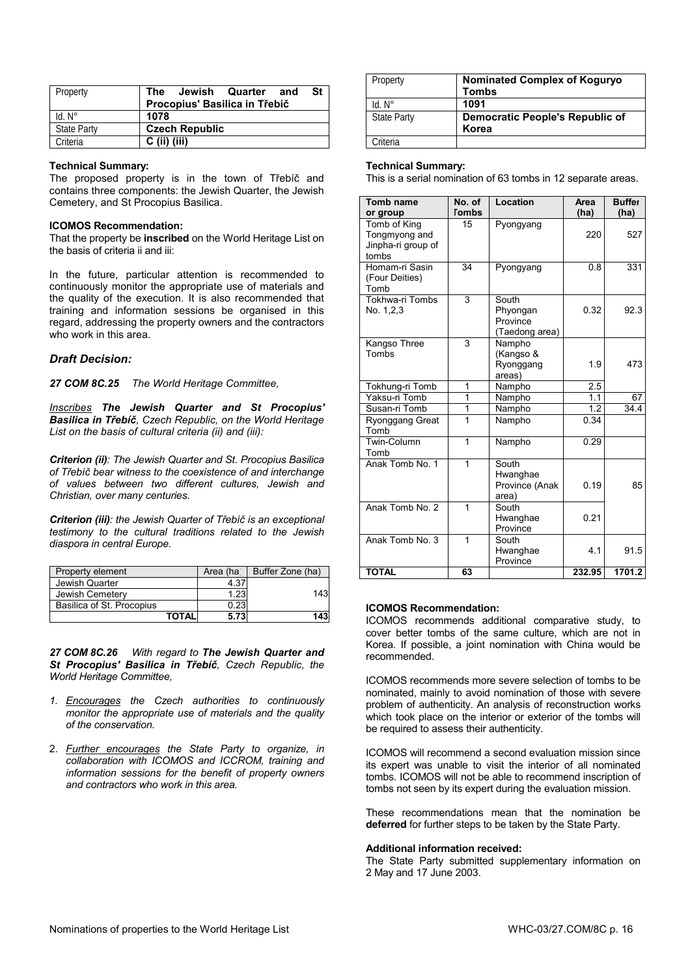| Property           |                |                       | The Jewish Quarter and        | St |
|--------------------|----------------|-----------------------|-------------------------------|----|
|                    |                |                       | Procopius' Basilica in Třebíč |    |
| $Id. N^\circ$      | 1078           |                       |                               |    |
| <b>State Party</b> |                | <b>Czech Republic</b> |                               |    |
| Criteria           | $C$ (ii) (iii) |                       |                               |    |

#### **Technical Summary:**

The proposed property is in the town of Třebíč and contains three components: the Jewish Quarter, the Jewish Cemetery, and St Procopius Basilica.

#### **ICOMOS Recommendation:**

That the property be **inscribed** on the World Heritage List on the basis of criteria ii and iii:

In the future, particular attention is recommended to continuously monitor the appropriate use of materials and the quality of the execution. It is also recommended that training and information sessions be organised in this regard, addressing the property owners and the contractors who work in this area.

### *Draft Decision:*

*27 COM 8C.25 The World Heritage Committee,* 

*Inscribes The Jewish Quarter and St Procopius' Basilica in Třebíč, Czech Republic, on the World Heritage List on the basis of cultural criteria (ii) and (iii):* 

*Criterion (ii): The Jewish Quarter and St. Procopius Basilica of Třebíč bear witness to the coexistence of and interchange of values between two different cultures, Jewish and Christian, over many centuries.* 

*Criterion (iii): the Jewish Quarter of Třebíč is an exceptional testimony to the cultural traditions related to the Jewish diaspora in central Europe.*

| Property element          |       | Area (ha | Buffer Zone (ha) |
|---------------------------|-------|----------|------------------|
| Jewish Quarter            |       | 4.37     |                  |
| Jewish Cemetery           |       | 1.23     | 143              |
| Basilica of St. Procopius |       | 0.23     |                  |
|                           | TOTAL | 5.73     | 143              |

*27 COM 8C.26 With regard to The Jewish Quarter and St Procopius' Basilica in Třebíč, Czech Republic, the World Heritage Committee,* 

- *1. Encourages the Czech authorities to continuously monitor the appropriate use of materials and the quality of the conservation.*
- 2. *Further encourages the State Party to organize, in collaboration with ICOMOS and ICCROM, training and information sessions for the benefit of property owners and contractors who work in this area.*

| Property           | <b>Nominated Complex of Koguryo</b><br><b>Tombs</b> |
|--------------------|-----------------------------------------------------|
| $Id. N^\circ$      | 1091                                                |
| <b>State Party</b> | <b>Democratic People's Republic of</b>              |
|                    | Korea                                               |
| Criteria           |                                                     |

#### **Technical Summary:**

This is a serial nomination of 63 tombs in 12 separate areas.

| Tomb name<br>or group                                        | No. of<br><b>Tombs</b> | Location                                        | Area<br>(ha)     | <b>Buffer</b><br>(ha) |
|--------------------------------------------------------------|------------------------|-------------------------------------------------|------------------|-----------------------|
| Tomb of King<br>Tongmyong and<br>Jinpha-ri group of<br>tombs | 15                     | Pyongyang                                       | 220              | 527                   |
| Homam-ri Sasin<br>(Four Deities)<br>Tomb                     | 34                     | Pyongyang                                       | 0.8              | 331                   |
| Tokhwa-ri Tombs<br>No. 1, 2, 3                               | 3                      | South<br>Phyongan<br>Province<br>(Taedong area) | 0.32             | 92.3                  |
| Kangso Three<br>Tombs                                        | 3                      | Nampho<br>(Kangso &<br>Ryonggang<br>areas)      | 1.9              | 473                   |
| Tokhung-ri Tomb                                              | 1                      | Nampho                                          | 2.5              |                       |
| Yaksu-ri Tomb                                                | 1                      | Nampho                                          | 1.1              | 67                    |
| Susan-ri Tomb                                                | 1                      | Nampho                                          | $\overline{1.2}$ | 34.4                  |
| Ryonggang Great<br>Tomb                                      | $\overline{1}$         | Nampho                                          | 0.34             |                       |
| Twin-Column<br>Tomb                                          | 1                      | Nampho                                          | 0.29             |                       |
| Anak Tomb No. 1                                              | 1                      | South<br>Hwanghae<br>Province (Anak<br>area)    | 0.19             | 85                    |
| Anak Tomb No. 2                                              | 1                      | South<br>Hwanghae<br>Province                   | 0.21             |                       |
| Anak Tomb No. 3                                              | 1                      | South<br>Hwanghae<br>Province                   | 4.1              | 91.5                  |
| <b>TOTAL</b>                                                 | 63                     |                                                 | 232.95           | 1701.2                |

#### **ICOMOS Recommendation:**

ICOMOS recommends additional comparative study, to cover better tombs of the same culture, which are not in Korea. If possible, a joint nomination with China would be recommended.

ICOMOS recommends more severe selection of tombs to be nominated, mainly to avoid nomination of those with severe problem of authenticity. An analysis of reconstruction works which took place on the interior or exterior of the tombs will be required to assess their authenticity.

ICOMOS will recommend a second evaluation mission since its expert was unable to visit the interior of all nominated tombs. ICOMOS will not be able to recommend inscription of tombs not seen by its expert during the evaluation mission.

These recommendations mean that the nomination be **deferred** for further steps to be taken by the State Party.

#### **Additional information received:**

The State Party submitted supplementary information on 2 May and 17 June 2003.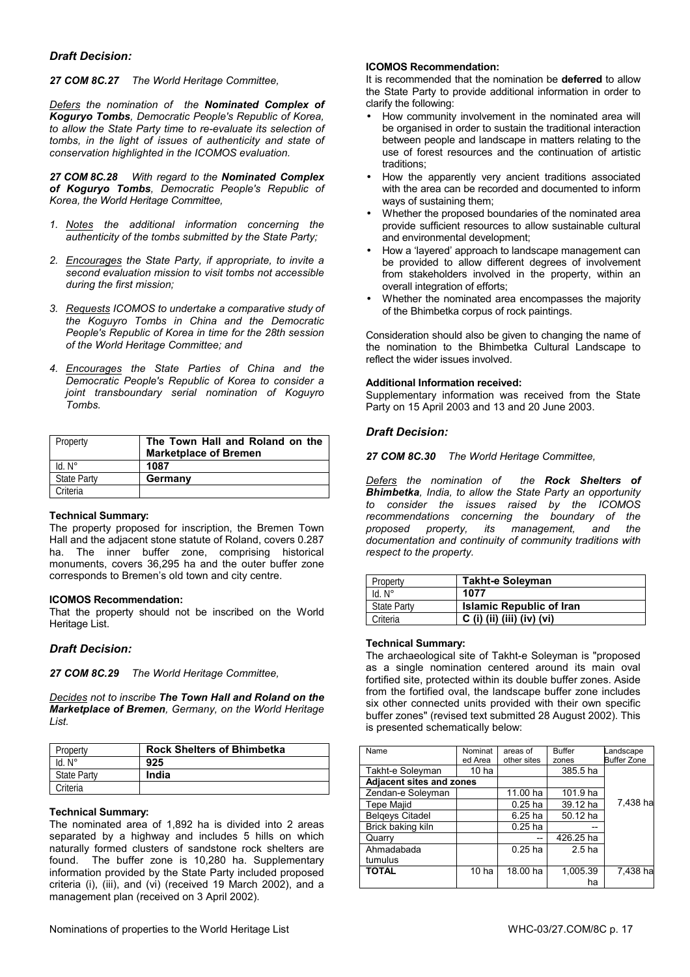# *Draft Decision:*

#### *27 COM 8C.27 The World Heritage Committee,*

*Defers the nomination of the Nominated Complex of Koguryo Tombs, Democratic People's Republic of Korea, to allow the State Party time to re-evaluate its selection of tombs, in the light of issues of authenticity and state of conservation highlighted in the ICOMOS evaluation.* 

*27 COM 8C.28 With regard to the Nominated Complex of Koguryo Tombs, Democratic People's Republic of Korea, the World Heritage Committee,* 

- *1. Notes the additional information concerning the authenticity of the tombs submitted by the State Party;*
- *2. Encourages the State Party, if appropriate, to invite a second evaluation mission to visit tombs not accessible during the first mission;*
- *3. Requests ICOMOS to undertake a comparative study of the Koguyro Tombs in China and the Democratic People's Republic of Korea in time for the 28th session of the World Heritage Committee; and*
- *4. Encourages the State Parties of China and the Democratic People's Republic of Korea to consider a joint transboundary serial nomination of Koguyro Tombs.*

| Property           | The Town Hall and Roland on the<br><b>Marketplace of Bremen</b> |
|--------------------|-----------------------------------------------------------------|
| $Id. N^\circ$      | 1087                                                            |
| <b>State Party</b> | Germany                                                         |
| Criteria           |                                                                 |

#### **Technical Summary:**

The property proposed for inscription, the Bremen Town Hall and the adjacent stone statute of Roland, covers 0.287 ha. The inner buffer zone, comprising historical monuments, covers 36,295 ha and the outer buffer zone corresponds to Bremen's old town and city centre.

#### **ICOMOS Recommendation:**

That the property should not be inscribed on the World Heritage List.

#### *Draft Decision:*

*27 COM 8C.29 The World Heritage Committee,* 

*Decides not to inscribe The Town Hall and Roland on the Marketplace of Bremen, Germany, on the World Heritage List.* 

| Property           | <b>Rock Shelters of Bhimbetka</b> |
|--------------------|-----------------------------------|
| $Id. N^{\circ}$    | 925                               |
| <b>State Party</b> | India                             |
| Criteria           |                                   |

#### **Technical Summary:**

The nominated area of 1,892 ha is divided into 2 areas separated by a highway and includes 5 hills on which naturally formed clusters of sandstone rock shelters are found. The buffer zone is 10,280 ha. Supplementary information provided by the State Party included proposed criteria (i), (iii), and (vi) (received 19 March 2002), and a management plan (received on 3 April 2002).

#### **ICOMOS Recommendation:**

It is recommended that the nomination be **deferred** to allow the State Party to provide additional information in order to clarify the following:

- How community involvement in the nominated area will be organised in order to sustain the traditional interaction between people and landscape in matters relating to the use of forest resources and the continuation of artistic traditions;
- How the apparently very ancient traditions associated with the area can be recorded and documented to inform ways of sustaining them;
- Whether the proposed boundaries of the nominated area provide sufficient resources to allow sustainable cultural and environmental development;
- How a 'layered' approach to landscape management can be provided to allow different degrees of involvement from stakeholders involved in the property, within an overall integration of efforts;
- Whether the nominated area encompasses the majority of the Bhimbetka corpus of rock paintings.

Consideration should also be given to changing the name of the nomination to the Bhimbetka Cultural Landscape to reflect the wider issues involved.

#### **Additional Information received:**

Supplementary information was received from the State Party on 15 April 2003 and 13 and 20 June 2003.

#### *Draft Decision:*

*27 COM 8C.30 The World Heritage Committee,* 

*Defers the nomination of the Rock Shelters of Bhimbetka, India, to allow the State Party an opportunity to consider the issues raised by the ICOMOS recommendations concerning the boundary of the property, its management, and documentation and continuity of community traditions with respect to the property.* 

| Property           | <b>Takht-e Soleyman</b>         |
|--------------------|---------------------------------|
| $Id. N^\circ$      | 1077                            |
| <b>State Party</b> | <b>Islamic Republic of Iran</b> |
| Criteria           | C (i) (ii) (iii) (iv) (vi)      |

#### **Technical Summary:**

The archaeological site of Takht-e Soleyman is "proposed as a single nomination centered around its main oval fortified site, protected within its double buffer zones. Aside from the fortified oval, the landscape buffer zone includes six other connected units provided with their own specific buffer zones" (revised text submitted 28 August 2002). This is presented schematically below:

| Name                            | Nominat          | areas of    | <b>Buffer</b>     | andscape           |
|---------------------------------|------------------|-------------|-------------------|--------------------|
|                                 | ed Area          | other sites | zones             | <b>Buffer Zone</b> |
| Takht-e Soleyman                | 10 <sub>ha</sub> |             | 385.5 ha          |                    |
| <b>Adjacent sites and zones</b> |                  |             |                   |                    |
| Zendan-e Soleyman               |                  | 11.00 ha    | 101.9 ha          |                    |
| <b>Tepe Majid</b>               |                  | $0.25$ ha   | 39.12 ha          | 7,438 ha           |
| <b>Belgeys Citadel</b>          |                  | 6.25 ha     | 50.12 ha          |                    |
| Brick baking kiln               |                  | $0.25$ ha   |                   |                    |
| Quarry                          |                  |             | 426.25 ha         |                    |
| Ahmadabada                      |                  | $0.25$ ha   | 2.5 <sub>ha</sub> |                    |
| tumulus                         |                  |             |                   |                    |
| <b>TOTAL</b>                    | 10 ha            | 18.00 ha    | 1,005.39          | 7.438 ha           |
|                                 |                  |             | ha                |                    |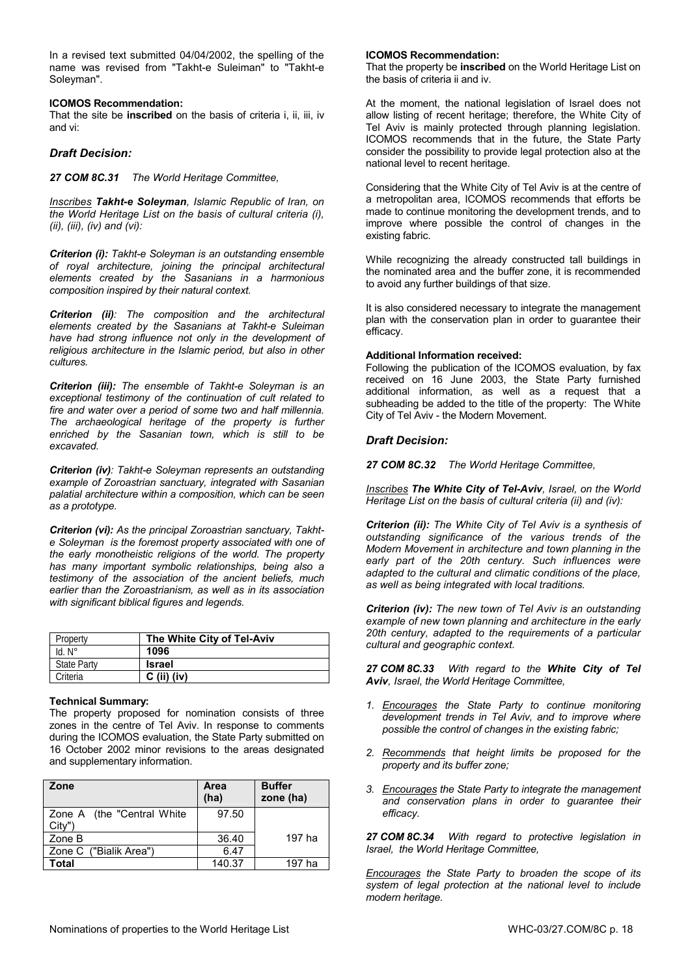In a revised text submitted 04/04/2002, the spelling of the name was revised from "Takht-e Suleiman" to "Takht-e Soleyman".

#### **ICOMOS Recommendation:**

That the site be **inscribed** on the basis of criteria i, ii, iii, iv and vi:

# *Draft Decision:*

*27 COM 8C.31 The World Heritage Committee,* 

*Inscribes Takht-e Soleyman, Islamic Republic of Iran, on the World Heritage List on the basis of cultural criteria (i), (ii), (iii), (iv) and (vi):* 

*Criterion (i): Takht-e Soleyman is an outstanding ensemble of royal architecture, joining the principal architectural elements created by the Sasanians in a harmonious composition inspired by their natural context.* 

*Criterion (ii): The composition and the architectural elements created by the Sasanians at Takht-e Suleiman have had strong influence not only in the development of religious architecture in the Islamic period, but also in other cultures.* 

*Criterion (iii): The ensemble of Takht-e Soleyman is an exceptional testimony of the continuation of cult related to fire and water over a period of some two and half millennia. The archaeological heritage of the property is further enriched by the Sasanian town, which is still to be excavated.* 

*Criterion (iv): Takht-e Soleyman represents an outstanding example of Zoroastrian sanctuary, integrated with Sasanian palatial architecture within a composition, which can be seen as a prototype.* 

*Criterion (vi): As the principal Zoroastrian sanctuary, Takhte Soleyman is the foremost property associated with one of the early monotheistic religions of the world. The property has many important symbolic relationships, being also a testimony of the association of the ancient beliefs, much earlier than the Zoroastrianism, as well as in its association with significant biblical figures and legends.* 

| Property           | The White City of Tel-Aviv |
|--------------------|----------------------------|
| $Id. N^\circ$      | 1096                       |
| <b>State Party</b> | <b>Israel</b>              |
| Criteria           | $C$ (ii) (iv)              |

#### **Technical Summary:**

The property proposed for nomination consists of three zones in the centre of Tel Aviv. In response to comments during the ICOMOS evaluation, the State Party submitted on 16 October 2002 minor revisions to the areas designated and supplementary information.

| Zone                                 | Area<br>(ha) | <b>Buffer</b><br>zone (ha) |
|--------------------------------------|--------------|----------------------------|
| Zone A (the "Central White<br>City") | 97.50        |                            |
| Zone B                               | 36.40        | 197 ha                     |
| Zone C ("Bialik Area")               | 6.47         |                            |
| Total                                | 140.37       | 197 ha                     |

#### **ICOMOS Recommendation:**

That the property be **inscribed** on the World Heritage List on the basis of criteria ii and iv.

At the moment, the national legislation of Israel does not allow listing of recent heritage; therefore, the White City of Tel Aviv is mainly protected through planning legislation. ICOMOS recommends that in the future, the State Party consider the possibility to provide legal protection also at the national level to recent heritage.

Considering that the White City of Tel Aviv is at the centre of a metropolitan area, ICOMOS recommends that efforts be made to continue monitoring the development trends, and to improve where possible the control of changes in the existing fabric.

While recognizing the already constructed tall buildings in the nominated area and the buffer zone, it is recommended to avoid any further buildings of that size.

It is also considered necessary to integrate the management plan with the conservation plan in order to guarantee their efficacy.

### **Additional Information received:**

Following the publication of the ICOMOS evaluation, by fax received on 16 June 2003, the State Party furnished additional information, as well as a request that a subheading be added to the title of the property: The White City of Tel Aviv - the Modern Movement.

# *Draft Decision:*

*27 COM 8C.32 The World Heritage Committee,* 

*Inscribes The White City of Tel-Aviv, Israel, on the World Heritage List on the basis of cultural criteria (ii) and (iv):* 

*Criterion (ii): The White City of Tel Aviv is a synthesis of outstanding significance of the various trends of the Modern Movement in architecture and town planning in the early part of the 20th century. Such influences were adapted to the cultural and climatic conditions of the place, as well as being integrated with local traditions.* 

*Criterion (iv): The new town of Tel Aviv is an outstanding example of new town planning and architecture in the early 20th century, adapted to the requirements of a particular cultural and geographic context.* 

*27 COM 8C.33 With regard to the White City of Tel Aviv, Israel, the World Heritage Committee,* 

- *1. Encourages the State Party to continue monitoring development trends in Tel Aviv, and to improve where possible the control of changes in the existing fabric;*
- *2. Recommends that height limits be proposed for the property and its buffer zone;*
- *3. Encourages the State Party to integrate the management and conservation plans in order to guarantee their efficacy.*

*27 COM 8C.34 With regard to protective legislation in Israel, the World Heritage Committee,* 

*Encourages the State Party to broaden the scope of its system of legal protection at the national level to include modern heritage.*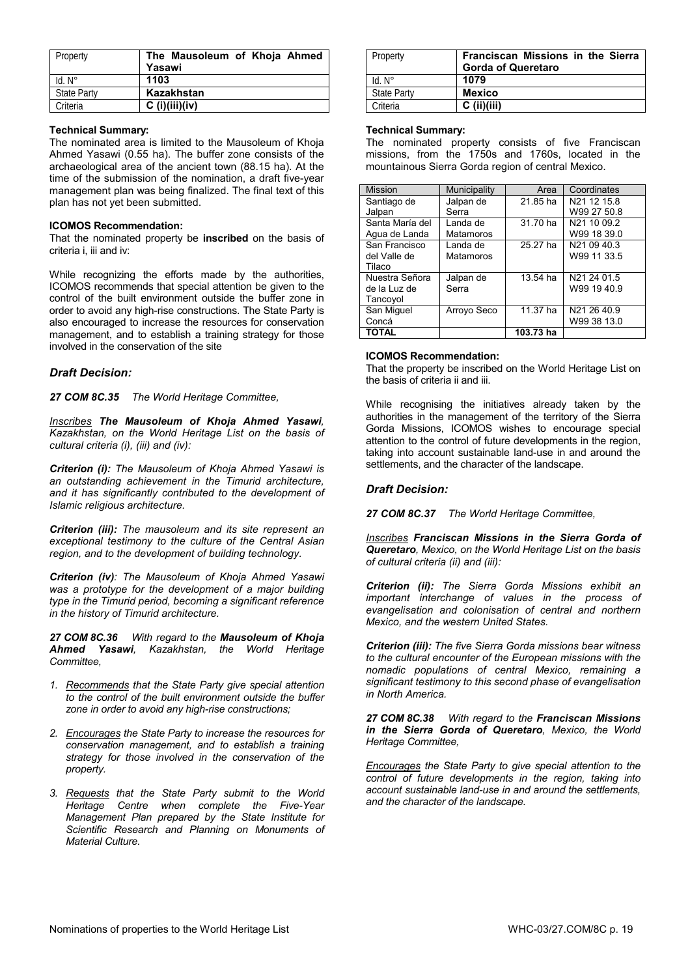| Property           | The Mausoleum of Khoja Ahmed<br>Yasawi |
|--------------------|----------------------------------------|
| $Id. N^\circ$      | 1103                                   |
| <b>State Party</b> | Kazakhstan                             |
| Criteria           | $C$ (i)(iii)(iv)                       |

#### **Technical Summary:**

The nominated area is limited to the Mausoleum of Khoja Ahmed Yasawi (0.55 ha). The buffer zone consists of the archaeological area of the ancient town (88.15 ha). At the time of the submission of the nomination, a draft five-year management plan was being finalized. The final text of this plan has not yet been submitted.

#### **ICOMOS Recommendation:**

That the nominated property be **inscribed** on the basis of criteria i, iii and iv:

While recognizing the efforts made by the authorities, ICOMOS recommends that special attention be given to the control of the built environment outside the buffer zone in order to avoid any high-rise constructions. The State Party is also encouraged to increase the resources for conservation management, and to establish a training strategy for those involved in the conservation of the site

#### *Draft Decision:*

*27 COM 8C.35 The World Heritage Committee,* 

*Inscribes The Mausoleum of Khoja Ahmed Yasawi, Kazakhstan, on the World Heritage List on the basis of cultural criteria (i), (iii) and (iv):* 

*Criterion (i): The Mausoleum of Khoja Ahmed Yasawi is an outstanding achievement in the Timurid architecture, and it has significantly contributed to the development of Islamic religious architecture.* 

*Criterion (iii): The mausoleum and its site represent an exceptional testimony to the culture of the Central Asian region, and to the development of building technology.* 

*Criterion (iv): The Mausoleum of Khoja Ahmed Yasawi was a prototype for the development of a major building type in the Timurid period, becoming a significant reference in the history of Timurid architecture.* 

*27 COM 8C.36 With regard to the Mausoleum of Khoja Ahmed Yasawi, Kazakhstan, the World Heritage Committee,* 

- *1. Recommends that the State Party give special attention to the control of the built environment outside the buffer zone in order to avoid any high-rise constructions;*
- *2. Encourages the State Party to increase the resources for conservation management, and to establish a training strategy for those involved in the conservation of the property.*
- *3. Requests that the State Party submit to the World Heritage Centre when complete the Five-Year Management Plan prepared by the State Institute for Scientific Research and Planning on Monuments of Material Culture.*

| Property           | Franciscan Missions in the Sierra<br><b>Gorda of Queretaro</b> |
|--------------------|----------------------------------------------------------------|
| $Id. N^\circ$      | 1079                                                           |
| <b>State Party</b> | <b>Mexico</b>                                                  |
| Criteria           | $C$ (ii)(iii)                                                  |

#### **Technical Summary:**

The nominated property consists of five Franciscan missions, from the 1750s and 1760s, located in the mountainous Sierra Gorda region of central Mexico.

| <b>Mission</b>  | Municipality | Area      | Coordinates |
|-----------------|--------------|-----------|-------------|
| Santiago de     | Jalpan de    | 21.85 ha  | N21 12 15.8 |
| Jalpan          | Serra        |           | W99 27 50.8 |
| Santa María del | Landa de     | 31.70 ha  | N21 10 09.2 |
| Agua de Landa   | Matamoros    |           | W99 18 39.0 |
| San Francisco   | Landa de     | 25.27 ha  | N21 09 40.3 |
| del Valle de    | Matamoros    |           | W99 11 33.5 |
| Tilaco          |              |           |             |
| Nuestra Señora  | Jalpan de    | 13.54 ha  | N21 24 01.5 |
| de la Luz de    | Serra        |           | W99 19 40.9 |
| Tancoyol        |              |           |             |
| San Miguel      | Arroyo Seco  | 11.37 ha  | N21 26 40.9 |
| Concá           |              |           | W99 38 13.0 |
| <b>TOTAL</b>    |              | 103.73 ha |             |

#### **ICOMOS Recommendation:**

That the property be inscribed on the World Heritage List on the basis of criteria ii and iii.

While recognising the initiatives already taken by the authorities in the management of the territory of the Sierra Gorda Missions, ICOMOS wishes to encourage special attention to the control of future developments in the region, taking into account sustainable land-use in and around the settlements, and the character of the landscape.

### *Draft Decision:*

*27 COM 8C.37 The World Heritage Committee,* 

*Inscribes Franciscan Missions in the Sierra Gorda of Queretaro, Mexico, on the World Heritage List on the basis of cultural criteria (ii) and (iii):* 

*Criterion (ii): The Sierra Gorda Missions exhibit an important interchange of values in the process of evangelisation and colonisation of central and northern Mexico, and the western United States.* 

*Criterion (iii): The five Sierra Gorda missions bear witness to the cultural encounter of the European missions with the nomadic populations of central Mexico, remaining a significant testimony to this second phase of evangelisation in North America.* 

*27 COM 8C.38 With regard to the Franciscan Missions in the Sierra Gorda of Queretaro, Mexico, the World Heritage Committee,* 

*Encourages the State Party to give special attention to the control of future developments in the region, taking into account sustainable land-use in and around the settlements, and the character of the landscape.*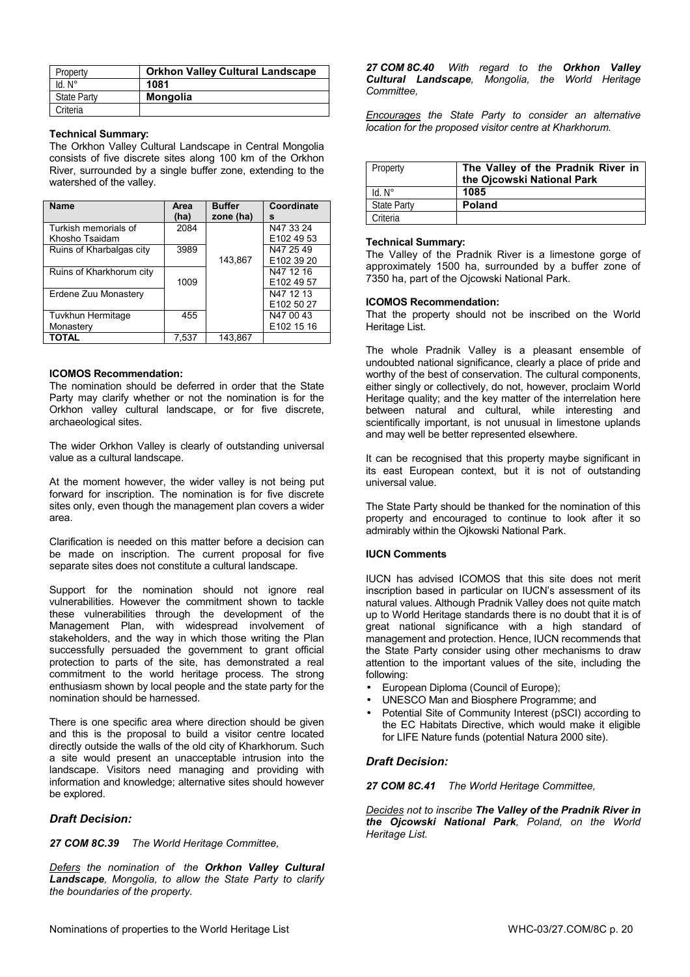| Property           | <b>Orkhon Valley Cultural Landscape</b> |
|--------------------|-----------------------------------------|
| $Id. N^\circ$      | 1081                                    |
| <b>State Party</b> | <b>Mongolia</b>                         |
| Criteria           |                                         |

#### **Technical Summary:**

The Orkhon Valley Cultural Landscape in Central Mongolia consists of five discrete sites along 100 km of the Orkhon River, surrounded by a single buffer zone, extending to the watershed of the valley.

| <b>Name</b>                            | Area<br>(ha) | <b>Buffer</b><br>zone (ha) | Coordinate<br>s                     |
|----------------------------------------|--------------|----------------------------|-------------------------------------|
| Turkish memorials of<br>Khosho Tsaidam | 2084         |                            | N47 33 24<br>E <sub>102</sub> 49 53 |
| Ruins of Kharbalgas city               | 3989         | 143.867                    | N47 25 49<br>E <sub>102</sub> 39 20 |
| Ruins of Kharkhorum city               | 1009         |                            | N47 12 16<br>E102 49 57             |
| Erdene Zuu Monastery                   |              |                            | N47 12 13<br>E102 50 27             |
| <b>Tuvkhun Hermitage</b><br>Monastery  | 455          |                            | N47 00 43<br>E102 15 16             |
| <b>TOTAL</b>                           | 7,537        | 143,867                    |                                     |

### **ICOMOS Recommendation:**

The nomination should be deferred in order that the State Party may clarify whether or not the nomination is for the Orkhon valley cultural landscape, or for five discrete, archaeological sites.

The wider Orkhon Valley is clearly of outstanding universal value as a cultural landscape.

At the moment however, the wider valley is not being put forward for inscription. The nomination is for five discrete sites only, even though the management plan covers a wider area.

Clarification is needed on this matter before a decision can be made on inscription. The current proposal for five separate sites does not constitute a cultural landscape.

Support for the nomination should not ignore real vulnerabilities. However the commitment shown to tackle these vulnerabilities through the development of the Management Plan, with widespread involvement of stakeholders, and the way in which those writing the Plan successfully persuaded the government to grant official protection to parts of the site, has demonstrated a real commitment to the world heritage process. The strong enthusiasm shown by local people and the state party for the nomination should be harnessed.

There is one specific area where direction should be given and this is the proposal to build a visitor centre located directly outside the walls of the old city of Kharkhorum. Such a site would present an unacceptable intrusion into the landscape. Visitors need managing and providing with information and knowledge; alternative sites should however be explored.

# *Draft Decision:*

*27 COM 8C.39 The World Heritage Committee,* 

*Defers the nomination of the Orkhon Valley Cultural Landscape, Mongolia, to allow the State Party to clarify the boundaries of the property.* 

*27 COM 8C.40 With regard to the Orkhon Valley Cultural Landscape, Mongolia, the World Heritage Committee,* 

*Encourages the State Party to consider an alternative location for the proposed visitor centre at Kharkhorum.* 

| Property           | The Valley of the Pradnik River in<br>the Ojcowski National Park |
|--------------------|------------------------------------------------------------------|
| $Id. N^\circ$      | 1085                                                             |
| <b>State Party</b> | <b>Poland</b>                                                    |
| Criteria           |                                                                  |

#### **Technical Summary:**

The Valley of the Pradnik River is a limestone gorge of approximately 1500 ha, surrounded by a buffer zone of 7350 ha, part of the Ojcowski National Park.

### **ICOMOS Recommendation:**

That the property should not be inscribed on the World Heritage List.

The whole Pradnik Valley is a pleasant ensemble of undoubted national significance, clearly a place of pride and worthy of the best of conservation. The cultural components, either singly or collectively, do not, however, proclaim World Heritage quality; and the key matter of the interrelation here between natural and cultural, while interesting and scientifically important, is not unusual in limestone uplands and may well be better represented elsewhere.

It can be recognised that this property maybe significant in its east European context, but it is not of outstanding universal value.

The State Party should be thanked for the nomination of this property and encouraged to continue to look after it so admirably within the Ojkowski National Park.

# **IUCN Comments**

IUCN has advised ICOMOS that this site does not merit inscription based in particular on IUCN's assessment of its natural values. Although Pradnik Valley does not quite match up to World Heritage standards there is no doubt that it is of great national significance with a high standard of management and protection. Hence, IUCN recommends that the State Party consider using other mechanisms to draw attention to the important values of the site, including the following:

- European Diploma (Council of Europe);
- UNESCO Man and Biosphere Programme; and
- Potential Site of Community Interest (pSCI) according to the EC Habitats Directive, which would make it eligible for LIFE Nature funds (potential Natura 2000 site).

# *Draft Decision:*

*27 COM 8C.41 The World Heritage Committee,* 

*Decides not to inscribe The Valley of the Pradnik River in the Ojcowski National Park, Poland, on the World Heritage List.*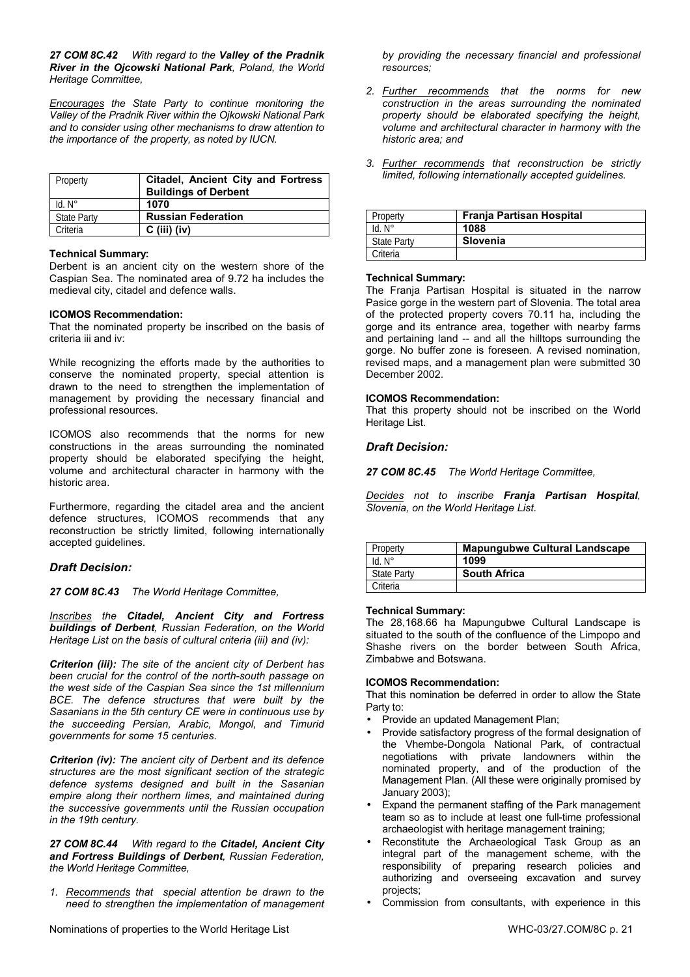*27 COM 8C.42 With regard to the Valley of the Pradnik River in the Ojcowski National Park, Poland, the World Heritage Committee,* 

*Encourages the State Party to continue monitoring the Valley of the Pradnik River within the Ojkowski National Park and to consider using other mechanisms to draw attention to the importance of the property, as noted by IUCN.* 

| Property           | Citadel, Ancient City and Fortress  <br><b>Buildings of Derbent</b> |
|--------------------|---------------------------------------------------------------------|
| $Id. N^\circ$      | 1070                                                                |
| <b>State Party</b> | <b>Russian Federation</b>                                           |
| Criteria           | $C$ (iii) (iv)                                                      |

#### **Technical Summary:**

Derbent is an ancient city on the western shore of the Caspian Sea. The nominated area of 9.72 ha includes the medieval city, citadel and defence walls.

#### **ICOMOS Recommendation:**

That the nominated property be inscribed on the basis of criteria iii and iv:

While recognizing the efforts made by the authorities to conserve the nominated property, special attention is drawn to the need to strengthen the implementation of management by providing the necessary financial and professional resources.

ICOMOS also recommends that the norms for new constructions in the areas surrounding the nominated property should be elaborated specifying the height, volume and architectural character in harmony with the historic area.

Furthermore, regarding the citadel area and the ancient defence structures, ICOMOS recommends that any reconstruction be strictly limited, following internationally accepted guidelines.

#### *Draft Decision:*

*27 COM 8C.43 The World Heritage Committee,* 

*Inscribes the Citadel, Ancient City and Fortress buildings of Derbent, Russian Federation, on the World Heritage List on the basis of cultural criteria (iii) and (iv):* 

*Criterion (iii): The site of the ancient city of Derbent has been crucial for the control of the north-south passage on the west side of the Caspian Sea since the 1st millennium BCE. The defence structures that were built by the Sasanians in the 5th century CE were in continuous use by the succeeding Persian, Arabic, Mongol, and Timurid governments for some 15 centuries.* 

*Criterion (iv): The ancient city of Derbent and its defence structures are the most significant section of the strategic defence systems designed and built in the Sasanian empire along their northern limes, and maintained during the successive governments until the Russian occupation in the 19th century.* 

*27 COM 8C.44 With regard to the Citadel, Ancient City and Fortress Buildings of Derbent, Russian Federation, the World Heritage Committee,* 

*1. Recommends that special attention be drawn to the need to strengthen the implementation of management*  *by providing the necessary financial and professional resources;* 

- *2. Further recommends that the norms for new construction in the areas surrounding the nominated property should be elaborated specifying the height, volume and architectural character in harmony with the historic area; and*
- *3. Further recommends that reconstruction be strictly limited, following internationally accepted guidelines.*

| Property           | Franja Partisan Hospital |
|--------------------|--------------------------|
| $Id. N^\circ$      | 1088                     |
| <b>State Party</b> | Slovenia                 |
| Criteria           |                          |

#### **Technical Summary:**

The Frania Partisan Hospital is situated in the narrow Pasice gorge in the western part of Slovenia. The total area of the protected property covers 70.11 ha, including the gorge and its entrance area, together with nearby farms and pertaining land -- and all the hilltops surrounding the gorge. No buffer zone is foreseen. A revised nomination, revised maps, and a management plan were submitted 30 December 2002.

#### **ICOMOS Recommendation:**

That this property should not be inscribed on the World Heritage List.

#### *Draft Decision:*

*27 COM 8C.45 The World Heritage Committee,* 

*Decides not to inscribe Franja Partisan Hospital, Slovenia, on the World Heritage List.* 

| Property           | <b>Mapungubwe Cultural Landscape</b> |
|--------------------|--------------------------------------|
| Id. N°             | 1099                                 |
| <b>State Party</b> | <b>South Africa</b>                  |
| Criteria           |                                      |

#### **Technical Summary:**

The 28,168.66 ha Mapungubwe Cultural Landscape is situated to the south of the confluence of the Limpopo and Shashe rivers on the border between South Africa, Zimbabwe and Botswana.

### **ICOMOS Recommendation:**

That this nomination be deferred in order to allow the State Party to:

- Provide an updated Management Plan;
- Provide satisfactory progress of the formal designation of the Vhembe-Dongola National Park, of contractual negotiations with private landowners within the nominated property, and of the production of the Management Plan. (All these were originally promised by January 2003);
- Expand the permanent staffing of the Park management team so as to include at least one full-time professional archaeologist with heritage management training;
- Reconstitute the Archaeological Task Group as an integral part of the management scheme, with the responsibility of preparing research policies and authorizing and overseeing excavation and survey projects;
- Commission from consultants, with experience in this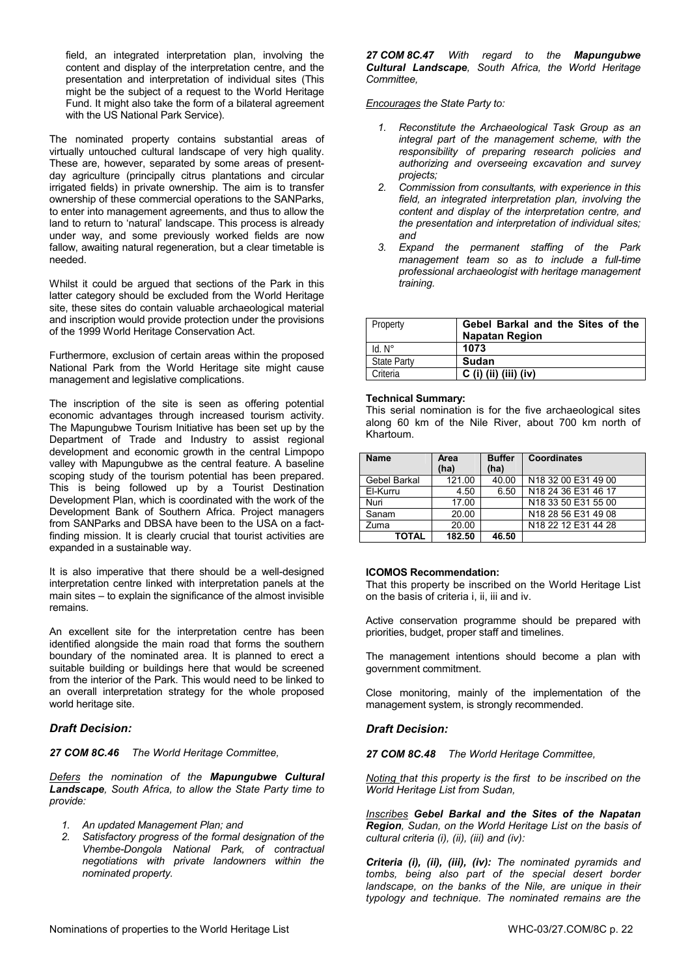field, an integrated interpretation plan, involving the content and display of the interpretation centre, and the presentation and interpretation of individual sites (This might be the subject of a request to the World Heritage Fund. It might also take the form of a bilateral agreement with the US National Park Service).

The nominated property contains substantial areas of virtually untouched cultural landscape of very high quality. These are, however, separated by some areas of presentday agriculture (principally citrus plantations and circular irrigated fields) in private ownership. The aim is to transfer ownership of these commercial operations to the SANParks, to enter into management agreements, and thus to allow the land to return to 'natural' landscape. This process is already under way, and some previously worked fields are now fallow, awaiting natural regeneration, but a clear timetable is needed.

Whilst it could be argued that sections of the Park in this latter category should be excluded from the World Heritage site, these sites do contain valuable archaeological material and inscription would provide protection under the provisions of the 1999 World Heritage Conservation Act.

Furthermore, exclusion of certain areas within the proposed National Park from the World Heritage site might cause management and legislative complications.

The inscription of the site is seen as offering potential economic advantages through increased tourism activity. The Mapungubwe Tourism Initiative has been set up by the Department of Trade and Industry to assist regional development and economic growth in the central Limpopo valley with Mapungubwe as the central feature. A baseline scoping study of the tourism potential has been prepared. This is being followed up by a Tourist Destination Development Plan, which is coordinated with the work of the Development Bank of Southern Africa. Project managers from SANParks and DBSA have been to the USA on a factfinding mission. It is clearly crucial that tourist activities are expanded in a sustainable way.

It is also imperative that there should be a well-designed interpretation centre linked with interpretation panels at the main sites – to explain the significance of the almost invisible remains.

An excellent site for the interpretation centre has been identified alongside the main road that forms the southern boundary of the nominated area. It is planned to erect a suitable building or buildings here that would be screened from the interior of the Park. This would need to be linked to an overall interpretation strategy for the whole proposed world heritage site.

# *Draft Decision:*

*27 COM 8C.46 The World Heritage Committee,* 

*Defers the nomination of the Mapungubwe Cultural Landscape, South Africa, to allow the State Party time to provide:* 

- *1. An updated Management Plan; and*
- *2. Satisfactory progress of the formal designation of the Vhembe-Dongola National Park, of contractual negotiations with private landowners within the nominated property.*

*27 COM 8C.47 With regard to the Mapungubwe Cultural Landscape, South Africa, the World Heritage Committee,* 

# *Encourages the State Party to:*

- *1. Reconstitute the Archaeological Task Group as an integral part of the management scheme, with the responsibility of preparing research policies and authorizing and overseeing excavation and survey projects;*
- *2. Commission from consultants, with experience in this field, an integrated interpretation plan, involving the content and display of the interpretation centre, and the presentation and interpretation of individual sites; and*
- *3. Expand the permanent staffing of the Park management team so as to include a full-time professional archaeologist with heritage management training.*

| Property           | Gebel Barkal and the Sites of the<br><b>Napatan Region</b> |
|--------------------|------------------------------------------------------------|
| $Id. N^\circ$      | 1073                                                       |
| <b>State Party</b> | Sudan                                                      |
| Criteria           | $C$ (i) (ii) (iii) (iv)                                    |

# **Technical Summary:**

This serial nomination is for the five archaeological sites along 60 km of the Nile River, about 700 km north of Khartoum.

| <b>Name</b>  | Area<br>(ha) | <b>Buffer</b><br>(ha) | Coordinates                                 |
|--------------|--------------|-----------------------|---------------------------------------------|
| Gebel Barkal | 121.00       | 40.00                 | N18 32 00 E31 49 00                         |
| El-Kurru     | 4.50         | 6.50                  | N18 24 36 E31 46 17                         |
| Nuri         | 17.00        |                       | N18 33 50 E31 55 00                         |
| Sanam        | 20.00        |                       | N <sub>18</sub> 28 56 E <sub>31</sub> 49 08 |
| Zuma         | 20.00        |                       | N18 22 12 E31 44 28                         |
| TOTAL        | 182.50       | 46.50                 |                                             |

#### **ICOMOS Recommendation:**

That this property be inscribed on the World Heritage List on the basis of criteria i, ii, iii and iv.

Active conservation programme should be prepared with priorities, budget, proper staff and timelines.

The management intentions should become a plan with government commitment.

Close monitoring, mainly of the implementation of the management system, is strongly recommended.

# *Draft Decision:*

*27 COM 8C.48 The World Heritage Committee,* 

*Noting that this property is the first to be inscribed on the World Heritage List from Sudan,* 

*Inscribes Gebel Barkal and the Sites of the Napatan Region, Sudan, on the World Heritage List on the basis of cultural criteria (i), (ii), (iii) and (iv):* 

*Criteria (i), (ii), (iii), (iv): The nominated pyramids and tombs, being also part of the special desert border landscape, on the banks of the Nile, are unique in their typology and technique. The nominated remains are the*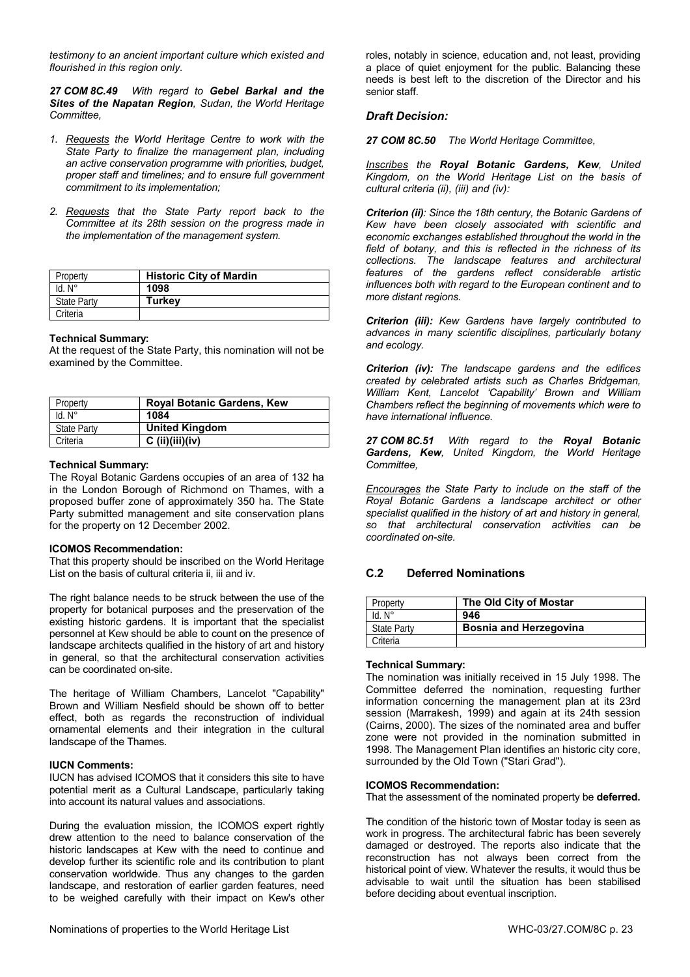*testimony to an ancient important culture which existed and flourished in this region only.* 

*27 COM 8C.49 With regard to Gebel Barkal and the Sites of the Napatan Region, Sudan, the World Heritage Committee,* 

- *1. Requests the World Heritage Centre to work with the State Party to finalize the management plan, including an active conservation programme with priorities, budget, proper staff and timelines; and to ensure full government commitment to its implementation;*
- *2. Requests that the State Party report back to the Committee at its 28th session on the progress made in the implementation of the management system.*

| Property           | <b>Historic City of Mardin</b> |
|--------------------|--------------------------------|
| $Id. N^\circ$      | 1098                           |
| <b>State Party</b> | Turkev                         |
| Criteria           |                                |

#### **Technical Summary:**

At the request of the State Party, this nomination will not be examined by the Committee.

| Property           | <b>Royal Botanic Gardens, Kew</b> |
|--------------------|-----------------------------------|
| $Id. N^\circ$      | 1084                              |
| <b>State Party</b> | <b>United Kingdom</b>             |
| Criteria           | $C$ (ii)(iii)(iv)                 |

#### **Technical Summary:**

The Royal Botanic Gardens occupies of an area of 132 ha in the London Borough of Richmond on Thames, with a proposed buffer zone of approximately 350 ha. The State Party submitted management and site conservation plans for the property on 12 December 2002.

#### **ICOMOS Recommendation:**

That this property should be inscribed on the World Heritage List on the basis of cultural criteria ii, iii and iv.

The right balance needs to be struck between the use of the property for botanical purposes and the preservation of the existing historic gardens. It is important that the specialist personnel at Kew should be able to count on the presence of landscape architects qualified in the history of art and history in general, so that the architectural conservation activities can be coordinated on-site.

The heritage of William Chambers, Lancelot "Capability" Brown and William Nesfield should be shown off to better effect, both as regards the reconstruction of individual ornamental elements and their integration in the cultural landscape of the Thames.

#### **IUCN Comments:**

IUCN has advised ICOMOS that it considers this site to have potential merit as a Cultural Landscape, particularly taking into account its natural values and associations.

During the evaluation mission, the ICOMOS expert rightly drew attention to the need to balance conservation of the historic landscapes at Kew with the need to continue and develop further its scientific role and its contribution to plant conservation worldwide. Thus any changes to the garden landscape, and restoration of earlier garden features, need to be weighed carefully with their impact on Kew's other roles, notably in science, education and, not least, providing a place of quiet enjoyment for the public. Balancing these needs is best left to the discretion of the Director and his senior staff.

#### *Draft Decision:*

*27 COM 8C.50 The World Heritage Committee,* 

*Inscribes the Royal Botanic Gardens, Kew, United Kingdom, on the World Heritage List on the basis of cultural criteria (ii), (iii) and (iv):* 

*Criterion (ii): Since the 18th century, the Botanic Gardens of Kew have been closely associated with scientific and economic exchanges established throughout the world in the field of botany, and this is reflected in the richness of its collections. The landscape features and architectural features of the gardens reflect considerable artistic influences both with regard to the European continent and to more distant regions.* 

*Criterion (iii): Kew Gardens have largely contributed to advances in many scientific disciplines, particularly botany and ecology.* 

*Criterion (iv): The landscape gardens and the edifices created by celebrated artists such as Charles Bridgeman, William Kent, Lancelot 'Capability' Brown and William Chambers reflect the beginning of movements which were to have international influence.* 

*27 COM 8C.51 With regard to the Royal Botanic Gardens, Kew, United Kingdom, the World Heritage Committee,* 

*Encourages the State Party to include on the staff of the Royal Botanic Gardens a landscape architect or other specialist qualified in the history of art and history in general, so that architectural conservation activities can be coordinated on-site.* 

# **C.2 Deferred Nominations**

| Property           | The Old City of Mostar        |
|--------------------|-------------------------------|
| $Id. N^\circ$      | 946                           |
| <b>State Party</b> | <b>Bosnia and Herzegovina</b> |
| Criteria           |                               |

#### **Technical Summary:**

The nomination was initially received in 15 July 1998. The Committee deferred the nomination, requesting further information concerning the management plan at its 23rd session (Marrakesh, 1999) and again at its 24th session (Cairns, 2000). The sizes of the nominated area and buffer zone were not provided in the nomination submitted in 1998. The Management Plan identifies an historic city core, surrounded by the Old Town ("Stari Grad").

#### **ICOMOS Recommendation:**

That the assessment of the nominated property be **deferred.**

The condition of the historic town of Mostar today is seen as work in progress. The architectural fabric has been severely damaged or destroyed. The reports also indicate that the reconstruction has not always been correct from the historical point of view. Whatever the results, it would thus be advisable to wait until the situation has been stabilised before deciding about eventual inscription.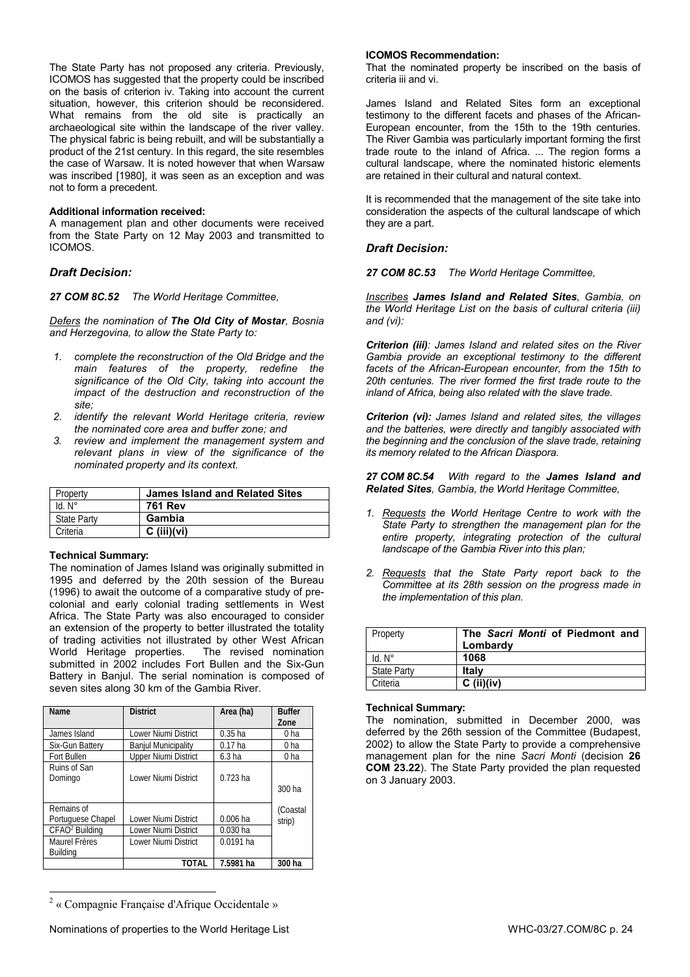The State Party has not proposed any criteria. Previously, ICOMOS has suggested that the property could be inscribed on the basis of criterion iv. Taking into account the current situation, however, this criterion should be reconsidered. What remains from the old site is practically an archaeological site within the landscape of the river valley. The physical fabric is being rebuilt, and will be substantially a product of the 21st century. In this regard, the site resembles the case of Warsaw. It is noted however that when Warsaw was inscribed [1980], it was seen as an exception and was not to form a precedent.

#### **Additional information received:**

A management plan and other documents were received from the State Party on 12 May 2003 and transmitted to ICOMOS.

### *Draft Decision:*

*27 COM 8C.52 The World Heritage Committee,* 

*Defers the nomination of The Old City of Mostar, Bosnia and Herzegovina, to allow the State Party to:* 

- *1. complete the reconstruction of the Old Bridge and the main features of the property, redefine the significance of the Old City, taking into account the impact of the destruction and reconstruction of the site;*
- *2. identify the relevant World Heritage criteria, review the nominated core area and buffer zone; and*
- *3. review and implement the management system and relevant plans in view of the significance of the nominated property and its context.*

| Property           | <b>James Island and Related Sites</b> |
|--------------------|---------------------------------------|
| $Id. N^\circ$      | <b>761 Rev</b>                        |
| <b>State Party</b> | Gambia                                |
| Criteria           | $C$ (iii)(vi)                         |

#### **Technical Summary:**

l

The nomination of James Island was originally submitted in 1995 and deferred by the 20th session of the Bureau (1996) to await the outcome of a comparative study of precolonial and early colonial trading settlements in West Africa. The State Party was also encouraged to consider an extension of the property to better illustrated the totality of trading activities not illustrated by other West African World Heritage properties. The revised nomination submitted in 2002 includes Fort Bullen and the Six-Gun Battery in Banjul. The serial nomination is composed of seven sites along 30 km of the Gambia River.

| Name                       | <b>District</b>             | Area (ha)         | <b>Buffer</b><br>Zone |
|----------------------------|-----------------------------|-------------------|-----------------------|
| James Island               | Lower Niumi District        | $0.35$ ha         | 0 <sub>ha</sub>       |
| Six-Gun Battery            | <b>Banjul Municipality</b>  | $0.17$ ha         | 0 <sub>ha</sub>       |
| Fort Bullen                | <b>Upper Niumi District</b> | 6.3 <sub>ha</sub> | 0 <sub>ha</sub>       |
| Ruins of San<br>Domingo    | Lower Niumi District        | $0.723$ ha        | 300 ha                |
| Remains of                 |                             |                   | (Coastal              |
| Portuguese Chapel          | Lower Niumi District        | $0.006$ ha        | strip)                |
| CFAO <sup>2</sup> Building | Lower Niumi District        | $0.030$ ha        |                       |
| <b>Maurel Frères</b>       | Lower Niumi District        | $0.0191$ ha       |                       |
| Buildina                   |                             |                   |                       |
|                            | TOTAL                       | 7.5981 ha         | 300 ha                |

<sup>&</sup>lt;sup>2</sup> « Compagnie Française d'Afrique Occidentale »

# **ICOMOS Recommendation:**

That the nominated property be inscribed on the basis of criteria iii and vi.

James Island and Related Sites form an exceptional testimony to the different facets and phases of the African-European encounter, from the 15th to the 19th centuries. The River Gambia was particularly important forming the first trade route to the inland of Africa. ... The region forms a cultural landscape, where the nominated historic elements are retained in their cultural and natural context.

It is recommended that the management of the site take into consideration the aspects of the cultural landscape of which they are a part.

### *Draft Decision:*

*27 COM 8C.53 The World Heritage Committee,* 

*Inscribes James Island and Related Sites, Gambia, on the World Heritage List on the basis of cultural criteria (iii) and (vi):* 

*Criterion (iii): James Island and related sites on the River Gambia provide an exceptional testimony to the different facets of the African-European encounter, from the 15th to 20th centuries. The river formed the first trade route to the inland of Africa, being also related with the slave trade.* 

*Criterion (vi): James Island and related sites, the villages and the batteries, were directly and tangibly associated with the beginning and the conclusion of the slave trade, retaining its memory related to the African Diaspora.* 

*27 COM 8C.54 With regard to the James Island and Related Sites, Gambia, the World Heritage Committee,* 

- *1. Requests the World Heritage Centre to work with the State Party to strengthen the management plan for the entire property, integrating protection of the cultural landscape of the Gambia River into this plan;*
- *2. Requests that the State Party report back to the Committee at its 28th session on the progress made in the implementation of this plan.*

| Property           | The Sacri Monti of Piedmont and<br>Lombardy |
|--------------------|---------------------------------------------|
| $Id. N^\circ$      | 1068                                        |
| <b>State Party</b> | Italy                                       |
| Criteria           | $C$ (ii)(iv)                                |

#### **Technical Summary:**

The nomination, submitted in December 2000, was deferred by the 26th session of the Committee (Budapest, 2002) to allow the State Party to provide a comprehensive management plan for the nine *Sacri Monti* (decision **26 COM 23.22**). The State Party provided the plan requested on 3 January 2003.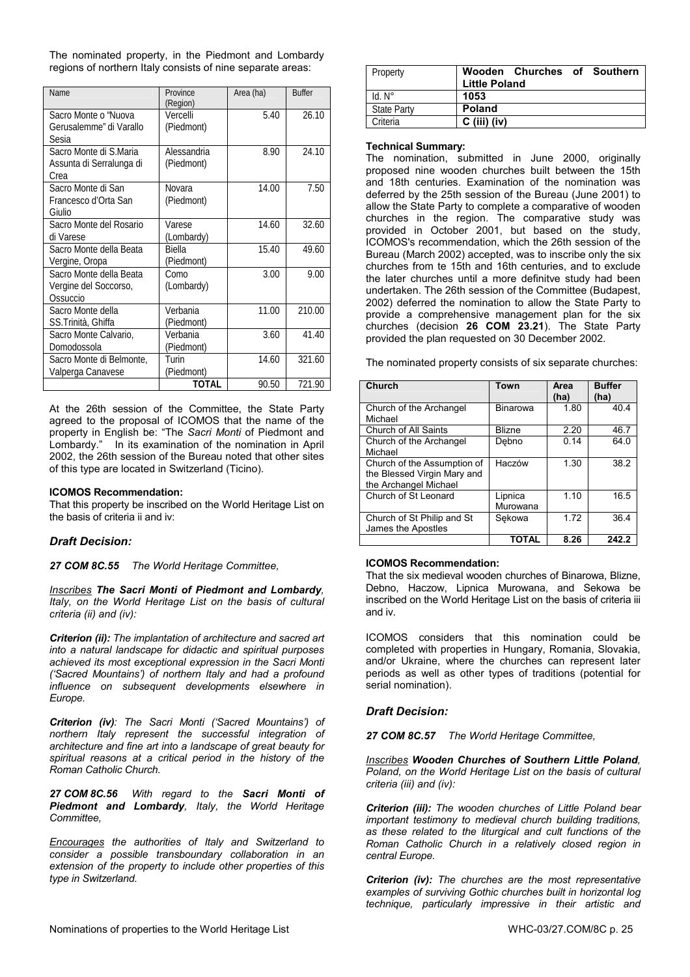The nominated property, in the Piedmont and Lombardy regions of northern Italy consists of nine separate areas:

| <b>Name</b>                                                  | Province<br>(Region)        | Area (ha) | <b>Buffer</b> |
|--------------------------------------------------------------|-----------------------------|-----------|---------------|
| Sacro Monte o "Nuova<br>Gerusalemme" di Varallo<br>Sesia     | Vercelli<br>(Piedmont)      | 5.40      | 26.10         |
| Sacro Monte di S.Maria<br>Assunta di Serralunga di<br>Crea   | Alessandria<br>(Piedmont)   | 8.90      | 24.10         |
| Sacro Monte di San<br>Francesco d'Orta San<br>Giulio         | Novara<br>(Piedmont)        | 14.00     | 7.50          |
| Sacro Monte del Rosario<br>di Varese                         | Varese<br>(Lombardy)        | 14.60     | 32.60         |
| Sacro Monte della Beata<br>Vergine, Oropa                    | <b>Biella</b><br>(Piedmont) | 15.40     | 49.60         |
| Sacro Monte della Beata<br>Vergine del Soccorso,<br>Ossuccio | Como<br>(Lombardy)          | 3.00      | 9.00          |
| Sacro Monte della<br>SS.Trinità, Ghiffa                      | Verbania<br>(Piedmont)      | 11.00     | 210.00        |
| Sacro Monte Calvario,<br>Domodossola                         | Verbania<br>(Piedmont)      | 3.60      | 41.40         |
| Sacro Monte di Belmonte,<br>Valperga Canavese                | Turin<br>(Piedmont)         | 14.60     | 321.60        |
|                                                              | TOTAL                       | 90.50     | 721.90        |

At the 26th session of the Committee, the State Party agreed to the proposal of ICOMOS that the name of the property in English be: "The *Sacri Monti* of Piedmont and Lombardy." In its examination of the nomination in April 2002, the 26th session of the Bureau noted that other sites of this type are located in Switzerland (Ticino).

#### **ICOMOS Recommendation:**

That this property be inscribed on the World Heritage List on the basis of criteria ii and iv:

#### *Draft Decision:*

*27 COM 8C.55 The World Heritage Committee,* 

*Inscribes The Sacri Monti of Piedmont and Lombardy, Italy, on the World Heritage List on the basis of cultural criteria (ii) and (iv):* 

*Criterion (ii): The implantation of architecture and sacred art into a natural landscape for didactic and spiritual purposes achieved its most exceptional expression in the Sacri Monti ('Sacred Mountains') of northern Italy and had a profound influence on subsequent developments elsewhere in Europe.* 

*Criterion (iv): The Sacri Monti ('Sacred Mountains') of northern Italy represent the successful integration of architecture and fine art into a landscape of great beauty for spiritual reasons at a critical period in the history of the Roman Catholic Church.* 

*27 COM 8C.56 With regard to the Sacri Monti of Piedmont and Lombardy, Italy, the World Heritage Committee,* 

*Encourages the authorities of Italy and Switzerland to consider a possible transboundary collaboration in an extension of the property to include other properties of this type in Switzerland.* 

| Property           | Wooden Churches of Southern<br><b>Little Poland</b> |
|--------------------|-----------------------------------------------------|
| $Id. N^\circ$      | 1053                                                |
| <b>State Party</b> | <b>Poland</b>                                       |
| Criteria           | $C$ (iii) (iv)                                      |

#### **Technical Summary:**

The nomination, submitted in June 2000, originally proposed nine wooden churches built between the 15th and 18th centuries. Examination of the nomination was deferred by the 25th session of the Bureau (June 2001) to allow the State Party to complete a comparative of wooden churches in the region. The comparative study was provided in October 2001, but based on the study, ICOMOS's recommendation, which the 26th session of the Bureau (March 2002) accepted, was to inscribe only the six churches from te 15th and 16th centuries, and to exclude the later churches until a more definitve study had been undertaken. The 26th session of the Committee (Budapest, 2002) deferred the nomination to allow the State Party to provide a comprehensive management plan for the six churches (decision **26 COM 23.21**). The State Party provided the plan requested on 30 December 2002.

The nominated property consists of six separate churches:

| Church                                                                              | Town                | Area<br>(ha) | <b>Buffer</b><br>(ha) |
|-------------------------------------------------------------------------------------|---------------------|--------------|-----------------------|
| Church of the Archangel<br>Michael                                                  | <b>Binarowa</b>     | 1.80         | 40.4                  |
| Church of All Saints                                                                | <b>Blizne</b>       | 2.20         | 46.7                  |
| Church of the Archangel<br>Michael                                                  | Debno               | 0.14         | 64.0                  |
| Church of the Assumption of<br>the Blessed Virgin Mary and<br>the Archangel Michael | Haczów              | 1.30         | 38.2                  |
| Church of St Leonard                                                                | Lipnica<br>Murowana | 1.10         | 16.5                  |
| Church of St Philip and St<br>James the Apostles                                    | Sekowa              | 1.72         | 36.4                  |
|                                                                                     | <b>TOTAL</b>        | 8.26         | 242.2                 |

#### **ICOMOS Recommendation:**

That the six medieval wooden churches of Binarowa, Blizne, Debno, Haczow, Lipnica Murowana, and Sekowa be inscribed on the World Heritage List on the basis of criteria iii and iv.

ICOMOS considers that this nomination could be completed with properties in Hungary, Romania, Slovakia, and/or Ukraine, where the churches can represent later periods as well as other types of traditions (potential for serial nomination).

#### *Draft Decision:*

*27 COM 8C.57 The World Heritage Committee,* 

*Inscribes Wooden Churches of Southern Little Poland, Poland, on the World Heritage List on the basis of cultural criteria (iii) and (iv):* 

*Criterion (iii): The wooden churches of Little Poland bear important testimony to medieval church building traditions, as these related to the liturgical and cult functions of the Roman Catholic Church in a relatively closed region in central Europe.* 

*Criterion (iv): The churches are the most representative examples of surviving Gothic churches built in horizontal log technique, particularly impressive in their artistic and*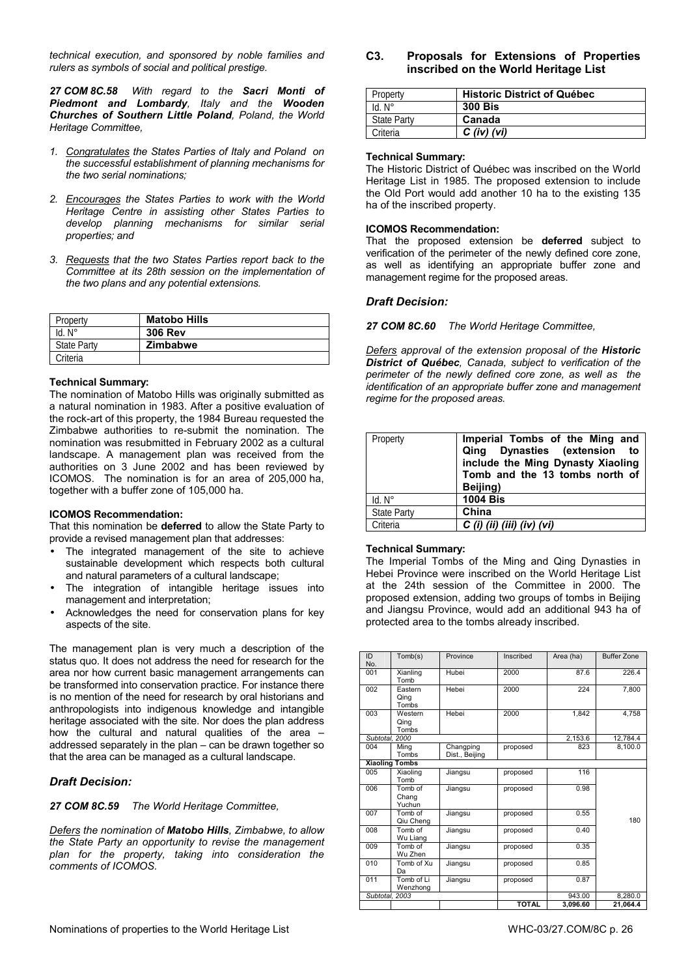*technical execution, and sponsored by noble families and rulers as symbols of social and political prestige.* 

*27 COM 8C.58 With regard to the Sacri Monti of Piedmont and Lombardy, Italy and the Wooden Churches of Southern Little Poland, Poland, the World Heritage Committee,* 

- *1. Congratulates the States Parties of Italy and Poland on the successful establishment of planning mechanisms for the two serial nominations;*
- *2. Encourages the States Parties to work with the World Heritage Centre in assisting other States Parties to develop planning mechanisms for similar serial properties; and*
- *3. Requests that the two States Parties report back to the Committee at its 28th session on the implementation of the two plans and any potential extensions.*

| Property           | <b>Matobo Hills</b> |
|--------------------|---------------------|
| $Id. N^{\circ}$    | <b>306 Rev</b>      |
| <b>State Party</b> | <b>Zimbabwe</b>     |
| Criteria           |                     |

#### **Technical Summary:**

The nomination of Matobo Hills was originally submitted as a natural nomination in 1983. After a positive evaluation of the rock-art of this property, the 1984 Bureau requested the Zimbabwe authorities to re-submit the nomination. The nomination was resubmitted in February 2002 as a cultural landscape. A management plan was received from the authorities on 3 June 2002 and has been reviewed by ICOMOS. The nomination is for an area of 205,000 ha, together with a buffer zone of 105,000 ha.

#### **ICOMOS Recommendation:**

That this nomination be **deferred** to allow the State Party to provide a revised management plan that addresses:

- The integrated management of the site to achieve sustainable development which respects both cultural and natural parameters of a cultural landscape;
- The integration of intangible heritage issues into management and interpretation;
- Acknowledges the need for conservation plans for key aspects of the site.

The management plan is very much a description of the status quo. It does not address the need for research for the area nor how current basic management arrangements can be transformed into conservation practice. For instance there is no mention of the need for research by oral historians and anthropologists into indigenous knowledge and intangible heritage associated with the site. Nor does the plan address how the cultural and natural qualities of the area – addressed separately in the plan – can be drawn together so that the area can be managed as a cultural landscape.

# *Draft Decision:*

*27 COM 8C.59 The World Heritage Committee,* 

*Defers the nomination of Matobo Hills, Zimbabwe, to allow the State Party an opportunity to revise the management plan for the property, taking into consideration the comments of ICOMOS.* 

**C3. Proposals for Extensions of Properties inscribed on the World Heritage List**

| Property           | <b>Historic District of Québec</b> |
|--------------------|------------------------------------|
| $Id. N^\circ$      | <b>300 Bis</b>                     |
| <b>State Party</b> | Canada                             |
| Criteria           | $C$ (iv) (vi)                      |

#### **Technical Summary:**

The Historic District of Québec was inscribed on the World Heritage List in 1985. The proposed extension to include the Old Port would add another 10 ha to the existing 135 ha of the inscribed property.

#### **ICOMOS Recommendation:**

That the proposed extension be **deferred** subject to verification of the perimeter of the newly defined core zone, as well as identifying an appropriate buffer zone and management regime for the proposed areas.

#### *Draft Decision:*

*27 COM 8C.60 The World Heritage Committee,* 

*Defers approval of the extension proposal of the Historic District of Québec, Canada, subject to verification of the perimeter of the newly defined core zone, as well as the identification of an appropriate buffer zone and management regime for the proposed areas.* 

| Property           | Imperial Tombs of the Ming and<br>Qing Dynasties (extension to<br>include the Ming Dynasty Xiaoling<br>Tomb and the 13 tombs north of<br>Beijing) |
|--------------------|---------------------------------------------------------------------------------------------------------------------------------------------------|
| $Id. N^\circ$      | <b>1004 Bis</b>                                                                                                                                   |
| <b>State Party</b> | China                                                                                                                                             |
| Criteria           | $C$ (i) (ii) (iii) (iv) (vi)                                                                                                                      |

#### **Technical Summary:**

The Imperial Tombs of the Ming and Qing Dynasties in Hebei Province were inscribed on the World Heritage List at the 24th session of the Committee in 2000. The proposed extension, adding two groups of tombs in Beijing and Jiangsu Province, would add an additional 943 ha of protected area to the tombs already inscribed.

| ID<br>No.      | Tomb(s)                    | Province                    | Inscribed    | Area (ha) | <b>Buffer Zone</b> |
|----------------|----------------------------|-----------------------------|--------------|-----------|--------------------|
| 001            | Xianling<br>Tomb           | Hubei                       | 2000         | 87.6      | 226.4              |
| 002            | Eastern<br>Qing<br>Tombs   | Hebei                       | 2000         | 224       | 7,800              |
| 003            | Western<br>Qing<br>Tombs   | Hebei                       | 2000         | 1.842     | 4,758              |
| Subtotal, 2000 |                            |                             |              | 2.153.6   | 12.784.4           |
| 004            | Ming<br>Tombs              | Changping<br>Dist., Beijing | proposed     | 823       | 8.100.0            |
|                | <b>Xiaoling Tombs</b>      |                             |              |           |                    |
| 005            | Xiaoling<br>Tomb           | Jiangsu                     | proposed     | 116       |                    |
| 006            | Tomb of<br>Chang<br>Yuchun | Jiangsu                     | proposed     | 0.98      |                    |
| 007            | Tomb of<br>Qiu Cheng       | Jiangsu                     | proposed     | 0.55      | 180                |
| 800            | Tomb of<br>Wu Liang        | Jiangsu                     | proposed     | 0.40      |                    |
| 009            | Tomb of<br>Wu Zhen         | Jiangsu                     | proposed     | 0.35      |                    |
| 010            | Tomb of Xu<br>Da           | Jiangsu                     | proposed     | 0.85      |                    |
| 011            | Tomb of Li<br>Wenzhong     | Jiangsu                     | proposed     | 0.87      |                    |
| Subtotal, 2003 |                            |                             |              | 943.00    | 8.280.0            |
|                |                            |                             | <b>TOTAL</b> | 3,096.60  | 21.064.4           |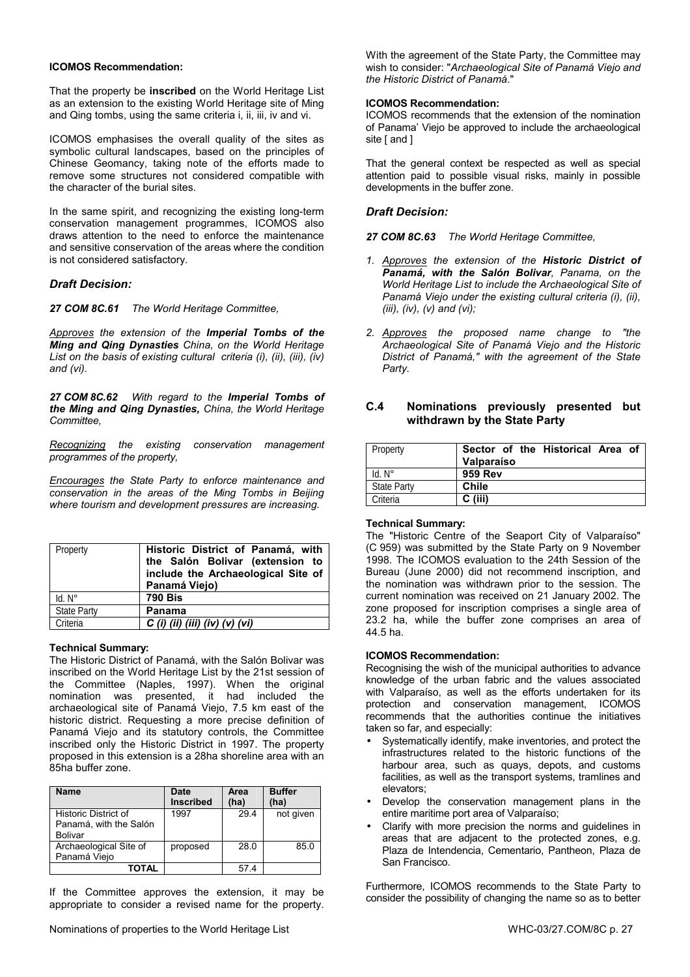#### **ICOMOS Recommendation:**

That the property be **inscribed** on the World Heritage List as an extension to the existing World Heritage site of Ming and Qing tombs, using the same criteria i, ii, iii, iv and vi.

ICOMOS emphasises the overall quality of the sites as symbolic cultural landscapes, based on the principles of Chinese Geomancy, taking note of the efforts made to remove some structures not considered compatible with the character of the burial sites.

In the same spirit, and recognizing the existing long-term conservation management programmes, ICOMOS also draws attention to the need to enforce the maintenance and sensitive conservation of the areas where the condition is not considered satisfactory.

### *Draft Decision:*

*27 COM 8C.61 The World Heritage Committee,* 

*Approves the extension of the Imperial Tombs of the Ming and Qing Dynasties China, on the World Heritage List on the basis of existing cultural criteria (i), (ii), (iii), (iv) and (vi).* 

*27 COM 8C.62 With regard to the Imperial Tombs of the Ming and Qing Dynasties, China, the World Heritage Committee,* 

*Recognizing the existing conservation management programmes of the property,* 

*Encourages the State Party to enforce maintenance and conservation in the areas of the Ming Tombs in Beijing where tourism and development pressures are increasing.*

| Property           | Historic District of Panamá, with<br>the Salón Bolivar (extension to<br>include the Archaeological Site of<br>Panamá Viejo) |
|--------------------|-----------------------------------------------------------------------------------------------------------------------------|
| $Id. N^\circ$      | <b>790 Bis</b>                                                                                                              |
| <b>State Party</b> | Panama                                                                                                                      |
| Criteria           | $C$ (i) (ii) (iii) (iv) (v) (vi)                                                                                            |

#### **Technical Summary:**

The Historic District of Panamá, with the Salón Bolivar was inscribed on the World Heritage List by the 21st session of the Committee (Naples, 1997). When the original nomination was presented, it had included the archaeological site of Panamá Viejo, 7.5 km east of the historic district. Requesting a more precise definition of Panamá Viejo and its statutory controls, the Committee inscribed only the Historic District in 1997. The property proposed in this extension is a 28ha shoreline area with an 85ha buffer zone.

| <b>Name</b>            | <b>Date</b><br><b>Inscribed</b> | Area<br>(ha) | <b>Buffer</b><br>(ha) |
|------------------------|---------------------------------|--------------|-----------------------|
| Historic District of   | 1997                            | 29.4         | not given             |
| Panamá, with the Salón |                                 |              |                       |
| Bolivar                |                                 |              |                       |
| Archaeological Site of | proposed                        | 28.0         | 85.0                  |
| Panamá Viejo           |                                 |              |                       |
| TOTAL                  |                                 | 574          |                       |

If the Committee approves the extension, it may be appropriate to consider a revised name for the property. With the agreement of the State Party, the Committee may wish to consider: "*Archaeological Site of Panamá Viejo and the Historic District of Panamá*."

#### **ICOMOS Recommendation:**

ICOMOS recommends that the extension of the nomination of Panama' Viejo be approved to include the archaeological site [ and ]

That the general context be respected as well as special attention paid to possible visual risks, mainly in possible developments in the buffer zone.

#### *Draft Decision:*

*27 COM 8C.63 The World Heritage Committee,* 

- *1. Approves the extension of the Historic District of Panamá, with the Salón Bolivar, Panama, on the World Heritage List to include the Archaeological Site of Panamá Viejo under the existing cultural criteria (i), (ii), (iii), (iv), (v) and (vi);*
- *2. Approves the proposed name change to "the Archaeological Site of Panamá Viejo and the Historic District of Panamá," with the agreement of the State Party.*

### **C.4 Nominations previously presented but withdrawn by the State Party**

| Property           | Sector of the Historical Area of |
|--------------------|----------------------------------|
|                    | Valparaíso                       |
| $Id. N^\circ$      | 959 Rev                          |
| <b>State Party</b> | <b>Chile</b>                     |
| Criteria           | $C$ (iii)                        |

#### **Technical Summary:**

The "Historic Centre of the Seaport City of Valparaíso" (C 959) was submitted by the State Party on 9 November 1998. The ICOMOS evaluation to the 24th Session of the Bureau (June 2000) did not recommend inscription, and the nomination was withdrawn prior to the session. The current nomination was received on 21 January 2002. The zone proposed for inscription comprises a single area of 23.2 ha, while the buffer zone comprises an area of 44.5 ha.

#### **ICOMOS Recommendation:**

Recognising the wish of the municipal authorities to advance knowledge of the urban fabric and the values associated with Valparaíso, as well as the efforts undertaken for its protection and conservation management, ICOMOS recommends that the authorities continue the initiatives taken so far, and especially:

- Systematically identify, make inventories, and protect the infrastructures related to the historic functions of the harbour area, such as quays, depots, and customs facilities, as well as the transport systems, tramlines and elevators;
- Develop the conservation management plans in the entire maritime port area of Valparaíso;
- Clarify with more precision the norms and guidelines in areas that are adjacent to the protected zones, e.g. Plaza de Intendencia, Cementario, Pantheon, Plaza de San Francisco.

Furthermore, ICOMOS recommends to the State Party to consider the possibility of changing the name so as to better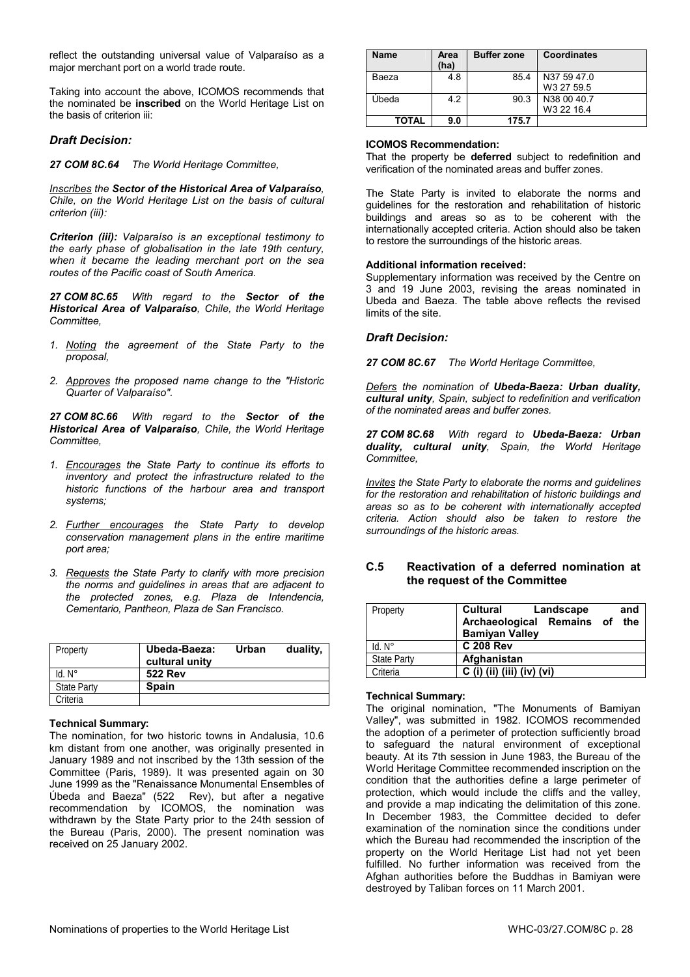reflect the outstanding universal value of Valparaíso as a major merchant port on a world trade route.

Taking into account the above, ICOMOS recommends that the nominated be **inscribed** on the World Heritage List on the basis of criterion iii:

### *Draft Decision:*

*27 COM 8C.64 The World Heritage Committee,* 

*Inscribes the Sector of the Historical Area of Valparaíso, Chile, on the World Heritage List on the basis of cultural criterion (iii):* 

*Criterion (iii): Valparaíso is an exceptional testimony to the early phase of globalisation in the late 19th century, when it became the leading merchant port on the sea routes of the Pacific coast of South America.* 

*27 COM 8C.65 With regard to the Sector of the Historical Area of Valparaíso, Chile, the World Heritage Committee,* 

- *1. Noting the agreement of the State Party to the proposal,*
- *2. Approves the proposed name change to the "Historic Quarter of Valparaíso".*

*27 COM 8C.66 With regard to the Sector of the Historical Area of Valparaíso, Chile, the World Heritage Committee,* 

- *1. Encourages the State Party to continue its efforts to inventory and protect the infrastructure related to the historic functions of the harbour area and transport systems;*
- *2. Further encourages the State Party to develop conservation management plans in the entire maritime port area;*
- *3. Requests the State Party to clarify with more precision the norms and guidelines in areas that are adjacent to the protected zones, e.g. Plaza de Intendencia, Cementario, Pantheon, Plaza de San Francisco.*

| Property           | Ubeda-Baeza:<br>cultural unity | Urban | duality, |
|--------------------|--------------------------------|-------|----------|
| $Id. N^\circ$      | <b>522 Rev</b>                 |       |          |
| <b>State Party</b> | <b>Spain</b>                   |       |          |
| Criteria           |                                |       |          |

#### **Technical Summary:**

The nomination, for two historic towns in Andalusia, 10.6 km distant from one another, was originally presented in January 1989 and not inscribed by the 13th session of the Committee (Paris, 1989). It was presented again on 30 June 1999 as the "Renaissance Monumental Ensembles of Úbeda and Baeza" (522 Rev), but after a negative recommendation by ICOMOS, the nomination was withdrawn by the State Party prior to the 24th session of the Bureau (Paris, 2000). The present nomination was received on 25 January 2002.

| Name  | Area<br>(ha) | <b>Buffer zone</b> | Coordinates                           |
|-------|--------------|--------------------|---------------------------------------|
| Baeza | 4.8          | 85.4               | N37 59 47.0<br>W3 27 59.5             |
| Úbeda | 4.2          | 90.3               | N38 00 40.7<br>W <sub>3</sub> 22 16.4 |
| TOTAL | 9.0          | 175.7              |                                       |

#### **ICOMOS Recommendation:**

That the property be **deferred** subject to redefinition and verification of the nominated areas and buffer zones.

The State Party is invited to elaborate the norms and guidelines for the restoration and rehabilitation of historic buildings and areas so as to be coherent with the internationally accepted criteria. Action should also be taken to restore the surroundings of the historic areas.

#### **Additional information received:**

Supplementary information was received by the Centre on 3 and 19 June 2003, revising the areas nominated in Ubeda and Baeza. The table above reflects the revised limits of the site.

#### *Draft Decision:*

*27 COM 8C.67 The World Heritage Committee,* 

*Defers the nomination of Ubeda-Baeza: Urban duality, cultural unity, Spain, subject to redefinition and verification of the nominated areas and buffer zones.* 

*27 COM 8C.68 With regard to Ubeda-Baeza: Urban duality, cultural unity, Spain, the World Heritage Committee,* 

*Invites the State Party to elaborate the norms and guidelines for the restoration and rehabilitation of historic buildings and areas so as to be coherent with internationally accepted criteria. Action should also be taken to restore the surroundings of the historic areas.* 

# **C.5 Reactivation of a deferred nomination at the request of the Committee**

| Property           | Cultural<br>Landscape<br>and<br>Archaeological Remains of the<br><b>Bamiyan Valley</b> |
|--------------------|----------------------------------------------------------------------------------------|
| $Id. N^\circ$      | <b>C 208 Rev</b>                                                                       |
| <b>State Party</b> | Afghanistan                                                                            |
| Criteria           | C (i) (ii) (iii) (iv) (vi)                                                             |

#### **Technical Summary:**

The original nomination, "The Monuments of Bamiyan Valley", was submitted in 1982. ICOMOS recommended the adoption of a perimeter of protection sufficiently broad to safeguard the natural environment of exceptional beauty. At its 7th session in June 1983, the Bureau of the World Heritage Committee recommended inscription on the condition that the authorities define a large perimeter of protection, which would include the cliffs and the valley, and provide a map indicating the delimitation of this zone. In December 1983, the Committee decided to defer examination of the nomination since the conditions under which the Bureau had recommended the inscription of the property on the World Heritage List had not yet been fulfilled. No further information was received from the Afghan authorities before the Buddhas in Bamiyan were destroyed by Taliban forces on 11 March 2001.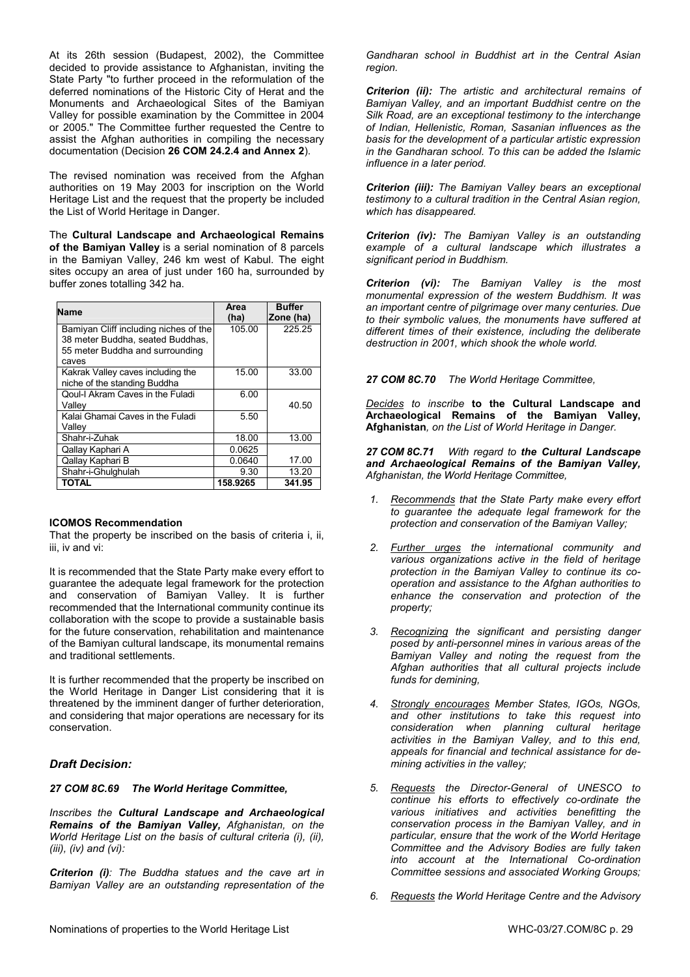At its 26th session (Budapest, 2002), the Committee decided to provide assistance to Afghanistan, inviting the State Party "to further proceed in the reformulation of the deferred nominations of the Historic City of Herat and the Monuments and Archaeological Sites of the Bamiyan Valley for possible examination by the Committee in 2004 or 2005." The Committee further requested the Centre to assist the Afghan authorities in compiling the necessary documentation (Decision **26 COM 24.2.4 and Annex 2**).

The revised nomination was received from the Afghan authorities on 19 May 2003 for inscription on the World Heritage List and the request that the property be included the List of World Heritage in Danger.

The **Cultural Landscape and Archaeological Remains of the Bamiyan Valley** is a serial nomination of 8 parcels in the Bamiyan Valley, 246 km west of Kabul. The eight sites occupy an area of just under 160 ha, surrounded by buffer zones totalling 342 ha.

| Name                                                                                                         | Area<br>(ha) | <b>Buffer</b><br>Zone (ha) |
|--------------------------------------------------------------------------------------------------------------|--------------|----------------------------|
| Bamiyan Cliff including niches of the<br>38 meter Buddha, seated Buddhas,<br>55 meter Buddha and surrounding | 105.00       | 225.25                     |
| caves                                                                                                        |              |                            |
| Kakrak Valley caves including the<br>niche of the standing Buddha                                            | 15.00        | 33.00                      |
| Qoul-I Akram Caves in the Fuladi<br>Vallev                                                                   | 6.00         | 40.50                      |
| Kalai Ghamai Caves in the Fuladi<br>Vallev                                                                   | 5.50         |                            |
| Shahr-i-Zuhak                                                                                                | 18.00        | 13.00                      |
| Qallay Kaphari A                                                                                             | 0.0625       |                            |
| Qallay Kaphari B                                                                                             | 0.0640       | 17.00                      |
| Shahr-i-Ghulghulah                                                                                           | 9.30         | 13.20                      |
| TOTAL                                                                                                        | 158.9265     | 341.95                     |

#### **ICOMOS Recommendation**

That the property be inscribed on the basis of criteria i, ii, iii, iv and vi:

It is recommended that the State Party make every effort to guarantee the adequate legal framework for the protection and conservation of Bamiyan Valley. It is further recommended that the International community continue its collaboration with the scope to provide a sustainable basis for the future conservation, rehabilitation and maintenance of the Bamiyan cultural landscape, its monumental remains and traditional settlements.

It is further recommended that the property be inscribed on the World Heritage in Danger List considering that it is threatened by the imminent danger of further deterioration, and considering that major operations are necessary for its conservation.

# *Draft Decision:*

*27 COM 8C.69 The World Heritage Committee,* 

*Inscribes the Cultural Landscape and Archaeological Remains of the Bamiyan Valley, Afghanistan, on the World Heritage List on the basis of cultural criteria (i), (ii), (iii), (iv) and (vi):* 

*Criterion (i): The Buddha statues and the cave art in Bamiyan Valley are an outstanding representation of the*  *Gandharan school in Buddhist art in the Central Asian region.* 

*Criterion (ii): The artistic and architectural remains of Bamiyan Valley, and an important Buddhist centre on the Silk Road, are an exceptional testimony to the interchange of Indian, Hellenistic, Roman, Sasanian influences as the basis for the development of a particular artistic expression in the Gandharan school. To this can be added the Islamic influence in a later period.* 

*Criterion (iii): The Bamiyan Valley bears an exceptional testimony to a cultural tradition in the Central Asian region, which has disappeared.* 

*Criterion (iv): The Bamiyan Valley is an outstanding example of a cultural landscape which illustrates a significant period in Buddhism.* 

*Criterion (vi): The Bamiyan Valley is the most monumental expression of the western Buddhism. It was an important centre of pilgrimage over many centuries. Due to their symbolic values, the monuments have suffered at different times of their existence, including the deliberate destruction in 2001, which shook the whole world.*

*27 COM 8C.70 The World Heritage Committee,* 

*Decides to inscribe* **to the Cultural Landscape and Archaeological Remains of the Bamiyan Valley, Afghanistan***, on the List of World Heritage in Danger.* 

*27 COM 8C.71 With regard to the Cultural Landscape and Archaeological Remains of the Bamiyan Valley, Afghanistan, the World Heritage Committee,* 

- *1. Recommends that the State Party make every effort to guarantee the adequate legal framework for the protection and conservation of the Bamiyan Valley;*
- *2. Further urges the international community and various organizations active in the field of heritage protection in the Bamiyan Valley to continue its cooperation and assistance to the Afghan authorities to enhance the conservation and protection of the property;*
- *3. Recognizing the significant and persisting danger posed by anti-personnel mines in various areas of the Bamiyan Valley and noting the request from the Afghan authorities that all cultural projects include funds for demining,*
- *4. Strongly encourages Member States, IGOs, NGOs, and other institutions to take this request into consideration when planning cultural heritage activities in the Bamiyan Valley, and to this end, appeals for financial and technical assistance for demining activities in the valley;*
- *5. Requests the Director-General of UNESCO to continue his efforts to effectively co-ordinate the various initiatives and activities benefitting the conservation process in the Bamiyan Valley, and in particular, ensure that the work of the World Heritage Committee and the Advisory Bodies are fully taken into account at the International Co-ordination Committee sessions and associated Working Groups;*
- *6. Requests the World Heritage Centre and the Advisory*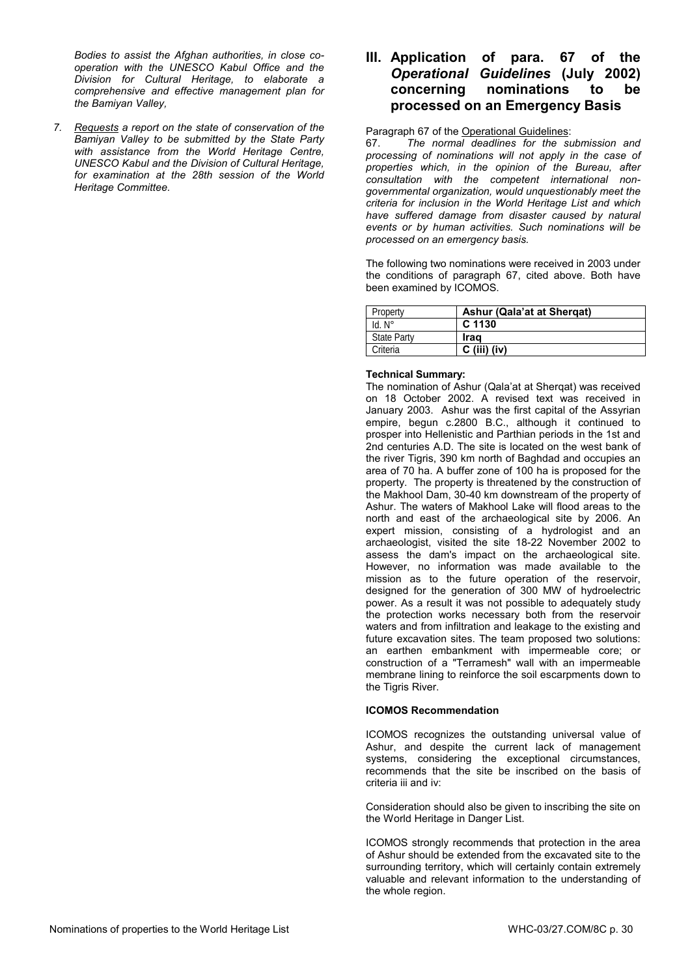*Bodies to assist the Afghan authorities, in close cooperation with the UNESCO Kabul Office and the Division for Cultural Heritage, to elaborate a comprehensive and effective management plan for the Bamiyan Valley,* 

*7. Requests a report on the state of conservation of the Bamiyan Valley to be submitted by the State Party with assistance from the World Heritage Centre, UNESCO Kabul and the Division of Cultural Heritage, for examination at the 28th session of the World Heritage Committee.* 

# **III. Application of para. 67 of the**  *Operational Guidelines* **(July 2002) concerning nominations to be processed on an Emergency Basis**

Paragraph 67 of the Operational Guidelines:

67. *The normal deadlines for the submission and processing of nominations will not apply in the case of properties which, in the opinion of the Bureau, after consultation with the competent international nongovernmental organization, would unquestionably meet the criteria for inclusion in the World Heritage List and which have suffered damage from disaster caused by natural events or by human activities. Such nominations will be processed on an emergency basis.* 

The following two nominations were received in 2003 under the conditions of paragraph 67, cited above. Both have been examined by ICOMOS.

| Property           | Ashur (Qala'at at Shergat) |
|--------------------|----------------------------|
| $Id. N^\circ$      | C 1130                     |
| <b>State Party</b> | Irag                       |
| Criteria           | $C$ (iii) (iv)             |

### **Technical Summary:**

The nomination of Ashur (Qala'at at Sherqat) was received on 18 October 2002. A revised text was received in January 2003. Ashur was the first capital of the Assyrian empire, begun c.2800 B.C., although it continued to prosper into Hellenistic and Parthian periods in the 1st and 2nd centuries A.D. The site is located on the west bank of the river Tigris, 390 km north of Baghdad and occupies an area of 70 ha. A buffer zone of 100 ha is proposed for the property. The property is threatened by the construction of the Makhool Dam, 30-40 km downstream of the property of Ashur. The waters of Makhool Lake will flood areas to the north and east of the archaeological site by 2006. An expert mission, consisting of a hydrologist and an archaeologist, visited the site 18-22 November 2002 to assess the dam's impact on the archaeological site. However, no information was made available to the mission as to the future operation of the reservoir, designed for the generation of 300 MW of hydroelectric power. As a result it was not possible to adequately study the protection works necessary both from the reservoir waters and from infiltration and leakage to the existing and future excavation sites. The team proposed two solutions: an earthen embankment with impermeable core; or construction of a "Terramesh" wall with an impermeable membrane lining to reinforce the soil escarpments down to the Tigris River.

# **ICOMOS Recommendation**

ICOMOS recognizes the outstanding universal value of Ashur, and despite the current lack of management systems, considering the exceptional circumstances, recommends that the site be inscribed on the basis of criteria iii and iv:

Consideration should also be given to inscribing the site on the World Heritage in Danger List.

ICOMOS strongly recommends that protection in the area of Ashur should be extended from the excavated site to the surrounding territory, which will certainly contain extremely valuable and relevant information to the understanding of the whole region.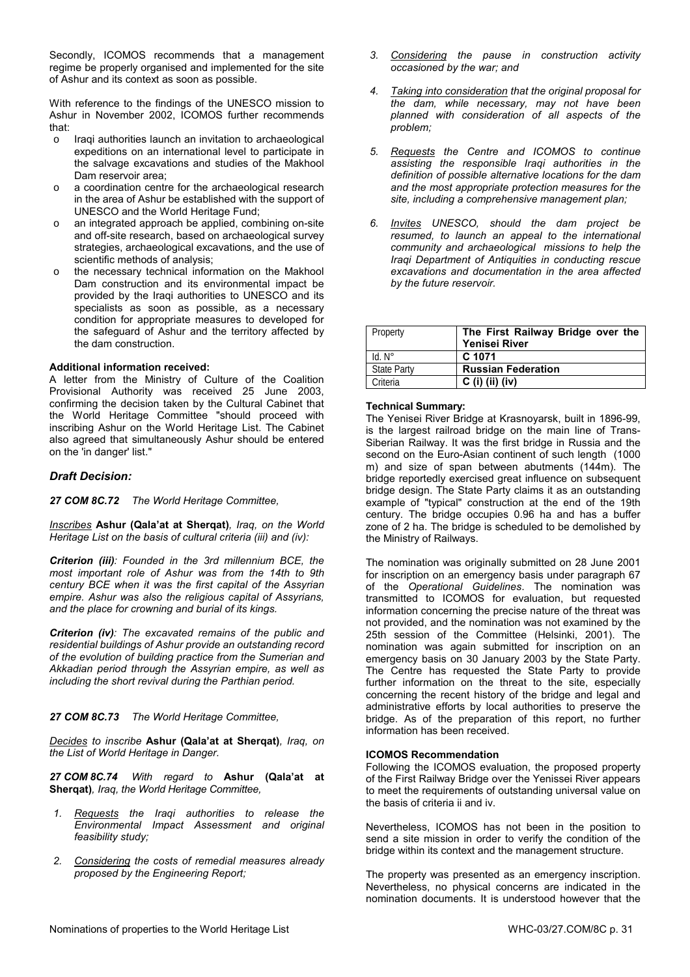Secondly, ICOMOS recommends that a management regime be properly organised and implemented for the site of Ashur and its context as soon as possible.

With reference to the findings of the UNESCO mission to Ashur in November 2002, ICOMOS further recommends that:

- o Iraqi authorities launch an invitation to archaeological expeditions on an international level to participate in the salvage excavations and studies of the Makhool Dam reservoir area;
- a coordination centre for the archaeological research in the area of Ashur be established with the support of UNESCO and the World Heritage Fund;
- o an integrated approach be applied, combining on-site and off-site research, based on archaeological survey strategies, archaeological excavations, and the use of scientific methods of analysis;
- o the necessary technical information on the Makhool Dam construction and its environmental impact be provided by the Iraqi authorities to UNESCO and its specialists as soon as possible, as a necessary condition for appropriate measures to developed for the safeguard of Ashur and the territory affected by the dam construction.

#### **Additional information received:**

A letter from the Ministry of Culture of the Coalition Provisional Authority was received 25 June 2003, confirming the decision taken by the Cultural Cabinet that the World Heritage Committee "should proceed with inscribing Ashur on the World Heritage List. The Cabinet also agreed that simultaneously Ashur should be entered on the 'in danger' list."

# *Draft Decision:*

*27 COM 8C.72 The World Heritage Committee,* 

*Inscribes* **Ashur (Qala'at at Sherqat)***, Iraq, on the World Heritage List on the basis of cultural criteria (iii) and (iv):* 

*Criterion (iii): Founded in the 3rd millennium BCE, the most important role of Ashur was from the 14th to 9th century BCE when it was the first capital of the Assyrian empire. Ashur was also the religious capital of Assyrians, and the place for crowning and burial of its kings.* 

*Criterion (iv): The excavated remains of the public and residential buildings of Ashur provide an outstanding record of the evolution of building practice from the Sumerian and Akkadian period through the Assyrian empire, as well as including the short revival during the Parthian period.* 

#### *27 COM 8C.73 The World Heritage Committee,*

*Decides to inscribe* **Ashur (Qala'at at Sherqat)***, Iraq, on the List of World Heritage in Danger.* 

*27 COM 8C.74 With regard to* **Ashur (Qala'at at Sherqat)***, Iraq, the World Heritage Committee,* 

- *1. Requests the Iraqi authorities to release the Environmental Impact Assessment and original feasibility study;*
- *2. Considering the costs of remedial measures already proposed by the Engineering Report;*
- *3. Considering the pause in construction activity occasioned by the war; and*
- *4. Taking into consideration that the original proposal for the dam, while necessary, may not have been planned with consideration of all aspects of the problem;*
- *5. Requests the Centre and ICOMOS to continue assisting the responsible Iraqi authorities in the definition of possible alternative locations for the dam and the most appropriate protection measures for the site, including a comprehensive management plan;*
- *6. Invites UNESCO, should the dam project be resumed, to launch an appeal to the international community and archaeological missions to help the Iraqi Department of Antiquities in conducting rescue excavations and documentation in the area affected by the future reservoir.*

| Property           | The First Railway Bridge over the |
|--------------------|-----------------------------------|
|                    | <b>Yenisei River</b>              |
| $Id. N^\circ$      | C 1071                            |
| <b>State Party</b> | <b>Russian Federation</b>         |
| Criteria           | $C$ (i) (ii) (iv)                 |

### **Technical Summary:**

The Yenisei River Bridge at Krasnoyarsk, built in 1896-99, is the largest railroad bridge on the main line of Trans-Siberian Railway. It was the first bridge in Russia and the second on the Euro-Asian continent of such length (1000 m) and size of span between abutments (144m). The bridge reportedly exercised great influence on subsequent bridge design. The State Party claims it as an outstanding example of "typical" construction at the end of the 19th century. The bridge occupies 0.96 ha and has a buffer zone of 2 ha. The bridge is scheduled to be demolished by the Ministry of Railways.

The nomination was originally submitted on 28 June 2001 for inscription on an emergency basis under paragraph 67 of the *Operational Guidelines*. The nomination was transmitted to ICOMOS for evaluation, but requested information concerning the precise nature of the threat was not provided, and the nomination was not examined by the 25th session of the Committee (Helsinki, 2001). The nomination was again submitted for inscription on an emergency basis on 30 January 2003 by the State Party. The Centre has requested the State Party to provide further information on the threat to the site, especially concerning the recent history of the bridge and legal and administrative efforts by local authorities to preserve the bridge. As of the preparation of this report, no further information has been received.

#### **ICOMOS Recommendation**

Following the ICOMOS evaluation, the proposed property of the First Railway Bridge over the Yenissei River appears to meet the requirements of outstanding universal value on the basis of criteria ii and iv.

Nevertheless, ICOMOS has not been in the position to send a site mission in order to verify the condition of the bridge within its context and the management structure.

The property was presented as an emergency inscription. Nevertheless, no physical concerns are indicated in the nomination documents. It is understood however that the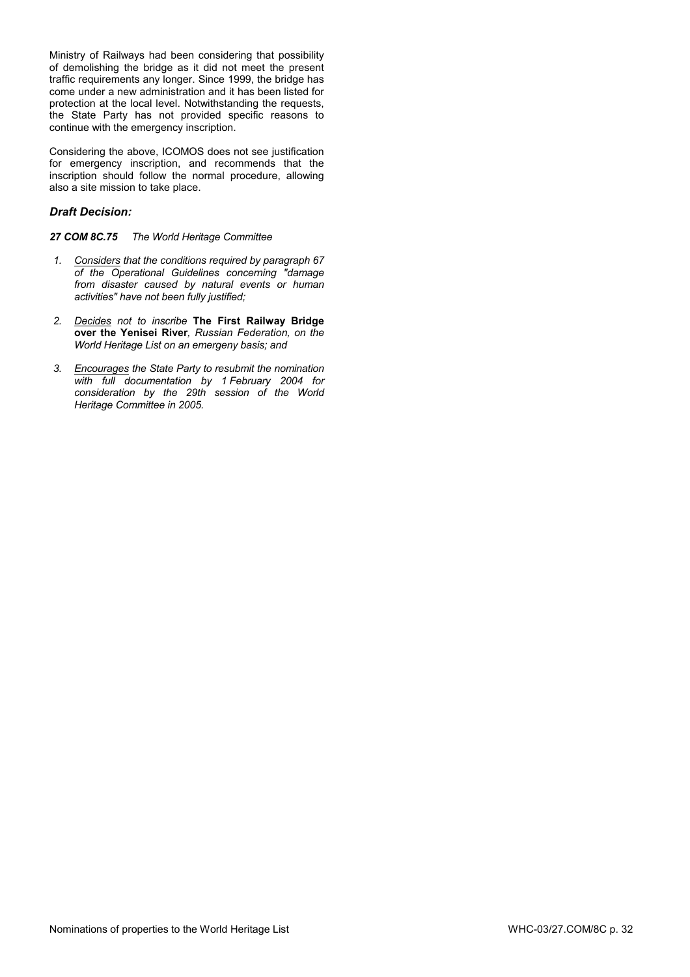Ministry of Railways had been considering that possibility of demolishing the bridge as it did not meet the present traffic requirements any longer. Since 1999, the bridge has come under a new administration and it has been listed for protection at the local level. Notwithstanding the requests, the State Party has not provided specific reasons to continue with the emergency inscription.

Considering the above, ICOMOS does not see justification for emergency inscription, and recommends that the inscription should follow the normal procedure, allowing also a site mission to take place.

# *Draft Decision:*

### *27 COM 8C.75 The World Heritage Committee*

- *1. Considers that the conditions required by paragraph 67 of the Operational Guidelines concerning "damage from disaster caused by natural events or human activities" have not been fully justified;*
- *2. Decides not to inscribe* **The First Railway Bridge over the Yenisei River***, Russian Federation, on the World Heritage List on an emergeny basis; and*
- *3. Encourages the State Party to resubmit the nomination with full documentation by 1 February 2004 for consideration by the 29th session of the World Heritage Committee in 2005.*